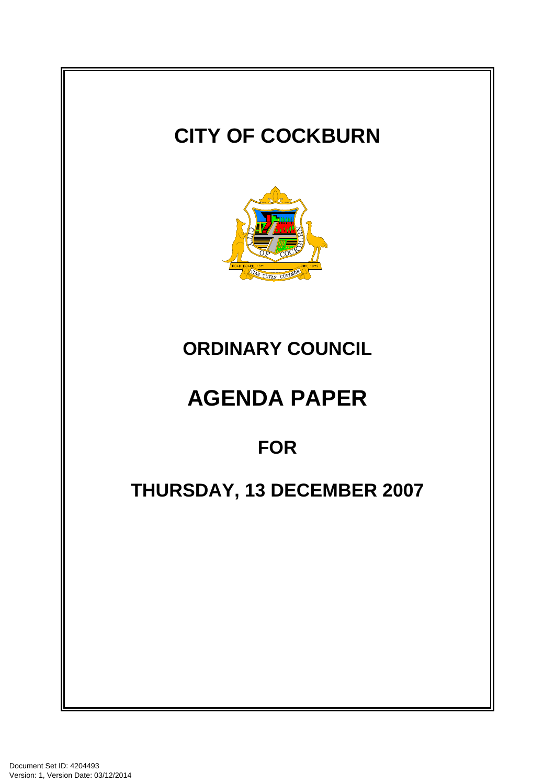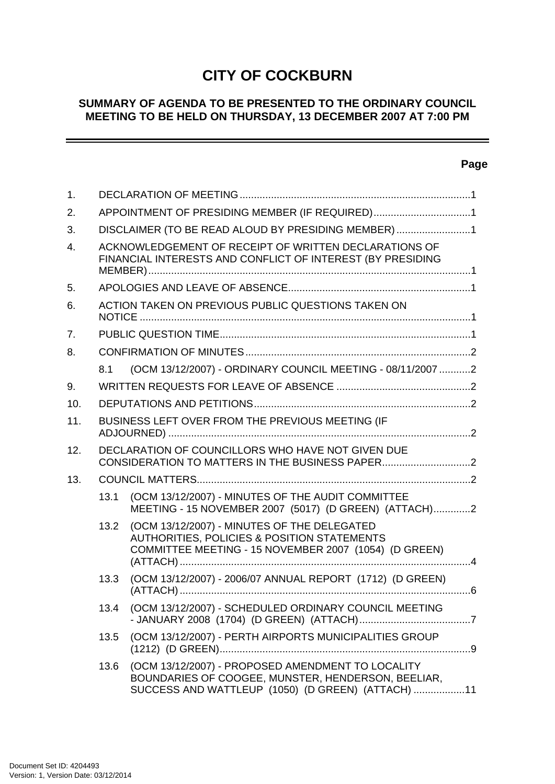# **CITY OF COCKBURN**

#### **SUMMARY OF AGENDA TO BE PRESENTED TO THE ORDINARY COUNCIL MEETING TO BE HELD ON THURSDAY, 13 DECEMBER 2007 AT 7:00 PM**

#### **Page**

-

| 1.               |                                                                                                                     |                                                                                                                                                              |  |
|------------------|---------------------------------------------------------------------------------------------------------------------|--------------------------------------------------------------------------------------------------------------------------------------------------------------|--|
| 2.               | APPOINTMENT OF PRESIDING MEMBER (IF REQUIRED)1                                                                      |                                                                                                                                                              |  |
| 3.               | DISCLAIMER (TO BE READ ALOUD BY PRESIDING MEMBER)1                                                                  |                                                                                                                                                              |  |
| $\overline{4}$ . | ACKNOWLEDGEMENT OF RECEIPT OF WRITTEN DECLARATIONS OF<br>FINANCIAL INTERESTS AND CONFLICT OF INTEREST (BY PRESIDING |                                                                                                                                                              |  |
| 5.               |                                                                                                                     |                                                                                                                                                              |  |
| 6.               | ACTION TAKEN ON PREVIOUS PUBLIC QUESTIONS TAKEN ON                                                                  |                                                                                                                                                              |  |
| 7 <sub>1</sub>   |                                                                                                                     |                                                                                                                                                              |  |
| 8.               |                                                                                                                     |                                                                                                                                                              |  |
|                  | 8.1                                                                                                                 | (OCM 13/12/2007) - ORDINARY COUNCIL MEETING - 08/11/2007 2                                                                                                   |  |
| 9.               |                                                                                                                     |                                                                                                                                                              |  |
| 10.              |                                                                                                                     |                                                                                                                                                              |  |
| 11.              | BUSINESS LEFT OVER FROM THE PREVIOUS MEETING (IF                                                                    |                                                                                                                                                              |  |
| 12.              | DECLARATION OF COUNCILLORS WHO HAVE NOT GIVEN DUE                                                                   |                                                                                                                                                              |  |
| 13.              |                                                                                                                     |                                                                                                                                                              |  |
|                  | 13.1                                                                                                                | (OCM 13/12/2007) - MINUTES OF THE AUDIT COMMITTEE<br>MEETING - 15 NOVEMBER 2007 (5017) (D GREEN) (ATTACH)2                                                   |  |
|                  | 13.2                                                                                                                | (OCM 13/12/2007) - MINUTES OF THE DELEGATED<br>AUTHORITIES, POLICIES & POSITION STATEMENTS<br>COMMITTEE MEETING - 15 NOVEMBER 2007 (1054) (D GREEN)          |  |
|                  | 13.3                                                                                                                | (OCM 13/12/2007) - 2006/07 ANNUAL REPORT (1712) (D GREEN)                                                                                                    |  |
|                  | 13.4                                                                                                                | (OCM 13/12/2007) - SCHEDULED ORDINARY COUNCIL MEETING                                                                                                        |  |
|                  | 13.5                                                                                                                | (OCM 13/12/2007) - PERTH AIRPORTS MUNICIPALITIES GROUP                                                                                                       |  |
|                  | 13.6                                                                                                                | (OCM 13/12/2007) - PROPOSED AMENDMENT TO LOCALITY<br>BOUNDARIES OF COOGEE, MUNSTER, HENDERSON, BEELIAR,<br>SUCCESS AND WATTLEUP (1050) (D GREEN) (ATTACH) 11 |  |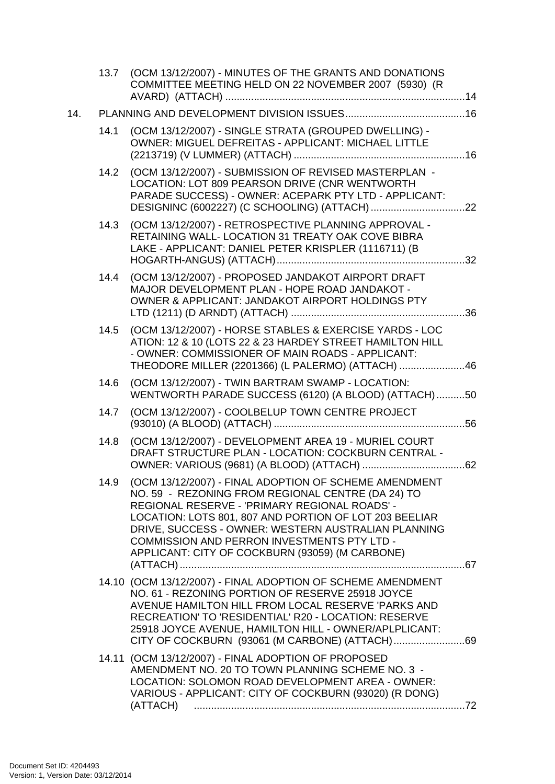|     |      | 13.7 (OCM 13/12/2007) - MINUTES OF THE GRANTS AND DONATIONS<br>COMMITTEE MEETING HELD ON 22 NOVEMBER 2007 (5930) (R                                                                                                                                                                                                                                                                   |  |
|-----|------|---------------------------------------------------------------------------------------------------------------------------------------------------------------------------------------------------------------------------------------------------------------------------------------------------------------------------------------------------------------------------------------|--|
| 14. |      |                                                                                                                                                                                                                                                                                                                                                                                       |  |
|     | 14.1 | (OCM 13/12/2007) - SINGLE STRATA (GROUPED DWELLING) -<br>OWNER: MIGUEL DEFREITAS - APPLICANT: MICHAEL LITTLE                                                                                                                                                                                                                                                                          |  |
|     | 14.2 | (OCM 13/12/2007) - SUBMISSION OF REVISED MASTERPLAN -<br>LOCATION: LOT 809 PEARSON DRIVE (CNR WENTWORTH<br>PARADE SUCCESS) - OWNER: ACEPARK PTY LTD - APPLICANT:                                                                                                                                                                                                                      |  |
|     |      | 14.3 (OCM 13/12/2007) - RETROSPECTIVE PLANNING APPROVAL -<br>RETAINING WALL- LOCATION 31 TREATY OAK COVE BIBRA<br>LAKE - APPLICANT: DANIEL PETER KRISPLER (1116711) (B                                                                                                                                                                                                                |  |
|     | 14.4 | (OCM 13/12/2007) - PROPOSED JANDAKOT AIRPORT DRAFT<br>MAJOR DEVELOPMENT PLAN - HOPE ROAD JANDAKOT -<br>OWNER & APPLICANT: JANDAKOT AIRPORT HOLDINGS PTY                                                                                                                                                                                                                               |  |
|     | 14.5 | (OCM 13/12/2007) - HORSE STABLES & EXERCISE YARDS - LOC<br>ATION: 12 & 10 (LOTS 22 & 23 HARDEY STREET HAMILTON HILL<br>- OWNER: COMMISSIONER OF MAIN ROADS - APPLICANT:<br>THEODORE MILLER (2201366) (L PALERMO) (ATTACH) 46                                                                                                                                                          |  |
|     | 14.6 | (OCM 13/12/2007) - TWIN BARTRAM SWAMP - LOCATION:<br>WENTWORTH PARADE SUCCESS (6120) (A BLOOD) (ATTACH)50                                                                                                                                                                                                                                                                             |  |
|     | 14.7 | (OCM 13/12/2007) - COOLBELUP TOWN CENTRE PROJECT                                                                                                                                                                                                                                                                                                                                      |  |
|     | 14.8 | (OCM 13/12/2007) - DEVELOPMENT AREA 19 - MURIEL COURT<br>DRAFT STRUCTURE PLAN - LOCATION: COCKBURN CENTRAL -                                                                                                                                                                                                                                                                          |  |
|     | 14.9 | (OCM 13/12/2007) - FINAL ADOPTION OF SCHEME AMENDMENT<br>NO. 59 - REZONING FROM REGIONAL CENTRE (DA 24) TO<br>REGIONAL RESERVE - 'PRIMARY REGIONAL ROADS' -<br>LOCATION: LOTS 801, 807 AND PORTION OF LOT 203 BEELIAR<br>DRIVE, SUCCESS - OWNER: WESTERN AUSTRALIAN PLANNING<br><b>COMMISSION AND PERRON INVESTMENTS PTY LTD -</b><br>APPLICANT: CITY OF COCKBURN (93059) (M CARBONE) |  |
|     |      | 14.10 (OCM 13/12/2007) - FINAL ADOPTION OF SCHEME AMENDMENT<br>NO. 61 - REZONING PORTION OF RESERVE 25918 JOYCE<br>AVENUE HAMILTON HILL FROM LOCAL RESERVE 'PARKS AND<br>RECREATION' TO 'RESIDENTIAL' R20 - LOCATION: RESERVE<br>25918 JOYCE AVENUE, HAMILTON HILL - OWNER/APLPLICANT:                                                                                                |  |
|     |      | 14.11 (OCM 13/12/2007) - FINAL ADOPTION OF PROPOSED<br>AMENDMENT NO. 20 TO TOWN PLANNING SCHEME NO. 3 -<br>LOCATION: SOLOMON ROAD DEVELOPMENT AREA - OWNER:<br>VARIOUS - APPLICANT: CITY OF COCKBURN (93020) (R DONG)<br>(ATTACH)                                                                                                                                                     |  |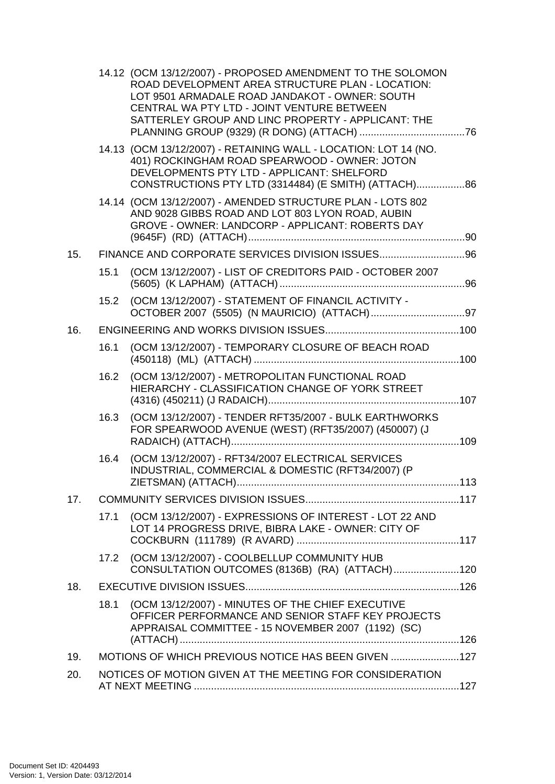|     |      | 14.12 (OCM 13/12/2007) - PROPOSED AMENDMENT TO THE SOLOMON<br>ROAD DEVELOPMENT AREA STRUCTURE PLAN - LOCATION:<br>LOT 9501 ARMADALE ROAD JANDAKOT - OWNER: SOUTH<br>CENTRAL WA PTY LTD - JOINT VENTURE BETWEEN<br>SATTERLEY GROUP AND LINC PROPERTY - APPLICANT: THE |  |
|-----|------|----------------------------------------------------------------------------------------------------------------------------------------------------------------------------------------------------------------------------------------------------------------------|--|
|     |      | 14.13 (OCM 13/12/2007) - RETAINING WALL - LOCATION: LOT 14 (NO.<br>401) ROCKINGHAM ROAD SPEARWOOD - OWNER: JOTON<br>DEVELOPMENTS PTY LTD - APPLICANT: SHELFORD<br>CONSTRUCTIONS PTY LTD (3314484) (E SMITH) (ATTACH) 86                                              |  |
|     |      | 14.14 (OCM 13/12/2007) - AMENDED STRUCTURE PLAN - LOTS 802<br>AND 9028 GIBBS ROAD AND LOT 803 LYON ROAD, AUBIN<br>GROVE - OWNER: LANDCORP - APPLICANT: ROBERTS DAY                                                                                                   |  |
| 15. |      |                                                                                                                                                                                                                                                                      |  |
|     | 15.1 | (OCM 13/12/2007) - LIST OF CREDITORS PAID - OCTOBER 2007                                                                                                                                                                                                             |  |
|     |      | 15.2 (OCM 13/12/2007) - STATEMENT OF FINANCIL ACTIVITY -                                                                                                                                                                                                             |  |
| 16. |      |                                                                                                                                                                                                                                                                      |  |
|     | 16.1 | (OCM 13/12/2007) - TEMPORARY CLOSURE OF BEACH ROAD                                                                                                                                                                                                                   |  |
|     | 16.2 | (OCM 13/12/2007) - METROPOLITAN FUNCTIONAL ROAD<br>HIERARCHY - CLASSIFICATION CHANGE OF YORK STREET                                                                                                                                                                  |  |
|     | 16.3 | (OCM 13/12/2007) - TENDER RFT35/2007 - BULK EARTHWORKS<br>FOR SPEARWOOD AVENUE (WEST) (RFT35/2007) (450007) (J                                                                                                                                                       |  |
|     | 16.4 | (OCM 13/12/2007) - RFT34/2007 ELECTRICAL SERVICES<br>INDUSTRIAL, COMMERCIAL & DOMESTIC (RFT34/2007) (P                                                                                                                                                               |  |
| 17. |      |                                                                                                                                                                                                                                                                      |  |
|     | 17.1 | (OCM 13/12/2007) - EXPRESSIONS OF INTEREST - LOT 22 AND<br>LOT 14 PROGRESS DRIVE, BIBRA LAKE - OWNER: CITY OF                                                                                                                                                        |  |
|     | 17.2 | (OCM 13/12/2007) - COOLBELLUP COMMUNITY HUB<br>CONSULTATION OUTCOMES (8136B) (RA) (ATTACH)120                                                                                                                                                                        |  |
| 18. |      |                                                                                                                                                                                                                                                                      |  |
|     | 18.1 | (OCM 13/12/2007) - MINUTES OF THE CHIEF EXECUTIVE<br>OFFICER PERFORMANCE AND SENIOR STAFF KEY PROJECTS<br>APPRAISAL COMMITTEE - 15 NOVEMBER 2007 (1192) (SC)                                                                                                         |  |
| 19. |      | MOTIONS OF WHICH PREVIOUS NOTICE HAS BEEN GIVEN 127                                                                                                                                                                                                                  |  |
| 20. |      | NOTICES OF MOTION GIVEN AT THE MEETING FOR CONSIDERATION                                                                                                                                                                                                             |  |
|     |      |                                                                                                                                                                                                                                                                      |  |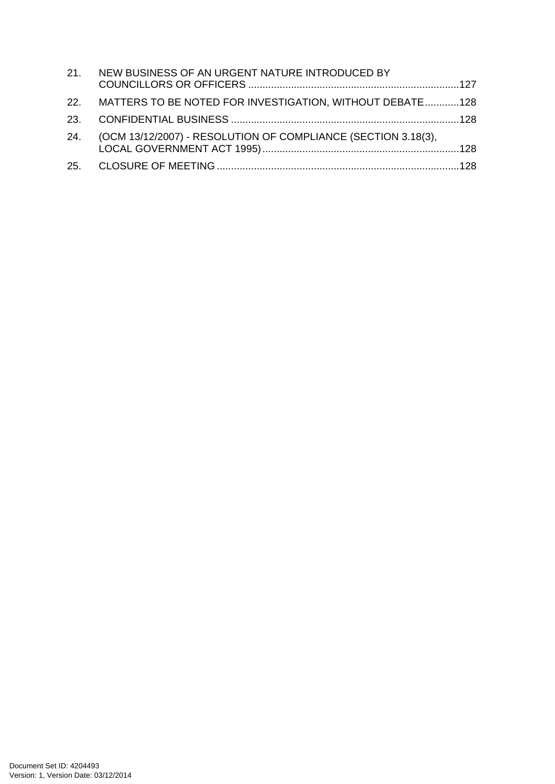| 21. NEW BUSINESS OF AN URGENT NATURE INTRODUCED BY                |  |
|-------------------------------------------------------------------|--|
| 22. MATTERS TO BE NOTED FOR INVESTIGATION, WITHOUT DEBATE128      |  |
|                                                                   |  |
| 24. (OCM 13/12/2007) - RESOLUTION OF COMPLIANCE (SECTION 3.18(3), |  |
|                                                                   |  |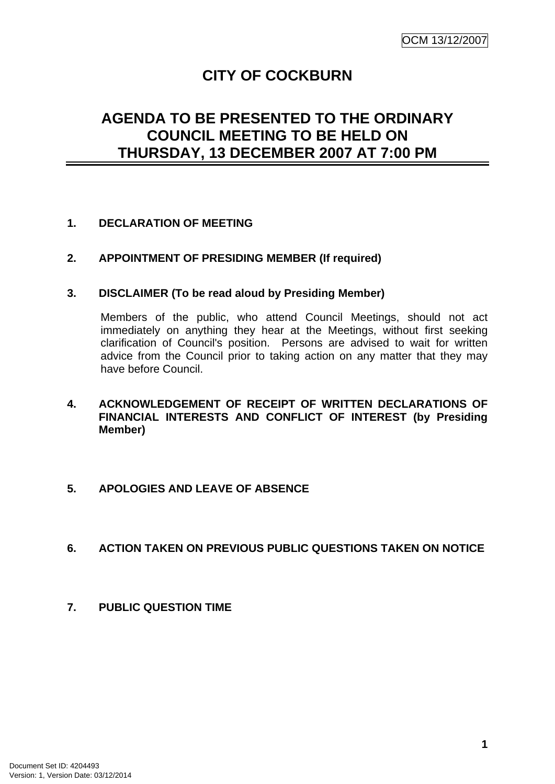# **CITY OF COCKBURN**

# <span id="page-5-0"></span>**AGENDA TO BE PRESENTED TO THE ORDINARY COUNCIL MEETING TO BE HELD ON THURSDAY, 13 DECEMBER 2007 AT 7:00 PM**

#### **1. DECLARATION OF MEETING**

#### **2. APPOINTMENT OF PRESIDING MEMBER (If required)**

#### **3. DISCLAIMER (To be read aloud by Presiding Member)**

Members of the public, who attend Council Meetings, should not act immediately on anything they hear at the Meetings, without first seeking clarification of Council's position. Persons are advised to wait for written advice from the Council prior to taking action on any matter that they may have before Council.

#### **4. ACKNOWLEDGEMENT OF RECEIPT OF WRITTEN DECLARATIONS OF FINANCIAL INTERESTS AND CONFLICT OF INTEREST (by Presiding Member)**

#### **5. APOLOGIES AND LEAVE OF ABSENCE**

#### **6. ACTION TAKEN ON PREVIOUS PUBLIC QUESTIONS TAKEN ON NOTICE**

**7. PUBLIC QUESTION TIME**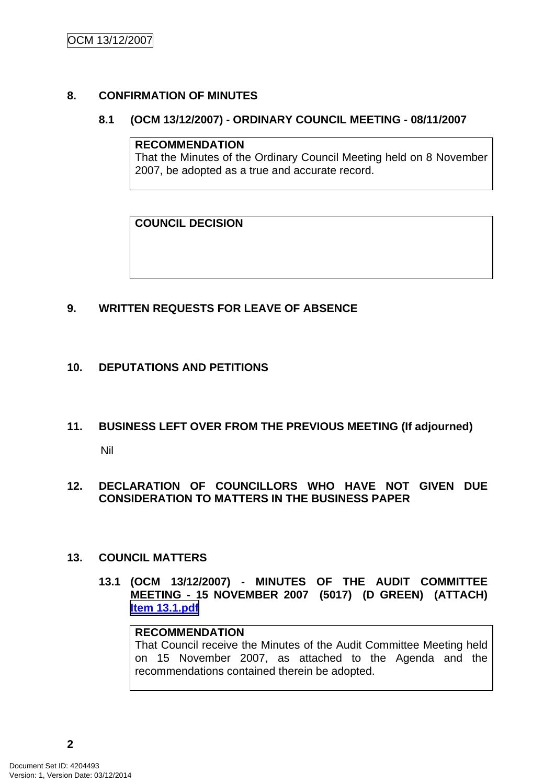#### <span id="page-6-0"></span>**8. CONFIRMATION OF MINUTES**

#### **8.1 (OCM 13/12/2007) - ORDINARY COUNCIL MEETING - 08/11/2007**

#### **RECOMMENDATION**

That the Minutes of the Ordinary Council Meeting held on 8 November 2007, be adopted as a true and accurate record.

**COUNCIL DECISION**

# **9. WRITTEN REQUESTS FOR LEAVE OF ABSENCE**

#### **10. DEPUTATIONS AND PETITIONS**

- **11. BUSINESS LEFT OVER FROM THE PREVIOUS MEETING (If adjourned)**  Nil
- **12. DECLARATION OF COUNCILLORS WHO HAVE NOT GIVEN DUE CONSIDERATION TO MATTERS IN THE BUSINESS PAPER**

#### **13. COUNCIL MATTERS**

**13.1 (OCM 13/12/2007) - MINUTES OF THE AUDIT COMMITTEE MEETING - 15 NOVEMBER 2007 (5017) (D GREEN) (ATTACH) Item 13.1.pdf**

# **RECOMMENDATION**

That Council receive the Minutes of the Audit Committee Meeting held on 15 November 2007, as attached to the Agenda and the recommendations contained therein be adopted.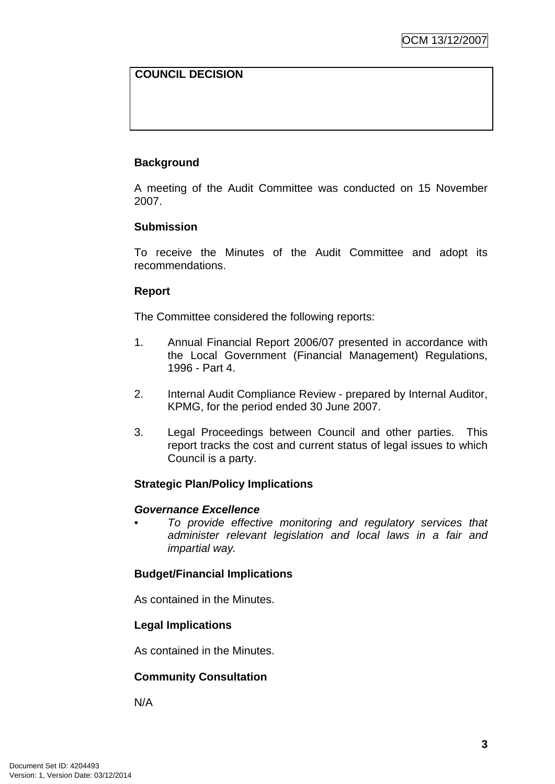# **COUNCIL DECISION**

# **Background**

A meeting of the Audit Committee was conducted on 15 November 2007.

#### **Submission**

To receive the Minutes of the Audit Committee and adopt its recommendations.

#### **Report**

The Committee considered the following reports:

- 1. Annual Financial Report 2006/07 presented in accordance with the Local Government (Financial Management) Regulations, 1996 - Part 4.
- 2. Internal Audit Compliance Review prepared by Internal Auditor, KPMG, for the period ended 30 June 2007.
- 3. Legal Proceedings between Council and other parties. This report tracks the cost and current status of legal issues to which Council is a party.

# **Strategic Plan/Policy Implications**

#### *Governance Excellence*

*• To provide effective monitoring and regulatory services that administer relevant legislation and local laws in a fair and impartial way.* 

#### **Budget/Financial Implications**

As contained in the Minutes.

#### **Legal Implications**

As contained in the Minutes.

# **Community Consultation**

N/A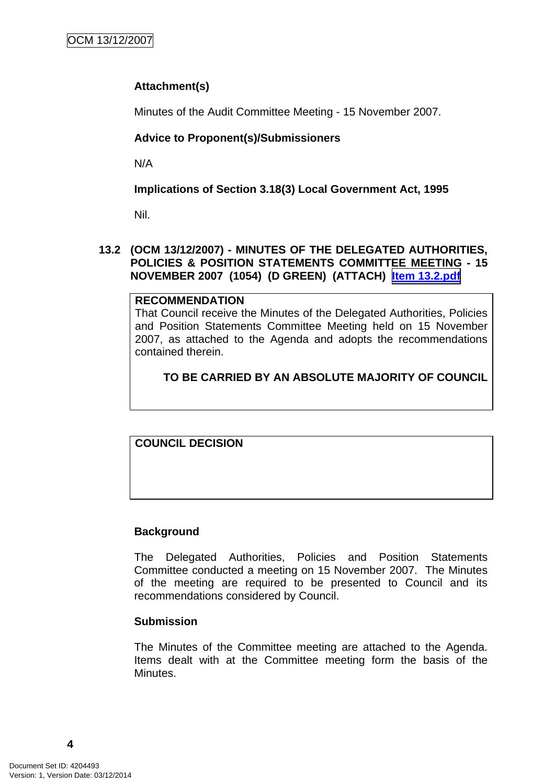# <span id="page-8-0"></span>**Attachment(s)**

Minutes of the Audit Committee Meeting - 15 November 2007.

# **Advice to Proponent(s)/Submissioners**

N/A

**Implications of Section 3.18(3) Local Government Act, 1995**

Nil.

#### **13.2 (OCM 13/12/2007) - MINUTES OF THE DELEGATED AUTHORITIES, POLICIES & POSITION STATEMENTS COMMITTEE MEETING - 15 NOVEMBER 2007 (1054) (D GREEN) (ATTACH) Item 13.2.pdf**

#### **RECOMMENDATION**

That Council receive the Minutes of the Delegated Authorities, Policies and Position Statements Committee Meeting held on 15 November 2007, as attached to the Agenda and adopts the recommendations contained therein.

# **TO BE CARRIED BY AN ABSOLUTE MAJORITY OF COUNCIL**

**COUNCIL DECISION**

# **Background**

The Delegated Authorities, Policies and Position Statements Committee conducted a meeting on 15 November 2007. The Minutes of the meeting are required to be presented to Council and its recommendations considered by Council.

#### **Submission**

The Minutes of the Committee meeting are attached to the Agenda. Items dealt with at the Committee meeting form the basis of the Minutes.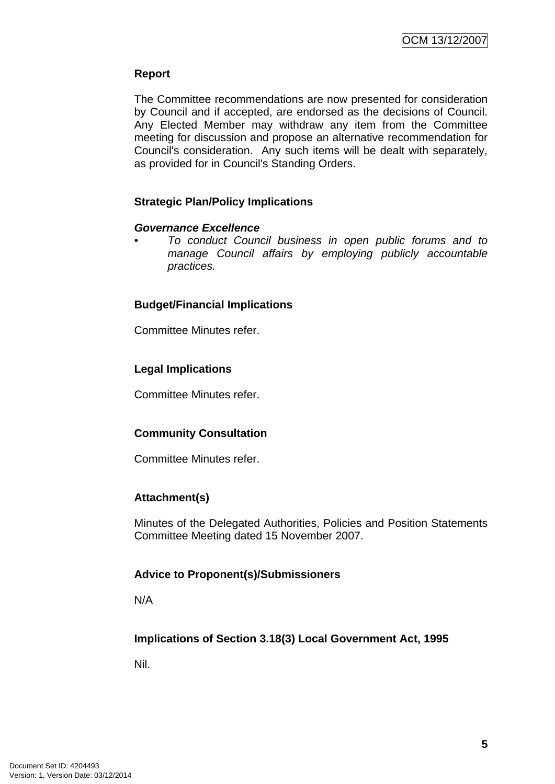#### **Report**

The Committee recommendations are now presented for consideration by Council and if accepted, are endorsed as the decisions of Council. Any Elected Member may withdraw any item from the Committee meeting for discussion and propose an alternative recommendation for Council's consideration. Any such items will be dealt with separately, as provided for in Council's Standing Orders.

# **Strategic Plan/Policy Implications**

#### *Governance Excellence*

*• To conduct Council business in open public forums and to manage Council affairs by employing publicly accountable practices.* 

#### **Budget/Financial Implications**

Committee Minutes refer.

#### **Legal Implications**

Committee Minutes refer.

#### **Community Consultation**

Committee Minutes refer.

#### **Attachment(s)**

Minutes of the Delegated Authorities, Policies and Position Statements Committee Meeting dated 15 November 2007.

#### **Advice to Proponent(s)/Submissioners**

N/A

# **Implications of Section 3.18(3) Local Government Act, 1995**

Nil.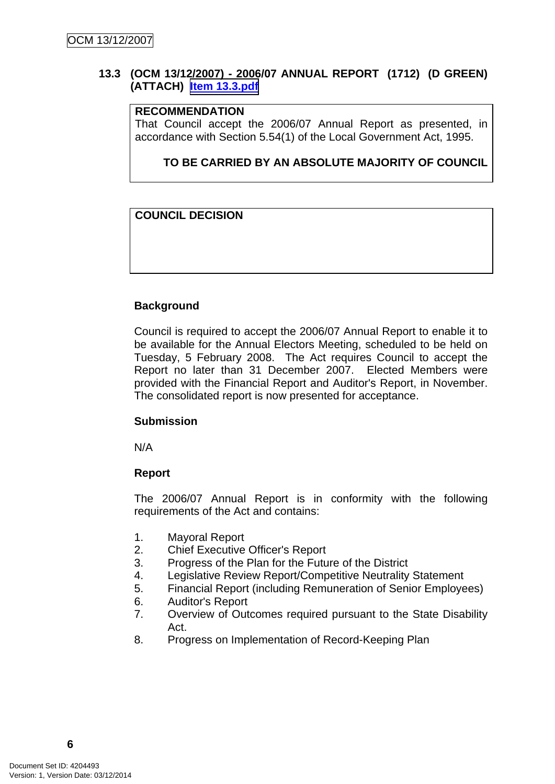#### <span id="page-10-0"></span>**13.3 (OCM 13/12/2007) - 2006/07 ANNUAL REPORT (1712) (D GREEN) (ATTACH) Item 13.3.pdf**

#### **RECOMMENDATION**

That Council accept the 2006/07 Annual Report as presented, in accordance with Section 5.54(1) of the Local Government Act, 1995.

#### **TO BE CARRIED BY AN ABSOLUTE MAJORITY OF COUNCIL**

#### **COUNCIL DECISION**

#### **Background**

Council is required to accept the 2006/07 Annual Report to enable it to be available for the Annual Electors Meeting, scheduled to be held on Tuesday, 5 February 2008. The Act requires Council to accept the Report no later than 31 December 2007. Elected Members were provided with the Financial Report and Auditor's Report, in November. The consolidated report is now presented for acceptance.

#### **Submission**

N/A

#### **Report**

The 2006/07 Annual Report is in conformity with the following requirements of the Act and contains:

- 1. Mayoral Report
- 2. Chief Executive Officer's Report
- 3. Progress of the Plan for the Future of the District
- 4. Legislative Review Report/Competitive Neutrality Statement
- 5. Financial Report (including Remuneration of Senior Employees)
- 6. Auditor's Report
- 7. Overview of Outcomes required pursuant to the State Disability Act.
- 8. Progress on Implementation of Record-Keeping Plan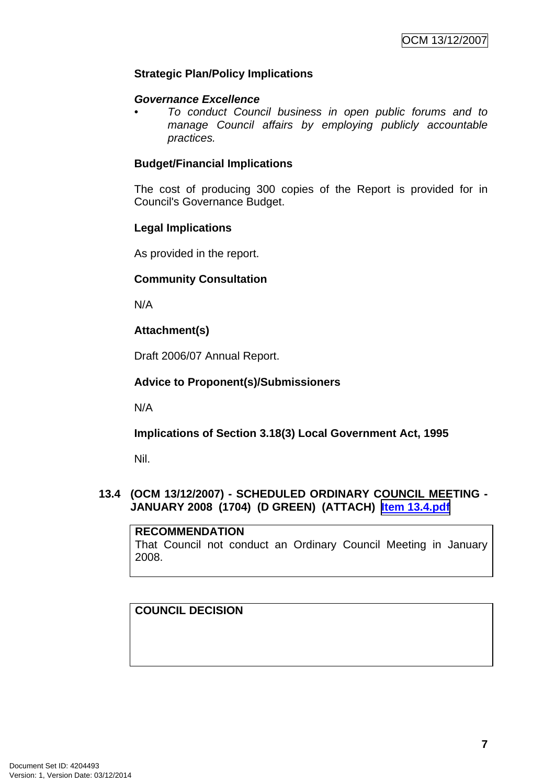#### <span id="page-11-0"></span>**Strategic Plan/Policy Implications**

#### *Governance Excellence*

*• To conduct Council business in open public forums and to manage Council affairs by employing publicly accountable practices.* 

#### **Budget/Financial Implications**

The cost of producing 300 copies of the Report is provided for in Council's Governance Budget.

#### **Legal Implications**

As provided in the report.

#### **Community Consultation**

N/A

# **Attachment(s)**

Draft 2006/07 Annual Report.

#### **Advice to Proponent(s)/Submissioners**

N/A

**Implications of Section 3.18(3) Local Government Act, 1995**

Nil.

# **13.4 (OCM 13/12/2007) - SCHEDULED ORDINARY COUNCIL MEETING - JANUARY 2008 (1704) (D GREEN) (ATTACH) Item 13.4.pdf**

#### **RECOMMENDATION**

That Council not conduct an Ordinary Council Meeting in January 2008.

# **COUNCIL DECISION**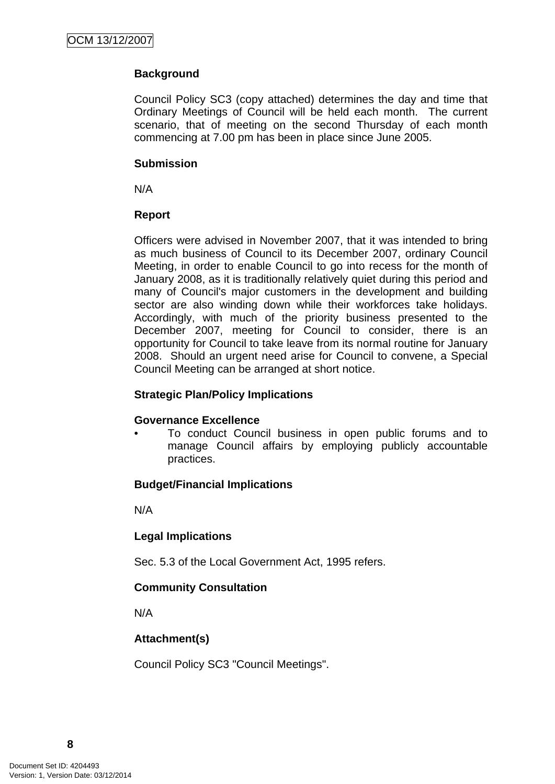# **Background**

Council Policy SC3 (copy attached) determines the day and time that Ordinary Meetings of Council will be held each month. The current scenario, that of meeting on the second Thursday of each month commencing at 7.00 pm has been in place since June 2005.

#### **Submission**

N/A

#### **Report**

Officers were advised in November 2007, that it was intended to bring as much business of Council to its December 2007, ordinary Council Meeting, in order to enable Council to go into recess for the month of January 2008, as it is traditionally relatively quiet during this period and many of Council's major customers in the development and building sector are also winding down while their workforces take holidays. Accordingly, with much of the priority business presented to the December 2007, meeting for Council to consider, there is an opportunity for Council to take leave from its normal routine for January 2008. Should an urgent need arise for Council to convene, a Special Council Meeting can be arranged at short notice.

# **Strategic Plan/Policy Implications**

# **Governance Excellence**

• To conduct Council business in open public forums and to manage Council affairs by employing publicly accountable practices.

# **Budget/Financial Implications**

N/A

# **Legal Implications**

Sec. 5.3 of the Local Government Act, 1995 refers.

# **Community Consultation**

N/A

# **Attachment(s)**

Council Policy SC3 "Council Meetings".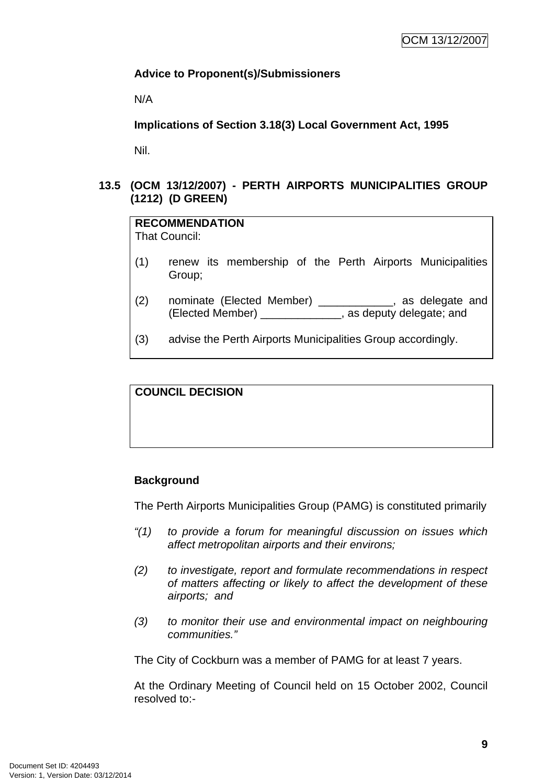#### <span id="page-13-0"></span>**Advice to Proponent(s)/Submissioners**

N/A

**Implications of Section 3.18(3) Local Government Act, 1995**

Nil.

#### **13.5 (OCM 13/12/2007) - PERTH AIRPORTS MUNICIPALITIES GROUP (1212) (D GREEN)**

| <b>RECOMMENDATION</b><br><b>That Council:</b> |                                                                                                                       |  |  |
|-----------------------------------------------|-----------------------------------------------------------------------------------------------------------------------|--|--|
| (1)                                           | renew its membership of the Perth Airports Municipalities<br>Group;                                                   |  |  |
| (2)                                           | nominate (Elected Member) _____________, as delegate and<br>(Elected Member) _______________, as deputy delegate; and |  |  |
| (3)                                           | advise the Perth Airports Municipalities Group accordingly.                                                           |  |  |

# **COUNCIL DECISION**

# **Background**

The Perth Airports Municipalities Group (PAMG) is constituted primarily

- *"(1) to provide a forum for meaningful discussion on issues which affect metropolitan airports and their environs;*
- *(2) to investigate, report and formulate recommendations in respect of matters affecting or likely to affect the development of these airports; and*
- *(3) to monitor their use and environmental impact on neighbouring communities."*

The City of Cockburn was a member of PAMG for at least 7 years.

At the Ordinary Meeting of Council held on 15 October 2002, Council resolved to:-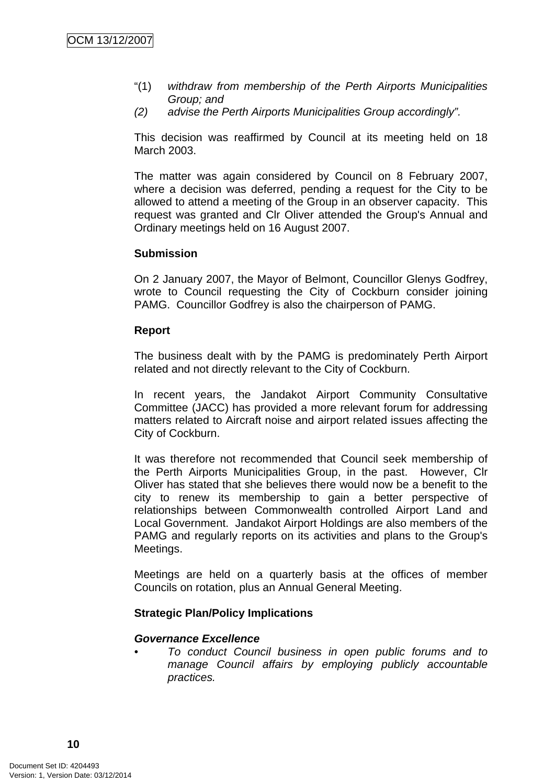- "(1) *withdraw from membership of the Perth Airports Municipalities Group; and*
- *(2) advise the Perth Airports Municipalities Group accordingly".*

This decision was reaffirmed by Council at its meeting held on 18 March 2003.

The matter was again considered by Council on 8 February 2007, where a decision was deferred, pending a request for the City to be allowed to attend a meeting of the Group in an observer capacity. This request was granted and Clr Oliver attended the Group's Annual and Ordinary meetings held on 16 August 2007.

#### **Submission**

On 2 January 2007, the Mayor of Belmont, Councillor Glenys Godfrey, wrote to Council requesting the City of Cockburn consider joining PAMG. Councillor Godfrey is also the chairperson of PAMG.

#### **Report**

The business dealt with by the PAMG is predominately Perth Airport related and not directly relevant to the City of Cockburn.

In recent years, the Jandakot Airport Community Consultative Committee (JACC) has provided a more relevant forum for addressing matters related to Aircraft noise and airport related issues affecting the City of Cockburn.

It was therefore not recommended that Council seek membership of the Perth Airports Municipalities Group, in the past. However, Clr Oliver has stated that she believes there would now be a benefit to the city to renew its membership to gain a better perspective of relationships between Commonwealth controlled Airport Land and Local Government. Jandakot Airport Holdings are also members of the PAMG and regularly reports on its activities and plans to the Group's Meetings.

Meetings are held on a quarterly basis at the offices of member Councils on rotation, plus an Annual General Meeting.

#### **Strategic Plan/Policy Implications**

#### *Governance Excellence*

*• To conduct Council business in open public forums and to manage Council affairs by employing publicly accountable practices.*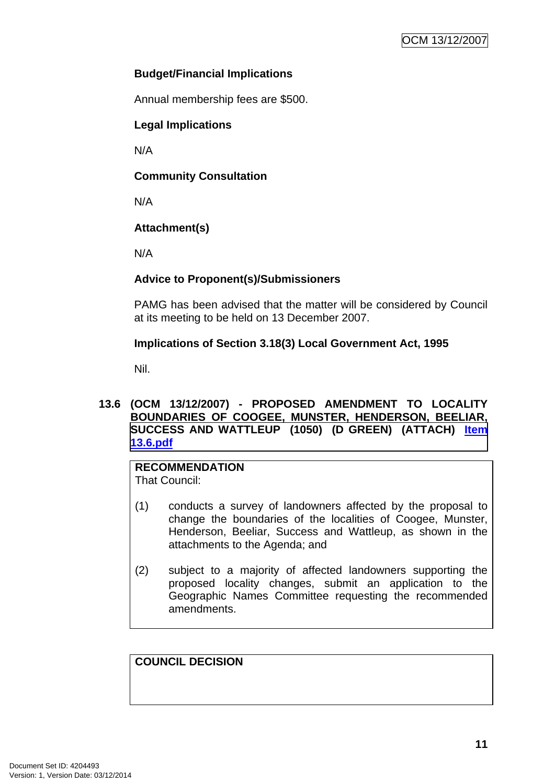# <span id="page-15-0"></span>**Budget/Financial Implications**

Annual membership fees are \$500.

#### **Legal Implications**

N/A

#### **Community Consultation**

N/A

# **Attachment(s)**

N/A

#### **Advice to Proponent(s)/Submissioners**

PAMG has been advised that the matter will be considered by Council at its meeting to be held on 13 December 2007.

#### **Implications of Section 3.18(3) Local Government Act, 1995**

Nil.

#### **13.6 (OCM 13/12/2007) - PROPOSED AMENDMENT TO LOCALITY BOUNDARIES OF COOGEE, MUNSTER, HENDERSON, BEELIAR, SUCCESS AND WATTLEUP (1050) (D GREEN) (ATTACH) Item 13.6.pdf**

# **RECOMMENDATION**

That Council:

- (1) conducts a survey of landowners affected by the proposal to change the boundaries of the localities of Coogee, Munster, Henderson, Beeliar, Success and Wattleup, as shown in the attachments to the Agenda; and
- (2) subject to a majority of affected landowners supporting the proposed locality changes, submit an application to the Geographic Names Committee requesting the recommended amendments.

#### **COUNCIL DECISION**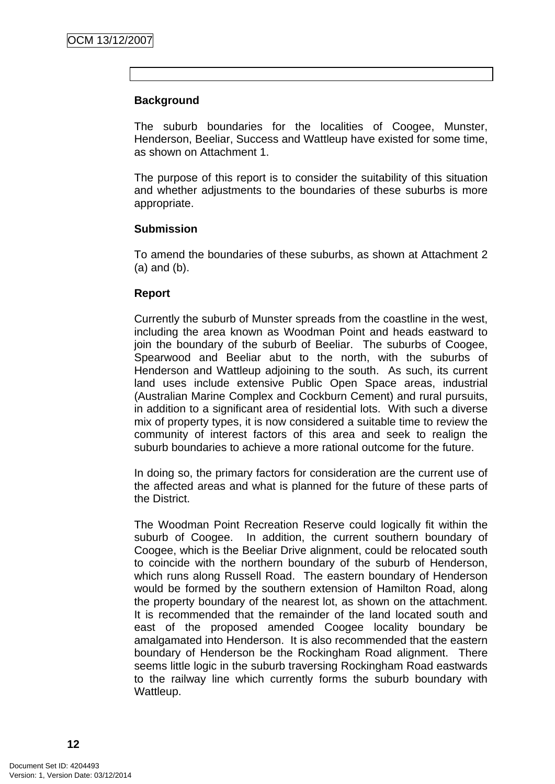#### **Background**

The suburb boundaries for the localities of Coogee, Munster, Henderson, Beeliar, Success and Wattleup have existed for some time, as shown on Attachment 1.

The purpose of this report is to consider the suitability of this situation and whether adjustments to the boundaries of these suburbs is more appropriate.

#### **Submission**

To amend the boundaries of these suburbs, as shown at Attachment 2 (a) and (b).

#### **Report**

Currently the suburb of Munster spreads from the coastline in the west, including the area known as Woodman Point and heads eastward to join the boundary of the suburb of Beeliar. The suburbs of Coogee, Spearwood and Beeliar abut to the north, with the suburbs of Henderson and Wattleup adjoining to the south. As such, its current land uses include extensive Public Open Space areas, industrial (Australian Marine Complex and Cockburn Cement) and rural pursuits, in addition to a significant area of residential lots. With such a diverse mix of property types, it is now considered a suitable time to review the community of interest factors of this area and seek to realign the suburb boundaries to achieve a more rational outcome for the future.

In doing so, the primary factors for consideration are the current use of the affected areas and what is planned for the future of these parts of the District.

The Woodman Point Recreation Reserve could logically fit within the suburb of Coogee. In addition, the current southern boundary of Coogee, which is the Beeliar Drive alignment, could be relocated south to coincide with the northern boundary of the suburb of Henderson, which runs along Russell Road. The eastern boundary of Henderson would be formed by the southern extension of Hamilton Road, along the property boundary of the nearest lot, as shown on the attachment. It is recommended that the remainder of the land located south and east of the proposed amended Coogee locality boundary be amalgamated into Henderson. It is also recommended that the eastern boundary of Henderson be the Rockingham Road alignment. There seems little logic in the suburb traversing Rockingham Road eastwards to the railway line which currently forms the suburb boundary with Wattleup.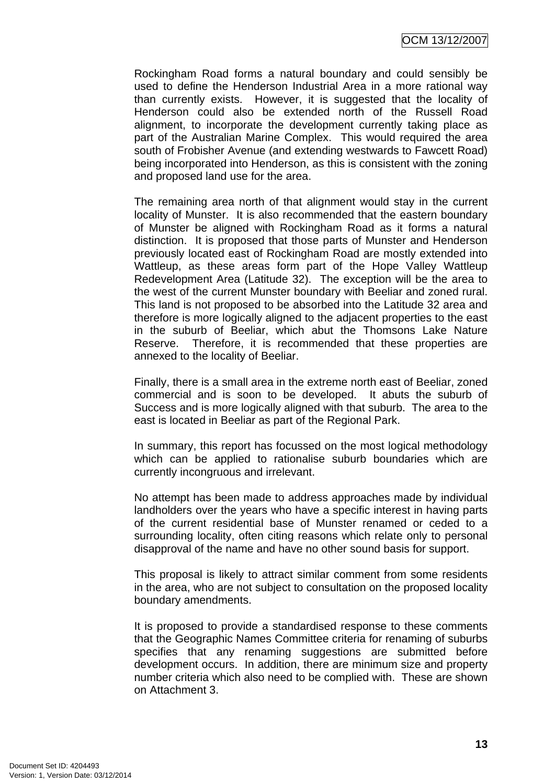OCM 13/12/2007

Rockingham Road forms a natural boundary and could sensibly be used to define the Henderson Industrial Area in a more rational way than currently exists. However, it is suggested that the locality of Henderson could also be extended north of the Russell Road alignment, to incorporate the development currently taking place as part of the Australian Marine Complex. This would required the area south of Frobisher Avenue (and extending westwards to Fawcett Road) being incorporated into Henderson, as this is consistent with the zoning and proposed land use for the area.

The remaining area north of that alignment would stay in the current locality of Munster. It is also recommended that the eastern boundary of Munster be aligned with Rockingham Road as it forms a natural distinction. It is proposed that those parts of Munster and Henderson previously located east of Rockingham Road are mostly extended into Wattleup, as these areas form part of the Hope Valley Wattleup Redevelopment Area (Latitude 32). The exception will be the area to the west of the current Munster boundary with Beeliar and zoned rural. This land is not proposed to be absorbed into the Latitude 32 area and therefore is more logically aligned to the adjacent properties to the east in the suburb of Beeliar, which abut the Thomsons Lake Nature Reserve. Therefore, it is recommended that these properties are annexed to the locality of Beeliar.

Finally, there is a small area in the extreme north east of Beeliar, zoned commercial and is soon to be developed. It abuts the suburb of Success and is more logically aligned with that suburb. The area to the east is located in Beeliar as part of the Regional Park.

In summary, this report has focussed on the most logical methodology which can be applied to rationalise suburb boundaries which are currently incongruous and irrelevant.

No attempt has been made to address approaches made by individual landholders over the years who have a specific interest in having parts of the current residential base of Munster renamed or ceded to a surrounding locality, often citing reasons which relate only to personal disapproval of the name and have no other sound basis for support.

This proposal is likely to attract similar comment from some residents in the area, who are not subject to consultation on the proposed locality boundary amendments.

It is proposed to provide a standardised response to these comments that the Geographic Names Committee criteria for renaming of suburbs specifies that any renaming suggestions are submitted before development occurs. In addition, there are minimum size and property number criteria which also need to be complied with. These are shown on Attachment 3.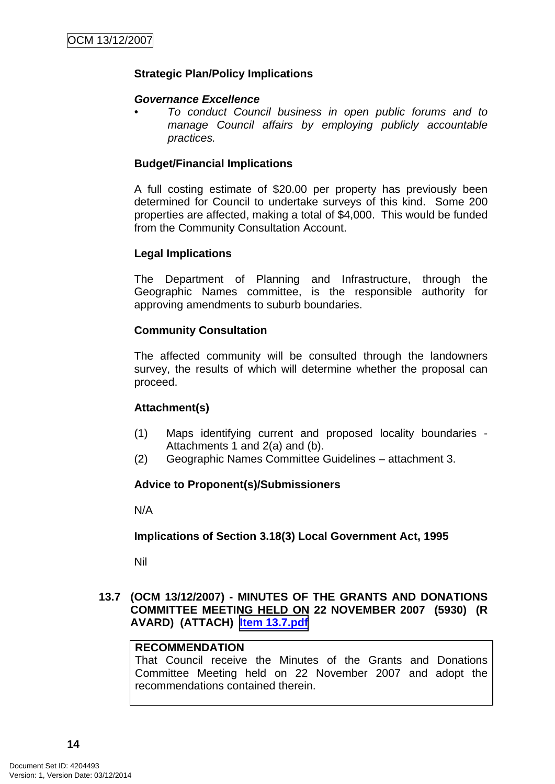#### <span id="page-18-0"></span>**Strategic Plan/Policy Implications**

#### *Governance Excellence*

*• To conduct Council business in open public forums and to manage Council affairs by employing publicly accountable practices.* 

#### **Budget/Financial Implications**

A full costing estimate of \$20.00 per property has previously been determined for Council to undertake surveys of this kind. Some 200 properties are affected, making a total of \$4,000. This would be funded from the Community Consultation Account.

#### **Legal Implications**

The Department of Planning and Infrastructure, through the Geographic Names committee, is the responsible authority for approving amendments to suburb boundaries.

#### **Community Consultation**

The affected community will be consulted through the landowners survey, the results of which will determine whether the proposal can proceed.

#### **Attachment(s)**

- (1) Maps identifying current and proposed locality boundaries Attachments 1 and 2(a) and (b).
- (2) Geographic Names Committee Guidelines attachment 3.

#### **Advice to Proponent(s)/Submissioners**

N/A

#### **Implications of Section 3.18(3) Local Government Act, 1995**

Nil

#### **13.7 (OCM 13/12/2007) - MINUTES OF THE GRANTS AND DONATIONS COMMITTEE MEETING HELD ON 22 NOVEMBER 2007 (5930) (R AVARD) (ATTACH) Item 13.7.pdf**

#### **RECOMMENDATION**

That Council receive the Minutes of the Grants and Donations Committee Meeting held on 22 November 2007 and adopt the recommendations contained therein.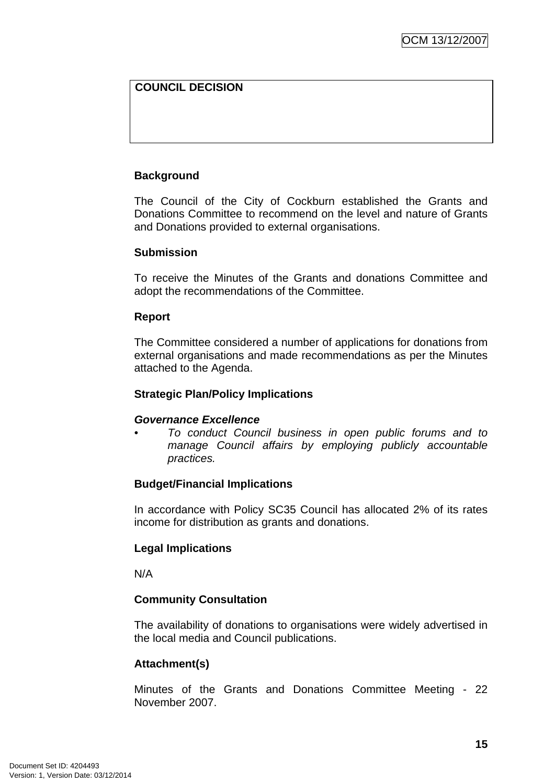# **COUNCIL DECISION**

# **Background**

The Council of the City of Cockburn established the Grants and Donations Committee to recommend on the level and nature of Grants and Donations provided to external organisations.

#### **Submission**

To receive the Minutes of the Grants and donations Committee and adopt the recommendations of the Committee.

#### **Report**

The Committee considered a number of applications for donations from external organisations and made recommendations as per the Minutes attached to the Agenda.

#### **Strategic Plan/Policy Implications**

#### *Governance Excellence*

*• To conduct Council business in open public forums and to manage Council affairs by employing publicly accountable practices.* 

# **Budget/Financial Implications**

In accordance with Policy SC35 Council has allocated 2% of its rates income for distribution as grants and donations.

# **Legal Implications**

N/A

# **Community Consultation**

The availability of donations to organisations were widely advertised in the local media and Council publications.

# **Attachment(s)**

Minutes of the Grants and Donations Committee Meeting - 22 November 2007.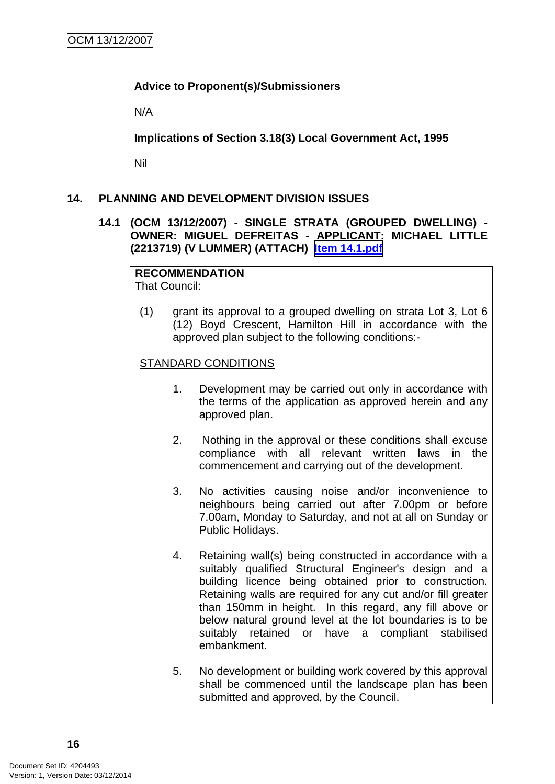#### <span id="page-20-0"></span>**Advice to Proponent(s)/Submissioners**

N/A

**Implications of Section 3.18(3) Local Government Act, 1995**

Nil

#### **14. PLANNING AND DEVELOPMENT DIVISION ISSUES**

#### **14.1 (OCM 13/12/2007) - SINGLE STRATA (GROUPED DWELLING) - OWNER: MIGUEL DEFREITAS - APPLICANT: MICHAEL LITTLE (2213719) (V LUMMER) (ATTACH) Item 14.1.pdf**

# **RECOMMENDATION**

That Council:

(1) grant its approval to a grouped dwelling on strata Lot 3, Lot 6 (12) Boyd Crescent, Hamilton Hill in accordance with the approved plan subject to the following conditions:-

#### STANDARD CONDITIONS

- 1. Development may be carried out only in accordance with the terms of the application as approved herein and any approved plan.
- 2. Nothing in the approval or these conditions shall excuse compliance with all relevant written laws in the commencement and carrying out of the development.
- 3. No activities causing noise and/or inconvenience to neighbours being carried out after 7.00pm or before 7.00am, Monday to Saturday, and not at all on Sunday or Public Holidays.
- 4. Retaining wall(s) being constructed in accordance with a suitably qualified Structural Engineer's design and a building licence being obtained prior to construction. Retaining walls are required for any cut and/or fill greater than 150mm in height. In this regard, any fill above or below natural ground level at the lot boundaries is to be suitably retained or have a compliant stabilised embankment.
- 5. No development or building work covered by this approval shall be commenced until the landscape plan has been submitted and approved, by the Council.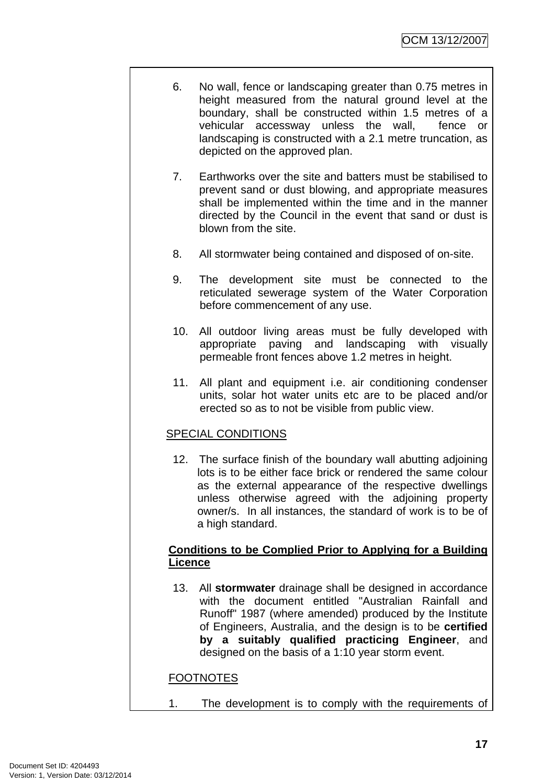- 6. No wall, fence or landscaping greater than 0.75 metres in height measured from the natural ground level at the boundary, shall be constructed within 1.5 metres of a vehicular accessway unless the wall, fence or landscaping is constructed with a 2.1 metre truncation, as depicted on the approved plan.
- 7. Earthworks over the site and batters must be stabilised to prevent sand or dust blowing, and appropriate measures shall be implemented within the time and in the manner directed by the Council in the event that sand or dust is blown from the site.
- 8. All stormwater being contained and disposed of on-site.
- 9. The development site must be connected to the reticulated sewerage system of the Water Corporation before commencement of any use.
- 10. All outdoor living areas must be fully developed with appropriate paving and landscaping with visually permeable front fences above 1.2 metres in height.
- 11. All plant and equipment i.e. air conditioning condenser units, solar hot water units etc are to be placed and/or erected so as to not be visible from public view.

# SPECIAL CONDITIONS

12. The surface finish of the boundary wall abutting adjoining lots is to be either face brick or rendered the same colour as the external appearance of the respective dwellings unless otherwise agreed with the adjoining property owner/s. In all instances, the standard of work is to be of a high standard.

#### **Conditions to be Complied Prior to Applying for a Building Licence**

13. All **stormwater** drainage shall be designed in accordance with the document entitled "Australian Rainfall and Runoff" 1987 (where amended) produced by the Institute of Engineers, Australia, and the design is to be **certified by a suitably qualified practicing Engineer**, and designed on the basis of a 1:10 year storm event.

# **FOOTNOTES**

1. The development is to comply with the requirements of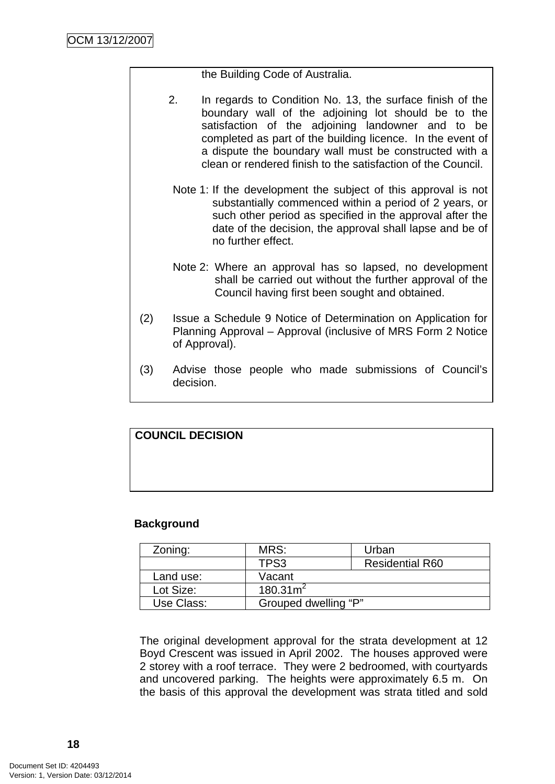the Building Code of Australia.

- 2. In regards to Condition No. 13, the surface finish of the boundary wall of the adjoining lot should be to the satisfaction of the adjoining landowner and to be completed as part of the building licence. In the event of a dispute the boundary wall must be constructed with a clean or rendered finish to the satisfaction of the Council.
- Note 1: If the development the subject of this approval is not substantially commenced within a period of 2 years, or such other period as specified in the approval after the date of the decision, the approval shall lapse and be of no further effect.
- Note 2: Where an approval has so lapsed, no development shall be carried out without the further approval of the Council having first been sought and obtained.
- (2) Issue a Schedule 9 Notice of Determination on Application for Planning Approval – Approval (inclusive of MRS Form 2 Notice of Approval).
- (3) Advise those people who made submissions of Council's decision.

# **COUNCIL DECISION**

# **Background**

| Zoning:    | MRS:                 | Urban                  |  |
|------------|----------------------|------------------------|--|
|            | TPS3                 | <b>Residential R60</b> |  |
| Land use:  | Vacant               |                        |  |
| Lot Size:  | 180.31m <sup>2</sup> |                        |  |
| Use Class: | Grouped dwelling "P" |                        |  |

The original development approval for the strata development at 12 Boyd Crescent was issued in April 2002. The houses approved were 2 storey with a roof terrace. They were 2 bedroomed, with courtyards and uncovered parking. The heights were approximately 6.5 m. On the basis of this approval the development was strata titled and sold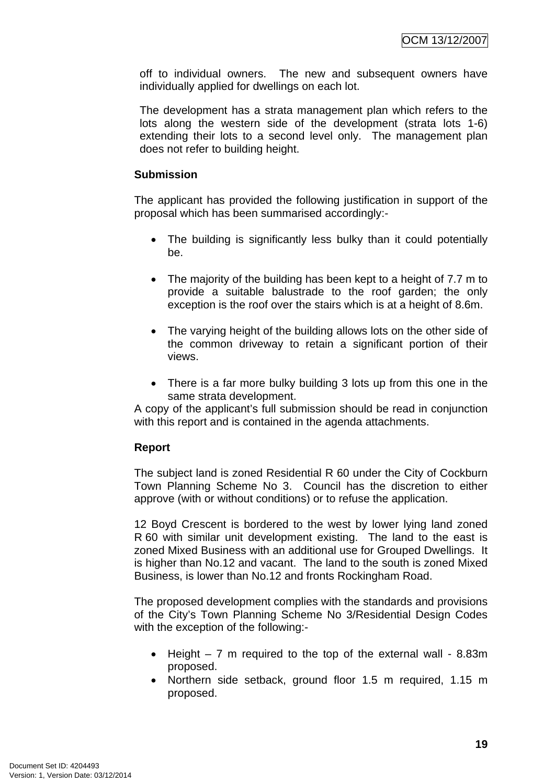off to individual owners. The new and subsequent owners have individually applied for dwellings on each lot.

The development has a strata management plan which refers to the lots along the western side of the development (strata lots 1-6) extending their lots to a second level only. The management plan does not refer to building height.

#### **Submission**

The applicant has provided the following justification in support of the proposal which has been summarised accordingly:-

- The building is significantly less bulky than it could potentially be.
- The majority of the building has been kept to a height of 7.7 m to provide a suitable balustrade to the roof garden; the only exception is the roof over the stairs which is at a height of 8.6m.
- The varying height of the building allows lots on the other side of the common driveway to retain a significant portion of their views.
- There is a far more bulky building 3 lots up from this one in the same strata development.

A copy of the applicant's full submission should be read in conjunction with this report and is contained in the agenda attachments.

# **Report**

The subject land is zoned Residential R 60 under the City of Cockburn Town Planning Scheme No 3. Council has the discretion to either approve (with or without conditions) or to refuse the application.

12 Boyd Crescent is bordered to the west by lower lying land zoned R 60 with similar unit development existing. The land to the east is zoned Mixed Business with an additional use for Grouped Dwellings. It is higher than No.12 and vacant. The land to the south is zoned Mixed Business, is lower than No.12 and fronts Rockingham Road.

The proposed development complies with the standards and provisions of the City's Town Planning Scheme No 3/Residential Design Codes with the exception of the following:-

- Height 7 m required to the top of the external wall 8.83m proposed.
- Northern side setback, ground floor 1.5 m required, 1.15 m proposed.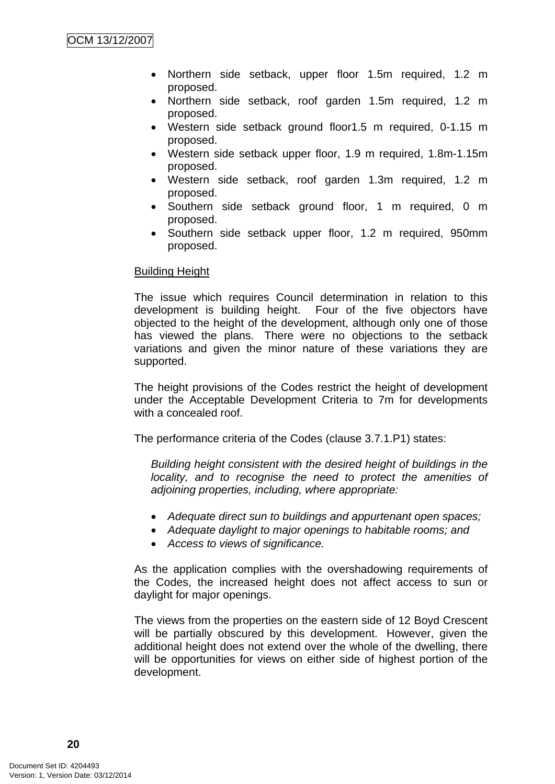- Northern side setback, upper floor 1.5m required, 1.2 m proposed.
- Northern side setback, roof garden 1.5m required, 1.2 m proposed.
- Western side setback ground floor1.5 m required, 0-1.15 m proposed.
- Western side setback upper floor, 1.9 m required, 1.8m-1.15m proposed.
- Western side setback, roof garden 1.3m required, 1.2 m proposed.
- Southern side setback ground floor, 1 m required, 0 m proposed.
- Southern side setback upper floor, 1.2 m required, 950mm proposed.

#### Building Height

The issue which requires Council determination in relation to this development is building height. Four of the five objectors have objected to the height of the development, although only one of those has viewed the plans. There were no objections to the setback variations and given the minor nature of these variations they are supported.

The height provisions of the Codes restrict the height of development under the Acceptable Development Criteria to 7m for developments with a concealed roof.

The performance criteria of the Codes (clause 3.7.1.P1) states:

*Building height consistent with the desired height of buildings in the locality, and to recognise the need to protect the amenities of adjoining properties, including, where appropriate:* 

- *Adequate direct sun to buildings and appurtenant open spaces;*
- *Adequate daylight to major openings to habitable rooms; and*
- *Access to views of significance.*

As the application complies with the overshadowing requirements of the Codes, the increased height does not affect access to sun or daylight for major openings.

The views from the properties on the eastern side of 12 Boyd Crescent will be partially obscured by this development. However, given the additional height does not extend over the whole of the dwelling, there will be opportunities for views on either side of highest portion of the development.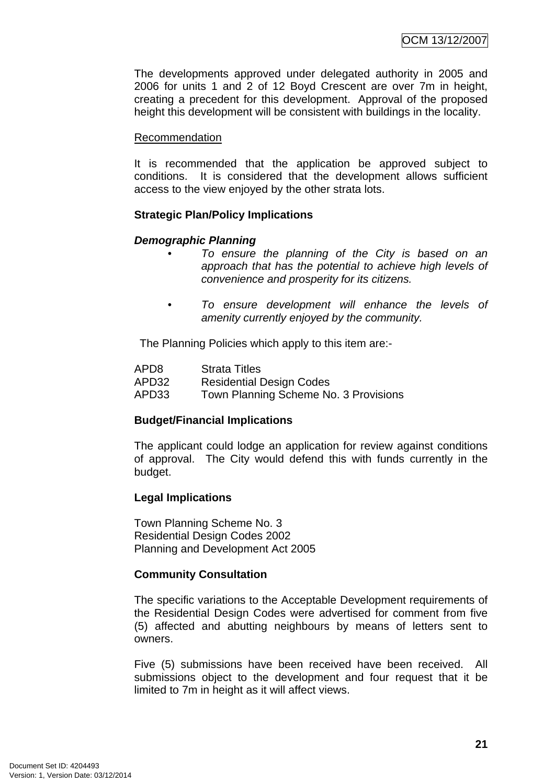The developments approved under delegated authority in 2005 and 2006 for units 1 and 2 of 12 Boyd Crescent are over 7m in height, creating a precedent for this development. Approval of the proposed height this development will be consistent with buildings in the locality.

#### Recommendation

It is recommended that the application be approved subject to conditions. It is considered that the development allows sufficient access to the view enjoyed by the other strata lots.

#### **Strategic Plan/Policy Implications**

#### *Demographic Planning*

- *To ensure the planning of the City is based on an approach that has the potential to achieve high levels of convenience and prosperity for its citizens.*
- *To ensure development will enhance the levels of amenity currently enjoyed by the community.*

The Planning Policies which apply to this item are:-

| APD <sub>8</sub> | <b>Strata Titles</b>                  |
|------------------|---------------------------------------|
| APD32            | <b>Residential Design Codes</b>       |
| APD33            | Town Planning Scheme No. 3 Provisions |

# **Budget/Financial Implications**

The applicant could lodge an application for review against conditions of approval. The City would defend this with funds currently in the budget.

#### **Legal Implications**

Town Planning Scheme No. 3 Residential Design Codes 2002 Planning and Development Act 2005

#### **Community Consultation**

The specific variations to the Acceptable Development requirements of the Residential Design Codes were advertised for comment from five (5) affected and abutting neighbours by means of letters sent to owners.

Five (5) submissions have been received have been received. All submissions object to the development and four request that it be limited to 7m in height as it will affect views.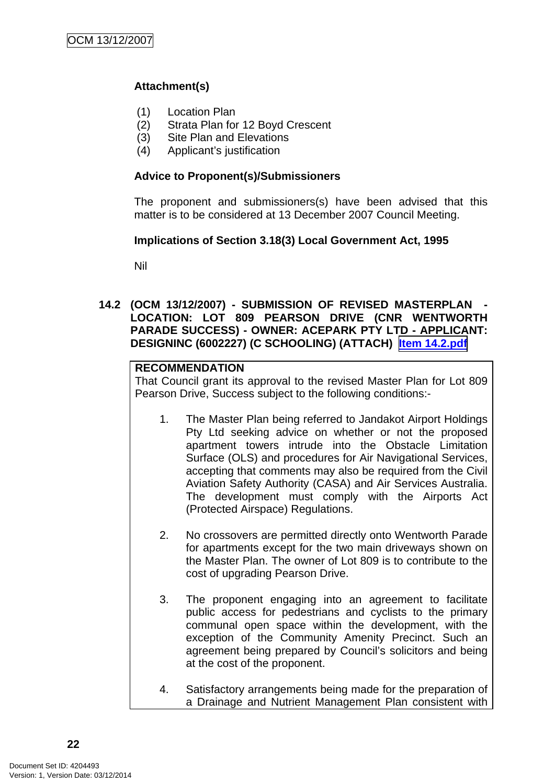# <span id="page-26-0"></span>**Attachment(s)**

- (1) Location Plan
- (2) Strata Plan for 12 Boyd Crescent
- (3) Site Plan and Elevations
- (4) Applicant's justification

#### **Advice to Proponent(s)/Submissioners**

The proponent and submissioners(s) have been advised that this matter is to be considered at 13 December 2007 Council Meeting.

#### **Implications of Section 3.18(3) Local Government Act, 1995**

Nil

#### **14.2 (OCM 13/12/2007) - SUBMISSION OF REVISED MASTERPLAN - LOCATION: LOT 809 PEARSON DRIVE (CNR WENTWORTH PARADE SUCCESS) - OWNER: ACEPARK PTY LTD - APPLICANT: DESIGNINC (6002227) (C SCHOOLING) (ATTACH) Item 14.2.pdf**

#### **RECOMMENDATION**

That Council grant its approval to the revised Master Plan for Lot 809 Pearson Drive, Success subject to the following conditions:-

- 1. The Master Plan being referred to Jandakot Airport Holdings Pty Ltd seeking advice on whether or not the proposed apartment towers intrude into the Obstacle Limitation Surface (OLS) and procedures for Air Navigational Services, accepting that comments may also be required from the Civil Aviation Safety Authority (CASA) and Air Services Australia. The development must comply with the Airports Act (Protected Airspace) Regulations.
- 2. No crossovers are permitted directly onto Wentworth Parade for apartments except for the two main driveways shown on the Master Plan. The owner of Lot 809 is to contribute to the cost of upgrading Pearson Drive.
- 3. The proponent engaging into an agreement to facilitate public access for pedestrians and cyclists to the primary communal open space within the development, with the exception of the Community Amenity Precinct. Such an agreement being prepared by Council's solicitors and being at the cost of the proponent.
- 4. Satisfactory arrangements being made for the preparation of a Drainage and Nutrient Management Plan consistent with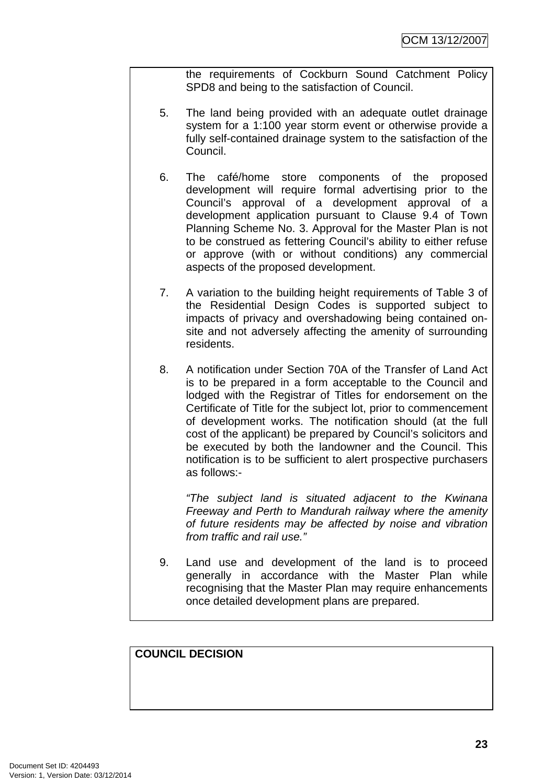the requirements of Cockburn Sound Catchment Policy SPD8 and being to the satisfaction of Council.

- 5. The land being provided with an adequate outlet drainage system for a 1:100 year storm event or otherwise provide a fully self-contained drainage system to the satisfaction of the Council.
- 6. The café/home store components of the proposed development will require formal advertising prior to the Council's approval of a development approval of a development application pursuant to Clause 9.4 of Town Planning Scheme No. 3. Approval for the Master Plan is not to be construed as fettering Council's ability to either refuse or approve (with or without conditions) any commercial aspects of the proposed development.
- 7. A variation to the building height requirements of Table 3 of the Residential Design Codes is supported subject to impacts of privacy and overshadowing being contained onsite and not adversely affecting the amenity of surrounding residents.
- 8. A notification under Section 70A of the Transfer of Land Act is to be prepared in a form acceptable to the Council and lodged with the Registrar of Titles for endorsement on the Certificate of Title for the subject lot, prior to commencement of development works. The notification should (at the full cost of the applicant) be prepared by Council's solicitors and be executed by both the landowner and the Council. This notification is to be sufficient to alert prospective purchasers as follows:-

*"The subject land is situated adjacent to the Kwinana Freeway and Perth to Mandurah railway where the amenity of future residents may be affected by noise and vibration from traffic and rail use."*

9. Land use and development of the land is to proceed generally in accordance with the Master Plan while recognising that the Master Plan may require enhancements once detailed development plans are prepared.

#### **COUNCIL DECISION**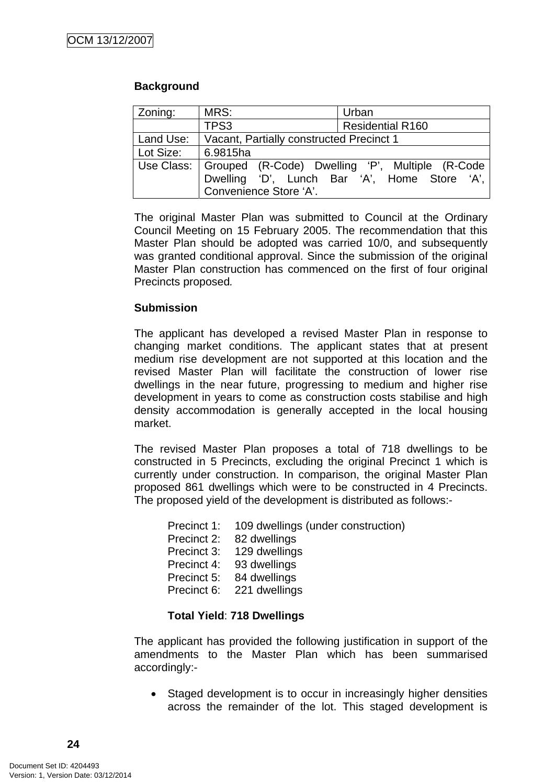#### **Background**

| Zoning:   | MRS:                                                         | Urban                                        |  |
|-----------|--------------------------------------------------------------|----------------------------------------------|--|
|           | TPS3                                                         | <b>Residential R160</b>                      |  |
| Land Use: | Vacant, Partially constructed Precinct 1                     |                                              |  |
| Lot Size: | 6.9815ha                                                     |                                              |  |
|           | Use Class:   Grouped (R-Code) Dwelling 'P', Multiple (R-Code |                                              |  |
|           |                                                              | Dwelling 'D', Lunch Bar 'A', Home Store 'A', |  |
|           | Convenience Store 'A'.                                       |                                              |  |

The original Master Plan was submitted to Council at the Ordinary Council Meeting on 15 February 2005. The recommendation that this Master Plan should be adopted was carried 10/0, and subsequently was granted conditional approval. Since the submission of the original Master Plan construction has commenced on the first of four original Precincts proposed*.* 

#### **Submission**

The applicant has developed a revised Master Plan in response to changing market conditions. The applicant states that at present medium rise development are not supported at this location and the revised Master Plan will facilitate the construction of lower rise dwellings in the near future, progressing to medium and higher rise development in years to come as construction costs stabilise and high density accommodation is generally accepted in the local housing market.

The revised Master Plan proposes a total of 718 dwellings to be constructed in 5 Precincts, excluding the original Precinct 1 which is currently under construction. In comparison, the original Master Plan proposed 861 dwellings which were to be constructed in 4 Precincts. The proposed yield of the development is distributed as follows:-

Precinct 2: 82 dwellings

Precinct 3: 129 dwellings

Precinct 4: 93 dwellings

Precinct 5: 84 dwellings

Precinct 6: 221 dwellings

#### **Total Yield**: **718 Dwellings**

The applicant has provided the following justification in support of the amendments to the Master Plan which has been summarised accordingly:-

• Staged development is to occur in increasingly higher densities across the remainder of the lot. This staged development is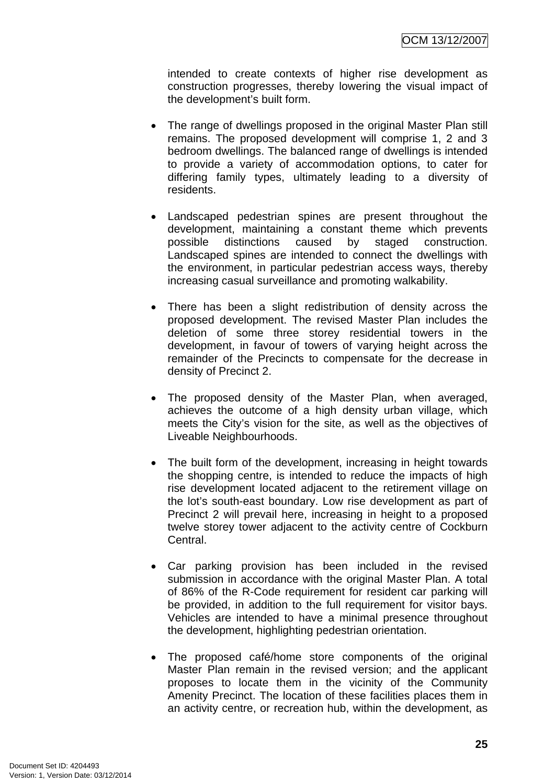intended to create contexts of higher rise development as construction progresses, thereby lowering the visual impact of the development's built form.

- The range of dwellings proposed in the original Master Plan still remains. The proposed development will comprise 1, 2 and 3 bedroom dwellings. The balanced range of dwellings is intended to provide a variety of accommodation options, to cater for differing family types, ultimately leading to a diversity of residents.
- Landscaped pedestrian spines are present throughout the development, maintaining a constant theme which prevents possible distinctions caused by staged construction. Landscaped spines are intended to connect the dwellings with the environment, in particular pedestrian access ways, thereby increasing casual surveillance and promoting walkability.
- There has been a slight redistribution of density across the proposed development. The revised Master Plan includes the deletion of some three storey residential towers in the development, in favour of towers of varying height across the remainder of the Precincts to compensate for the decrease in density of Precinct 2.
- The proposed density of the Master Plan, when averaged, achieves the outcome of a high density urban village, which meets the City's vision for the site, as well as the objectives of Liveable Neighbourhoods.
- The built form of the development, increasing in height towards the shopping centre, is intended to reduce the impacts of high rise development located adjacent to the retirement village on the lot's south-east boundary. Low rise development as part of Precinct 2 will prevail here, increasing in height to a proposed twelve storey tower adjacent to the activity centre of Cockburn Central.
- Car parking provision has been included in the revised submission in accordance with the original Master Plan. A total of 86% of the R-Code requirement for resident car parking will be provided, in addition to the full requirement for visitor bays. Vehicles are intended to have a minimal presence throughout the development, highlighting pedestrian orientation.
- The proposed café/home store components of the original Master Plan remain in the revised version; and the applicant proposes to locate them in the vicinity of the Community Amenity Precinct. The location of these facilities places them in an activity centre, or recreation hub, within the development, as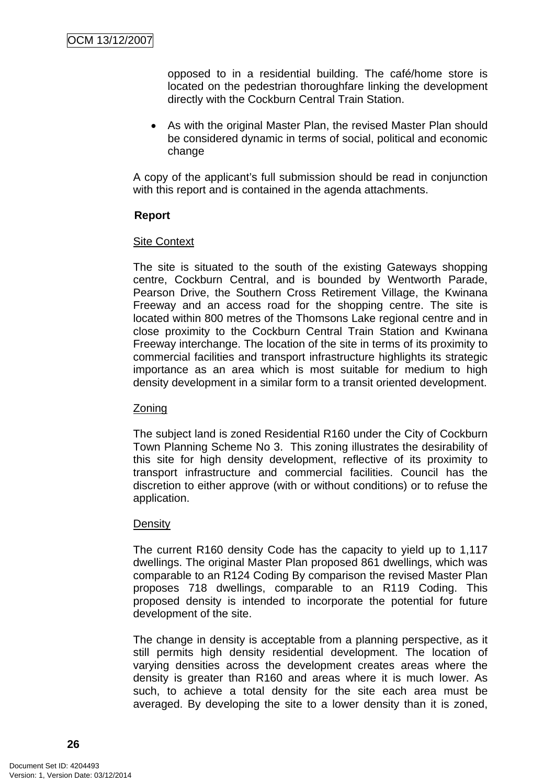opposed to in a residential building. The café/home store is located on the pedestrian thoroughfare linking the development directly with the Cockburn Central Train Station.

• As with the original Master Plan, the revised Master Plan should be considered dynamic in terms of social, political and economic change

A copy of the applicant's full submission should be read in conjunction with this report and is contained in the agenda attachments.

#### **Report**

#### Site Context

The site is situated to the south of the existing Gateways shopping centre, Cockburn Central, and is bounded by Wentworth Parade, Pearson Drive, the Southern Cross Retirement Village, the Kwinana Freeway and an access road for the shopping centre. The site is located within 800 metres of the Thomsons Lake regional centre and in close proximity to the Cockburn Central Train Station and Kwinana Freeway interchange. The location of the site in terms of its proximity to commercial facilities and transport infrastructure highlights its strategic importance as an area which is most suitable for medium to high density development in a similar form to a transit oriented development.

#### Zoning

The subject land is zoned Residential R160 under the City of Cockburn Town Planning Scheme No 3. This zoning illustrates the desirability of this site for high density development, reflective of its proximity to transport infrastructure and commercial facilities. Council has the discretion to either approve (with or without conditions) or to refuse the application.

#### **Density**

The current R160 density Code has the capacity to yield up to 1,117 dwellings. The original Master Plan proposed 861 dwellings, which was comparable to an R124 Coding By comparison the revised Master Plan proposes 718 dwellings, comparable to an R119 Coding. This proposed density is intended to incorporate the potential for future development of the site.

The change in density is acceptable from a planning perspective, as it still permits high density residential development. The location of varying densities across the development creates areas where the density is greater than R160 and areas where it is much lower. As such, to achieve a total density for the site each area must be averaged. By developing the site to a lower density than it is zoned,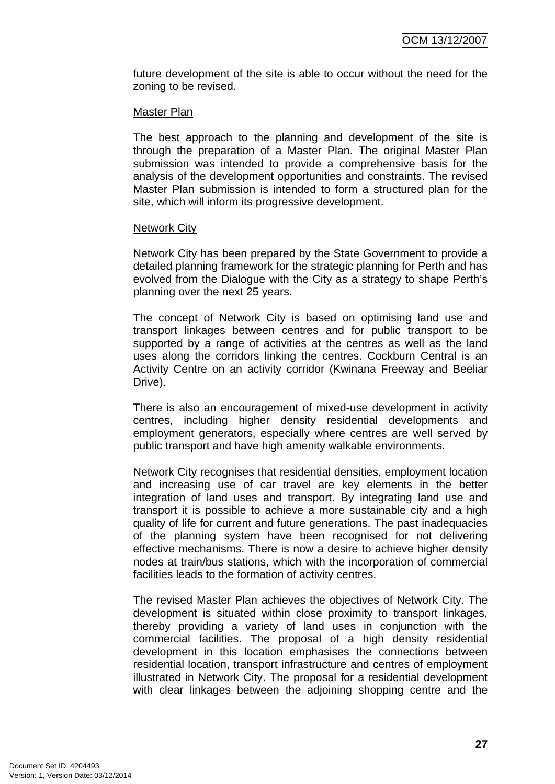future development of the site is able to occur without the need for the zoning to be revised.

#### Master Plan

The best approach to the planning and development of the site is through the preparation of a Master Plan. The original Master Plan submission was intended to provide a comprehensive basis for the analysis of the development opportunities and constraints. The revised Master Plan submission is intended to form a structured plan for the site, which will inform its progressive development.

#### **Network City**

Network City has been prepared by the State Government to provide a detailed planning framework for the strategic planning for Perth and has evolved from the Dialogue with the City as a strategy to shape Perth's planning over the next 25 years.

The concept of Network City is based on optimising land use and transport linkages between centres and for public transport to be supported by a range of activities at the centres as well as the land uses along the corridors linking the centres. Cockburn Central is an Activity Centre on an activity corridor (Kwinana Freeway and Beeliar Drive).

There is also an encouragement of mixed-use development in activity centres, including higher density residential developments and employment generators, especially where centres are well served by public transport and have high amenity walkable environments.

Network City recognises that residential densities, employment location and increasing use of car travel are key elements in the better integration of land uses and transport. By integrating land use and transport it is possible to achieve a more sustainable city and a high quality of life for current and future generations. The past inadequacies of the planning system have been recognised for not delivering effective mechanisms. There is now a desire to achieve higher density nodes at train/bus stations, which with the incorporation of commercial facilities leads to the formation of activity centres.

The revised Master Plan achieves the objectives of Network City. The development is situated within close proximity to transport linkages, thereby providing a variety of land uses in conjunction with the commercial facilities. The proposal of a high density residential development in this location emphasises the connections between residential location, transport infrastructure and centres of employment illustrated in Network City. The proposal for a residential development with clear linkages between the adjoining shopping centre and the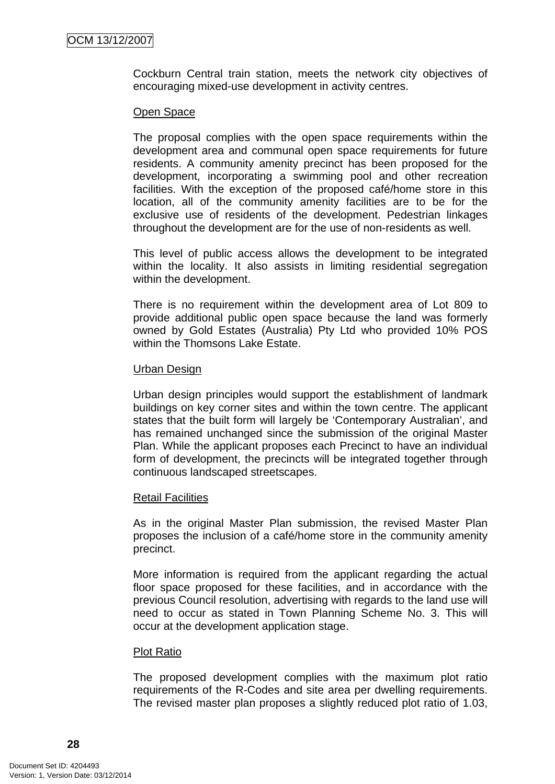Cockburn Central train station, meets the network city objectives of encouraging mixed-use development in activity centres.

#### Open Space

The proposal complies with the open space requirements within the development area and communal open space requirements for future residents. A community amenity precinct has been proposed for the development, incorporating a swimming pool and other recreation facilities. With the exception of the proposed café/home store in this location, all of the community amenity facilities are to be for the exclusive use of residents of the development. Pedestrian linkages throughout the development are for the use of non-residents as well.

This level of public access allows the development to be integrated within the locality. It also assists in limiting residential segregation within the development.

There is no requirement within the development area of Lot 809 to provide additional public open space because the land was formerly owned by Gold Estates (Australia) Pty Ltd who provided 10% POS within the Thomsons Lake Estate.

#### Urban Design

Urban design principles would support the establishment of landmark buildings on key corner sites and within the town centre. The applicant states that the built form will largely be 'Contemporary Australian', and has remained unchanged since the submission of the original Master Plan. While the applicant proposes each Precinct to have an individual form of development, the precincts will be integrated together through continuous landscaped streetscapes.

#### Retail Facilities

As in the original Master Plan submission, the revised Master Plan proposes the inclusion of a café/home store in the community amenity precinct.

More information is required from the applicant regarding the actual floor space proposed for these facilities, and in accordance with the previous Council resolution, advertising with regards to the land use will need to occur as stated in Town Planning Scheme No. 3. This will occur at the development application stage.

#### Plot Ratio

The proposed development complies with the maximum plot ratio requirements of the R-Codes and site area per dwelling requirements. The revised master plan proposes a slightly reduced plot ratio of 1.03,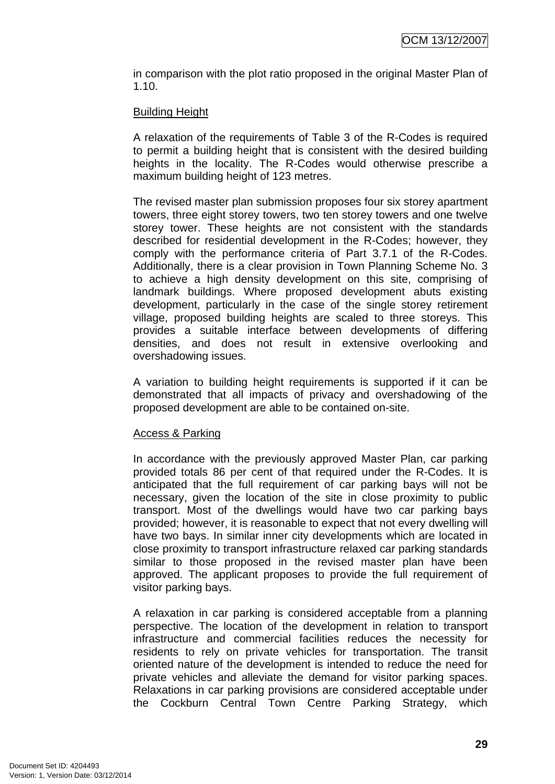in comparison with the plot ratio proposed in the original Master Plan of 1.10.

#### Building Height

A relaxation of the requirements of Table 3 of the R-Codes is required to permit a building height that is consistent with the desired building heights in the locality. The R-Codes would otherwise prescribe a maximum building height of 123 metres.

The revised master plan submission proposes four six storey apartment towers, three eight storey towers, two ten storey towers and one twelve storey tower. These heights are not consistent with the standards described for residential development in the R-Codes; however, they comply with the performance criteria of Part 3.7.1 of the R-Codes. Additionally, there is a clear provision in Town Planning Scheme No. 3 to achieve a high density development on this site, comprising of landmark buildings. Where proposed development abuts existing development, particularly in the case of the single storey retirement village, proposed building heights are scaled to three storeys. This provides a suitable interface between developments of differing densities, and does not result in extensive overlooking and overshadowing issues.

A variation to building height requirements is supported if it can be demonstrated that all impacts of privacy and overshadowing of the proposed development are able to be contained on-site.

#### Access & Parking

In accordance with the previously approved Master Plan, car parking provided totals 86 per cent of that required under the R-Codes. It is anticipated that the full requirement of car parking bays will not be necessary, given the location of the site in close proximity to public transport. Most of the dwellings would have two car parking bays provided; however, it is reasonable to expect that not every dwelling will have two bays. In similar inner city developments which are located in close proximity to transport infrastructure relaxed car parking standards similar to those proposed in the revised master plan have been approved. The applicant proposes to provide the full requirement of visitor parking bays.

A relaxation in car parking is considered acceptable from a planning perspective. The location of the development in relation to transport infrastructure and commercial facilities reduces the necessity for residents to rely on private vehicles for transportation. The transit oriented nature of the development is intended to reduce the need for private vehicles and alleviate the demand for visitor parking spaces. Relaxations in car parking provisions are considered acceptable under the Cockburn Central Town Centre Parking Strategy, which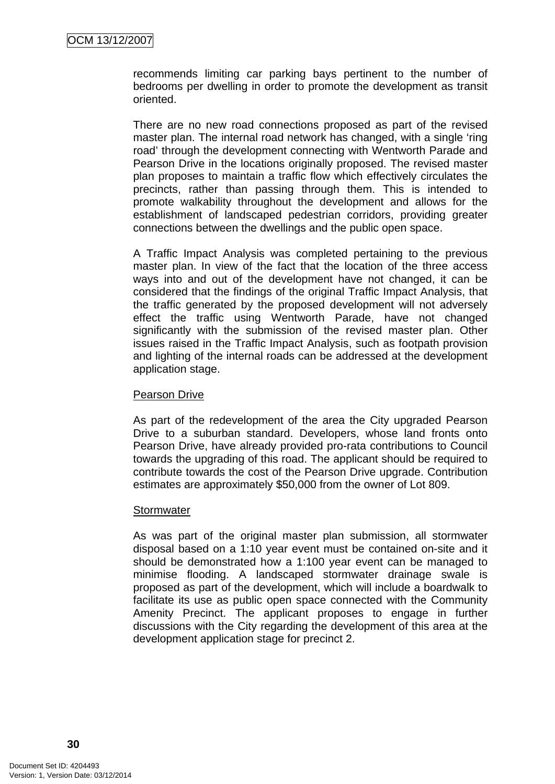recommends limiting car parking bays pertinent to the number of bedrooms per dwelling in order to promote the development as transit oriented.

There are no new road connections proposed as part of the revised master plan. The internal road network has changed, with a single 'ring road' through the development connecting with Wentworth Parade and Pearson Drive in the locations originally proposed. The revised master plan proposes to maintain a traffic flow which effectively circulates the precincts, rather than passing through them. This is intended to promote walkability throughout the development and allows for the establishment of landscaped pedestrian corridors, providing greater connections between the dwellings and the public open space.

A Traffic Impact Analysis was completed pertaining to the previous master plan. In view of the fact that the location of the three access ways into and out of the development have not changed, it can be considered that the findings of the original Traffic Impact Analysis, that the traffic generated by the proposed development will not adversely effect the traffic using Wentworth Parade, have not changed significantly with the submission of the revised master plan. Other issues raised in the Traffic Impact Analysis, such as footpath provision and lighting of the internal roads can be addressed at the development application stage.

#### Pearson Drive

As part of the redevelopment of the area the City upgraded Pearson Drive to a suburban standard. Developers, whose land fronts onto Pearson Drive, have already provided pro-rata contributions to Council towards the upgrading of this road. The applicant should be required to contribute towards the cost of the Pearson Drive upgrade. Contribution estimates are approximately \$50,000 from the owner of Lot 809.

#### **Stormwater**

As was part of the original master plan submission, all stormwater disposal based on a 1:10 year event must be contained on-site and it should be demonstrated how a 1:100 year event can be managed to minimise flooding. A landscaped stormwater drainage swale is proposed as part of the development, which will include a boardwalk to facilitate its use as public open space connected with the Community Amenity Precinct. The applicant proposes to engage in further discussions with the City regarding the development of this area at the development application stage for precinct 2.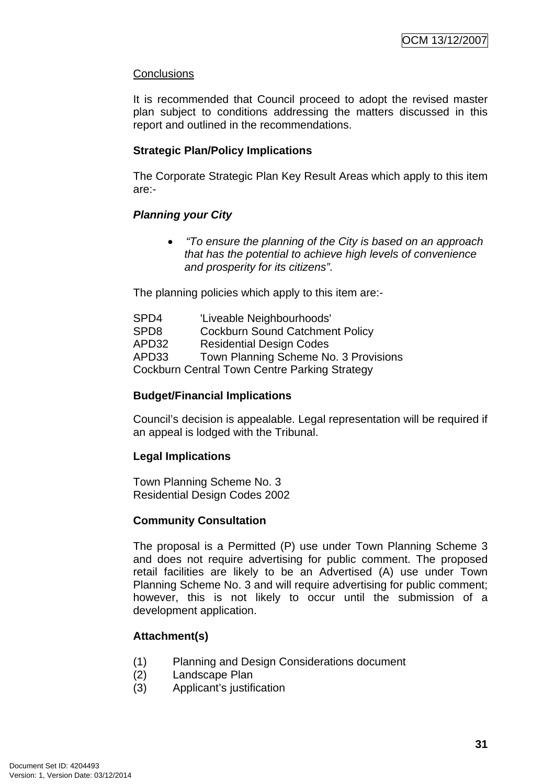#### **Conclusions**

It is recommended that Council proceed to adopt the revised master plan subject to conditions addressing the matters discussed in this report and outlined in the recommendations.

#### **Strategic Plan/Policy Implications**

The Corporate Strategic Plan Key Result Areas which apply to this item are:-

#### *Planning your City*

• *"To ensure the planning of the City is based on an approach that has the potential to achieve high levels of convenience and prosperity for its citizens".* 

The planning policies which apply to this item are:-

SPD4 'Liveable Neighbourhoods' SPD8 Cockburn Sound Catchment Policy APD32 Residential Design Codes APD33 Town Planning Scheme No. 3 Provisions Cockburn Central Town Centre Parking Strategy

#### **Budget/Financial Implications**

Council's decision is appealable. Legal representation will be required if an appeal is lodged with the Tribunal.

#### **Legal Implications**

Town Planning Scheme No. 3 Residential Design Codes 2002

#### **Community Consultation**

The proposal is a Permitted (P) use under Town Planning Scheme 3 and does not require advertising for public comment. The proposed retail facilities are likely to be an Advertised (A) use under Town Planning Scheme No. 3 and will require advertising for public comment; however, this is not likely to occur until the submission of a development application.

# **Attachment(s)**

- (1) Planning and Design Considerations document
- (2) Landscape Plan
- (3) Applicant's justification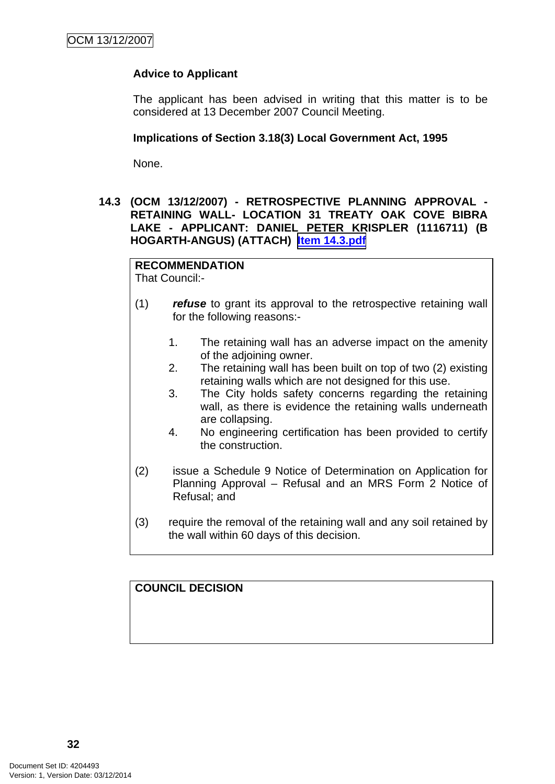# **Advice to Applicant**

The applicant has been advised in writing that this matter is to be considered at 13 December 2007 Council Meeting.

#### **Implications of Section 3.18(3) Local Government Act, 1995**

None.

**14.3 (OCM 13/12/2007) - RETROSPECTIVE PLANNING APPROVAL - RETAINING WALL- LOCATION 31 TREATY OAK COVE BIBRA LAKE - APPLICANT: DANIEL PETER KRISPLER (1116711) (B HOGARTH-ANGUS) (ATTACH) Item 14.3.pdf**

# **RECOMMENDATION**

That Council:-

- (1) *refuse* to grant its approval to the retrospective retaining wall for the following reasons:-
	- 1. The retaining wall has an adverse impact on the amenity of the adjoining owner.
	- 2. The retaining wall has been built on top of two (2) existing retaining walls which are not designed for this use.
	- 3. The City holds safety concerns regarding the retaining wall, as there is evidence the retaining walls underneath are collapsing.
	- 4. No engineering certification has been provided to certify the construction.
- (2) issue a Schedule 9 Notice of Determination on Application for Planning Approval – Refusal and an MRS Form 2 Notice of Refusal; and
- (3) require the removal of the retaining wall and any soil retained by the wall within 60 days of this decision.

**COUNCIL DECISION**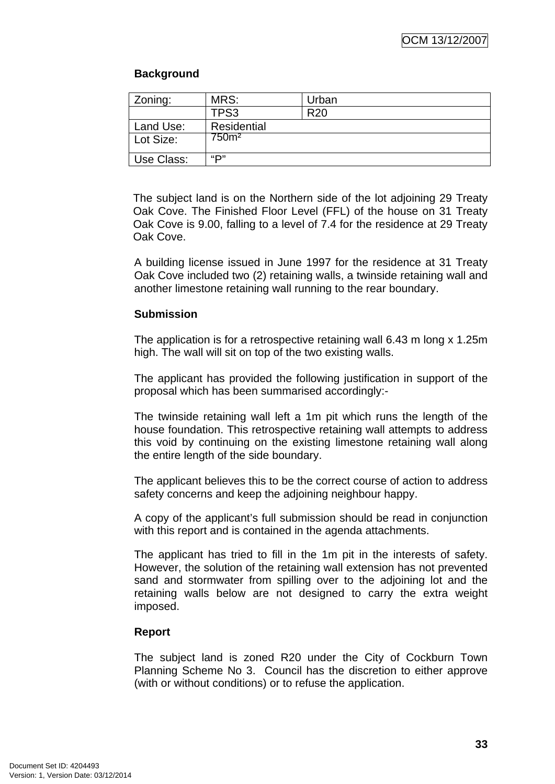# **Background**

| Zoning:    | MRS:              | Urban           |
|------------|-------------------|-----------------|
|            | TPS3              | R <sub>20</sub> |
| Land Use:  | Residential       |                 |
| Lot Size:  | 750 <sup>m2</sup> |                 |
| Use Class: | יים"              |                 |

The subject land is on the Northern side of the lot adjoining 29 Treaty Oak Cove. The Finished Floor Level (FFL) of the house on 31 Treaty Oak Cove is 9.00, falling to a level of 7.4 for the residence at 29 Treaty Oak Cove.

A building license issued in June 1997 for the residence at 31 Treaty Oak Cove included two (2) retaining walls, a twinside retaining wall and another limestone retaining wall running to the rear boundary.

#### **Submission**

The application is for a retrospective retaining wall 6.43 m long x 1.25m high. The wall will sit on top of the two existing walls.

The applicant has provided the following justification in support of the proposal which has been summarised accordingly:-

The twinside retaining wall left a 1m pit which runs the length of the house foundation. This retrospective retaining wall attempts to address this void by continuing on the existing limestone retaining wall along the entire length of the side boundary.

The applicant believes this to be the correct course of action to address safety concerns and keep the adjoining neighbour happy.

A copy of the applicant's full submission should be read in conjunction with this report and is contained in the agenda attachments.

The applicant has tried to fill in the 1m pit in the interests of safety. However, the solution of the retaining wall extension has not prevented sand and stormwater from spilling over to the adjoining lot and the retaining walls below are not designed to carry the extra weight imposed.

#### **Report**

The subject land is zoned R20 under the City of Cockburn Town Planning Scheme No 3. Council has the discretion to either approve (with or without conditions) or to refuse the application.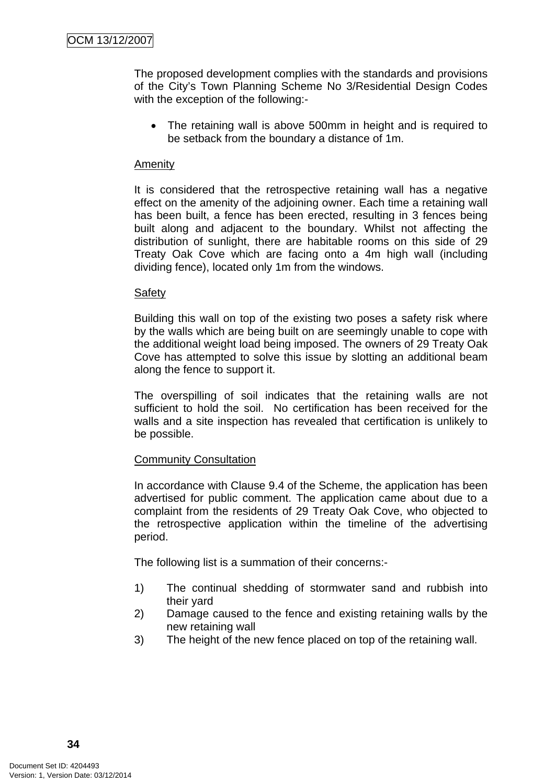The proposed development complies with the standards and provisions of the City's Town Planning Scheme No 3/Residential Design Codes with the exception of the following:-

• The retaining wall is above 500mm in height and is required to be setback from the boundary a distance of 1m.

#### **Amenity**

It is considered that the retrospective retaining wall has a negative effect on the amenity of the adjoining owner. Each time a retaining wall has been built, a fence has been erected, resulting in 3 fences being built along and adjacent to the boundary. Whilst not affecting the distribution of sunlight, there are habitable rooms on this side of 29 Treaty Oak Cove which are facing onto a 4m high wall (including dividing fence), located only 1m from the windows.

#### Safety

Building this wall on top of the existing two poses a safety risk where by the walls which are being built on are seemingly unable to cope with the additional weight load being imposed. The owners of 29 Treaty Oak Cove has attempted to solve this issue by slotting an additional beam along the fence to support it.

The overspilling of soil indicates that the retaining walls are not sufficient to hold the soil. No certification has been received for the walls and a site inspection has revealed that certification is unlikely to be possible.

#### Community Consultation

In accordance with Clause 9.4 of the Scheme, the application has been advertised for public comment. The application came about due to a complaint from the residents of 29 Treaty Oak Cove, who objected to the retrospective application within the timeline of the advertising period.

The following list is a summation of their concerns:-

- 1) The continual shedding of stormwater sand and rubbish into their yard
- 2) Damage caused to the fence and existing retaining walls by the new retaining wall
- 3) The height of the new fence placed on top of the retaining wall.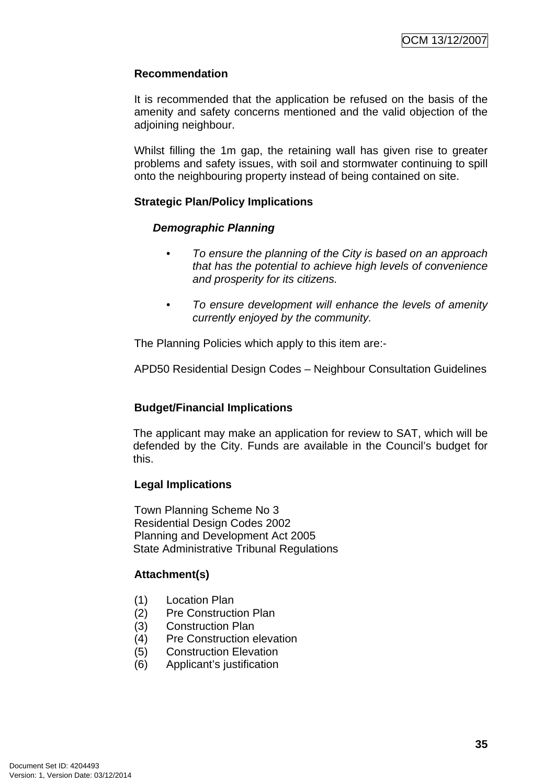## **Recommendation**

It is recommended that the application be refused on the basis of the amenity and safety concerns mentioned and the valid objection of the adjoining neighbour.

Whilst filling the 1m gap, the retaining wall has given rise to greater problems and safety issues, with soil and stormwater continuing to spill onto the neighbouring property instead of being contained on site.

#### **Strategic Plan/Policy Implications**

#### *Demographic Planning*

- *To ensure the planning of the City is based on an approach that has the potential to achieve high levels of convenience and prosperity for its citizens.*
- *To ensure development will enhance the levels of amenity currently enjoyed by the community.*

The Planning Policies which apply to this item are:-

APD50 Residential Design Codes – Neighbour Consultation Guidelines

# **Budget/Financial Implications**

The applicant may make an application for review to SAT, which will be defended by the City. Funds are available in the Council's budget for this.

#### **Legal Implications**

Town Planning Scheme No 3 Residential Design Codes 2002 Planning and Development Act 2005 State Administrative Tribunal Regulations

# **Attachment(s)**

- (1) Location Plan
- (2) Pre Construction Plan
- (3) Construction Plan
- (4) Pre Construction elevation
- (5) Construction Elevation
- (6) Applicant's justification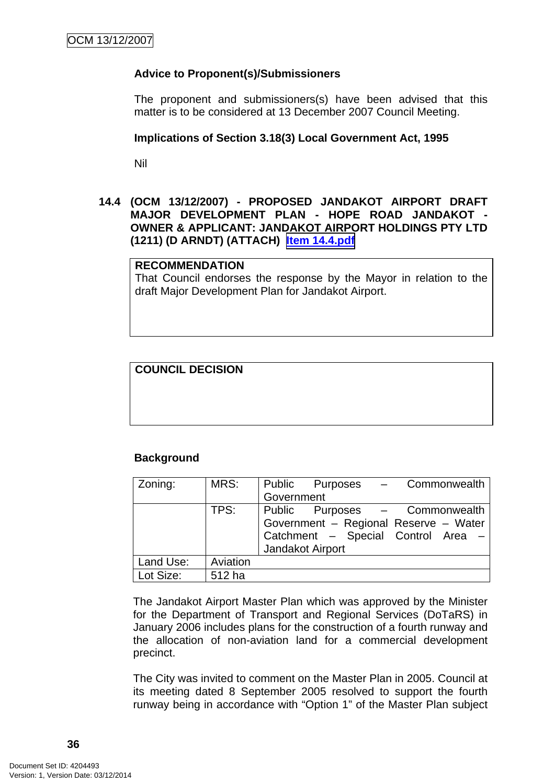## **Advice to Proponent(s)/Submissioners**

The proponent and submissioners(s) have been advised that this matter is to be considered at 13 December 2007 Council Meeting.

#### **Implications of Section 3.18(3) Local Government Act, 1995**

Nil

#### **14.4 (OCM 13/12/2007) - PROPOSED JANDAKOT AIRPORT DRAFT MAJOR DEVELOPMENT PLAN - HOPE ROAD JANDAKOT - OWNER & APPLICANT: JANDAKOT AIRPORT HOLDINGS PTY LTD (1211) (D ARNDT) (ATTACH) Item 14.4.pdf**

#### **RECOMMENDATION**

That Council endorses the response by the Mayor in relation to the draft Major Development Plan for Jandakot Airport.

## **COUNCIL DECISION**

#### **Background**

| Zoning:   | MRS:     | Public Purposes - Commonwealth<br>Government                                                                                      |
|-----------|----------|-----------------------------------------------------------------------------------------------------------------------------------|
|           | TPS:     | Public Purposes - Commonwealth<br>Government - Regional Reserve - Water<br>Catchment - Special Control Area -<br>Jandakot Airport |
| Land Use: | Aviation |                                                                                                                                   |
| Lot Size: | 512 ha   |                                                                                                                                   |

The Jandakot Airport Master Plan which was approved by the Minister for the Department of Transport and Regional Services (DoTaRS) in January 2006 includes plans for the construction of a fourth runway and the allocation of non-aviation land for a commercial development precinct.

The City was invited to comment on the Master Plan in 2005. Council at its meeting dated 8 September 2005 resolved to support the fourth runway being in accordance with "Option 1" of the Master Plan subject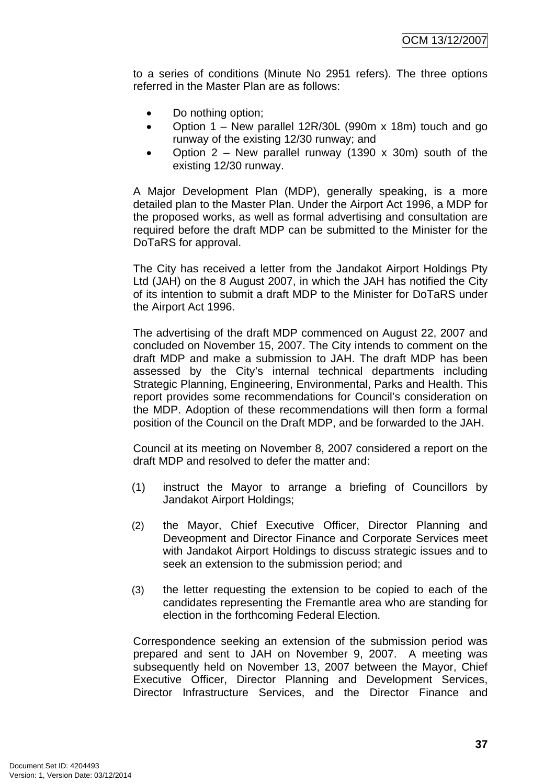to a series of conditions (Minute No 2951 refers). The three options referred in the Master Plan are as follows:

- Do nothing option;
- Option 1 New parallel 12R/30L (990m x 18m) touch and go runway of the existing 12/30 runway; and
- Option 2 New parallel runway (1390 x 30m) south of the existing 12/30 runway.

A Major Development Plan (MDP), generally speaking, is a more detailed plan to the Master Plan. Under the Airport Act 1996, a MDP for the proposed works, as well as formal advertising and consultation are required before the draft MDP can be submitted to the Minister for the DoTaRS for approval.

The City has received a letter from the Jandakot Airport Holdings Pty Ltd (JAH) on the 8 August 2007, in which the JAH has notified the City of its intention to submit a draft MDP to the Minister for DoTaRS under the Airport Act 1996.

The advertising of the draft MDP commenced on August 22, 2007 and concluded on November 15, 2007. The City intends to comment on the draft MDP and make a submission to JAH. The draft MDP has been assessed by the City's internal technical departments including Strategic Planning, Engineering, Environmental, Parks and Health. This report provides some recommendations for Council's consideration on the MDP. Adoption of these recommendations will then form a formal position of the Council on the Draft MDP, and be forwarded to the JAH.

Council at its meeting on November 8, 2007 considered a report on the draft MDP and resolved to defer the matter and:

- (1) instruct the Mayor to arrange a briefing of Councillors by Jandakot Airport Holdings;
- (2) the Mayor, Chief Executive Officer, Director Planning and Deveopment and Director Finance and Corporate Services meet with Jandakot Airport Holdings to discuss strategic issues and to seek an extension to the submission period; and
- (3) the letter requesting the extension to be copied to each of the candidates representing the Fremantle area who are standing for election in the forthcoming Federal Election.

Correspondence seeking an extension of the submission period was prepared and sent to JAH on November 9, 2007. A meeting was subsequently held on November 13, 2007 between the Mayor, Chief Executive Officer, Director Planning and Development Services, Director Infrastructure Services, and the Director Finance and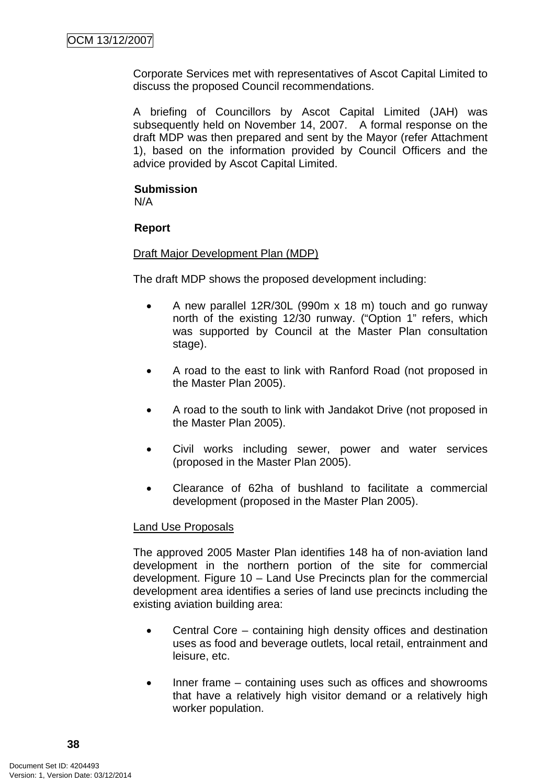Corporate Services met with representatives of Ascot Capital Limited to discuss the proposed Council recommendations.

A briefing of Councillors by Ascot Capital Limited (JAH) was subsequently held on November 14, 2007. A formal response on the draft MDP was then prepared and sent by the Mayor (refer Attachment 1), based on the information provided by Council Officers and the advice provided by Ascot Capital Limited.

# **Submission**

N/A

# **Report**

## Draft Major Development Plan (MDP)

The draft MDP shows the proposed development including:

- A new parallel 12R/30L (990m x 18 m) touch and go runway north of the existing 12/30 runway. ("Option 1" refers, which was supported by Council at the Master Plan consultation stage).
- A road to the east to link with Ranford Road (not proposed in the Master Plan 2005).
- A road to the south to link with Jandakot Drive (not proposed in the Master Plan 2005).
- Civil works including sewer, power and water services (proposed in the Master Plan 2005).
- Clearance of 62ha of bushland to facilitate a commercial development (proposed in the Master Plan 2005).

# Land Use Proposals

The approved 2005 Master Plan identifies 148 ha of non-aviation land development in the northern portion of the site for commercial development. Figure 10 – Land Use Precincts plan for the commercial development area identifies a series of land use precincts including the existing aviation building area:

- Central Core containing high density offices and destination uses as food and beverage outlets, local retail, entrainment and leisure, etc.
- Inner frame containing uses such as offices and showrooms that have a relatively high visitor demand or a relatively high worker population.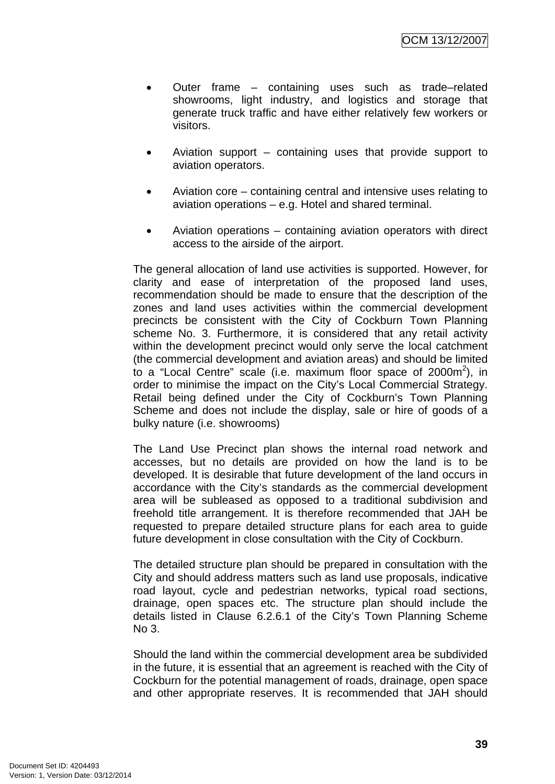- Outer frame containing uses such as trade–related showrooms, light industry, and logistics and storage that generate truck traffic and have either relatively few workers or visitors.
- Aviation support containing uses that provide support to aviation operators.
- Aviation core containing central and intensive uses relating to aviation operations – e.g. Hotel and shared terminal.
- Aviation operations containing aviation operators with direct access to the airside of the airport.

The general allocation of land use activities is supported. However, for clarity and ease of interpretation of the proposed land uses, recommendation should be made to ensure that the description of the zones and land uses activities within the commercial development precincts be consistent with the City of Cockburn Town Planning scheme No. 3. Furthermore, it is considered that any retail activity within the development precinct would only serve the local catchment (the commercial development and aviation areas) and should be limited to a "Local Centre" scale (i.e. maximum floor space of 2000m<sup>2</sup>), in order to minimise the impact on the City's Local Commercial Strategy. Retail being defined under the City of Cockburn's Town Planning Scheme and does not include the display, sale or hire of goods of a bulky nature (i.e. showrooms)

The Land Use Precinct plan shows the internal road network and accesses, but no details are provided on how the land is to be developed. It is desirable that future development of the land occurs in accordance with the City's standards as the commercial development area will be subleased as opposed to a traditional subdivision and freehold title arrangement. It is therefore recommended that JAH be requested to prepare detailed structure plans for each area to guide future development in close consultation with the City of Cockburn.

The detailed structure plan should be prepared in consultation with the City and should address matters such as land use proposals, indicative road layout, cycle and pedestrian networks, typical road sections, drainage, open spaces etc. The structure plan should include the details listed in Clause 6.2.6.1 of the City's Town Planning Scheme No 3.

Should the land within the commercial development area be subdivided in the future, it is essential that an agreement is reached with the City of Cockburn for the potential management of roads, drainage, open space and other appropriate reserves. It is recommended that JAH should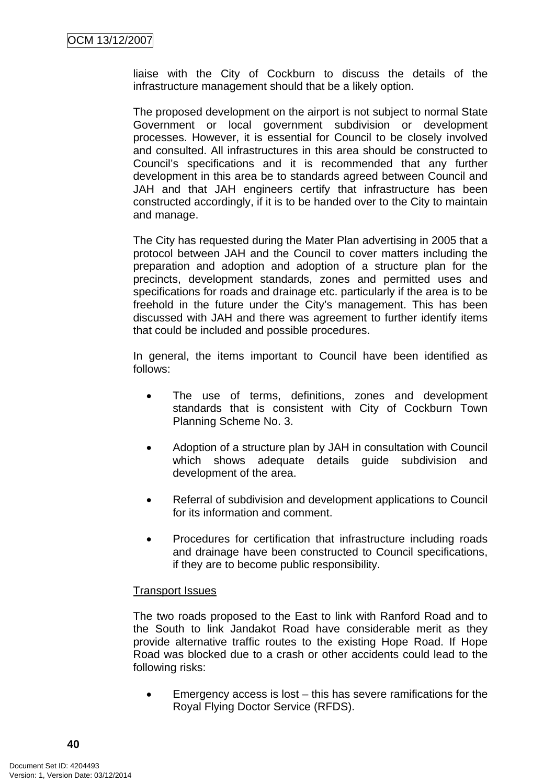liaise with the City of Cockburn to discuss the details of the infrastructure management should that be a likely option.

The proposed development on the airport is not subject to normal State Government or local government subdivision or development processes. However, it is essential for Council to be closely involved and consulted. All infrastructures in this area should be constructed to Council's specifications and it is recommended that any further development in this area be to standards agreed between Council and JAH and that JAH engineers certify that infrastructure has been constructed accordingly, if it is to be handed over to the City to maintain and manage.

The City has requested during the Mater Plan advertising in 2005 that a protocol between JAH and the Council to cover matters including the preparation and adoption and adoption of a structure plan for the precincts, development standards, zones and permitted uses and specifications for roads and drainage etc. particularly if the area is to be freehold in the future under the City's management. This has been discussed with JAH and there was agreement to further identify items that could be included and possible procedures.

In general, the items important to Council have been identified as follows:

- The use of terms, definitions, zones and development standards that is consistent with City of Cockburn Town Planning Scheme No. 3.
- Adoption of a structure plan by JAH in consultation with Council which shows adequate details guide subdivision and development of the area.
- Referral of subdivision and development applications to Council for its information and comment.
- Procedures for certification that infrastructure including roads and drainage have been constructed to Council specifications, if they are to become public responsibility.

#### Transport Issues

The two roads proposed to the East to link with Ranford Road and to the South to link Jandakot Road have considerable merit as they provide alternative traffic routes to the existing Hope Road. If Hope Road was blocked due to a crash or other accidents could lead to the following risks:

• Emergency access is lost – this has severe ramifications for the Royal Flying Doctor Service (RFDS).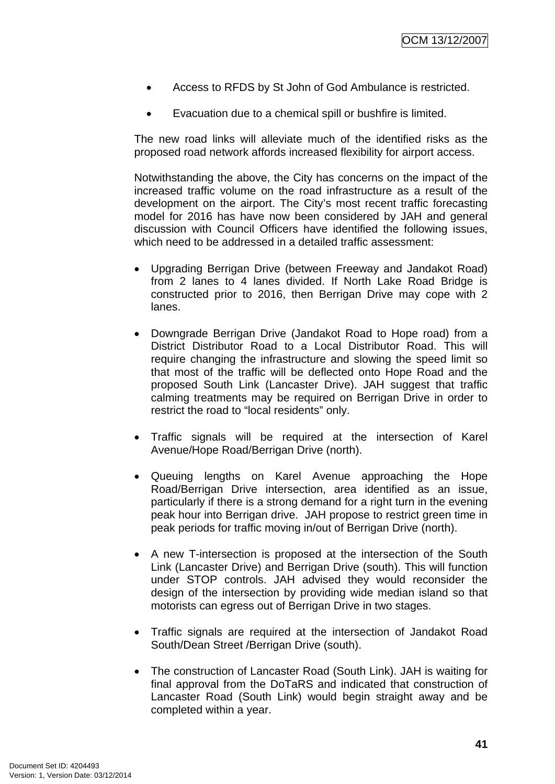- Access to RFDS by St John of God Ambulance is restricted.
- Evacuation due to a chemical spill or bushfire is limited.

The new road links will alleviate much of the identified risks as the proposed road network affords increased flexibility for airport access.

Notwithstanding the above, the City has concerns on the impact of the increased traffic volume on the road infrastructure as a result of the development on the airport. The City's most recent traffic forecasting model for 2016 has have now been considered by JAH and general discussion with Council Officers have identified the following issues, which need to be addressed in a detailed traffic assessment:

- Upgrading Berrigan Drive (between Freeway and Jandakot Road) from 2 lanes to 4 lanes divided. If North Lake Road Bridge is constructed prior to 2016, then Berrigan Drive may cope with 2 lanes.
- Downgrade Berrigan Drive (Jandakot Road to Hope road) from a District Distributor Road to a Local Distributor Road. This will require changing the infrastructure and slowing the speed limit so that most of the traffic will be deflected onto Hope Road and the proposed South Link (Lancaster Drive). JAH suggest that traffic calming treatments may be required on Berrigan Drive in order to restrict the road to "local residents" only.
- Traffic signals will be required at the intersection of Karel Avenue/Hope Road/Berrigan Drive (north).
- Queuing lengths on Karel Avenue approaching the Hope Road/Berrigan Drive intersection, area identified as an issue, particularly if there is a strong demand for a right turn in the evening peak hour into Berrigan drive. JAH propose to restrict green time in peak periods for traffic moving in/out of Berrigan Drive (north).
- A new T-intersection is proposed at the intersection of the South Link (Lancaster Drive) and Berrigan Drive (south). This will function under STOP controls. JAH advised they would reconsider the design of the intersection by providing wide median island so that motorists can egress out of Berrigan Drive in two stages.
- Traffic signals are required at the intersection of Jandakot Road South/Dean Street /Berrigan Drive (south).
- The construction of Lancaster Road (South Link). JAH is waiting for final approval from the DoTaRS and indicated that construction of Lancaster Road (South Link) would begin straight away and be completed within a year.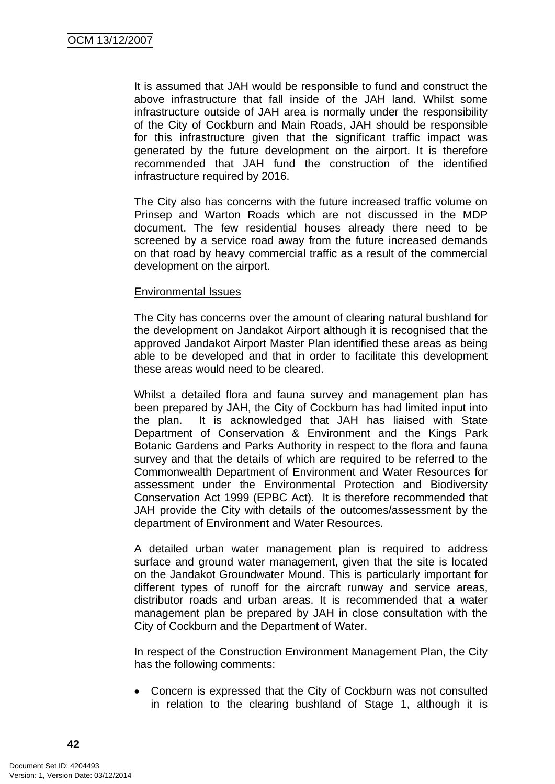It is assumed that JAH would be responsible to fund and construct the above infrastructure that fall inside of the JAH land. Whilst some infrastructure outside of JAH area is normally under the responsibility of the City of Cockburn and Main Roads, JAH should be responsible for this infrastructure given that the significant traffic impact was generated by the future development on the airport. It is therefore recommended that JAH fund the construction of the identified infrastructure required by 2016.

The City also has concerns with the future increased traffic volume on Prinsep and Warton Roads which are not discussed in the MDP document. The few residential houses already there need to be screened by a service road away from the future increased demands on that road by heavy commercial traffic as a result of the commercial development on the airport.

#### Environmental Issues

The City has concerns over the amount of clearing natural bushland for the development on Jandakot Airport although it is recognised that the approved Jandakot Airport Master Plan identified these areas as being able to be developed and that in order to facilitate this development these areas would need to be cleared.

Whilst a detailed flora and fauna survey and management plan has been prepared by JAH, the City of Cockburn has had limited input into the plan. It is acknowledged that JAH has liaised with State Department of Conservation & Environment and the Kings Park Botanic Gardens and Parks Authority in respect to the flora and fauna survey and that the details of which are required to be referred to the Commonwealth Department of Environment and Water Resources for assessment under the Environmental Protection and Biodiversity Conservation Act 1999 (EPBC Act). It is therefore recommended that JAH provide the City with details of the outcomes/assessment by the department of Environment and Water Resources.

A detailed urban water management plan is required to address surface and ground water management, given that the site is located on the Jandakot Groundwater Mound. This is particularly important for different types of runoff for the aircraft runway and service areas, distributor roads and urban areas. It is recommended that a water management plan be prepared by JAH in close consultation with the City of Cockburn and the Department of Water.

In respect of the Construction Environment Management Plan, the City has the following comments:

• Concern is expressed that the City of Cockburn was not consulted in relation to the clearing bushland of Stage 1, although it is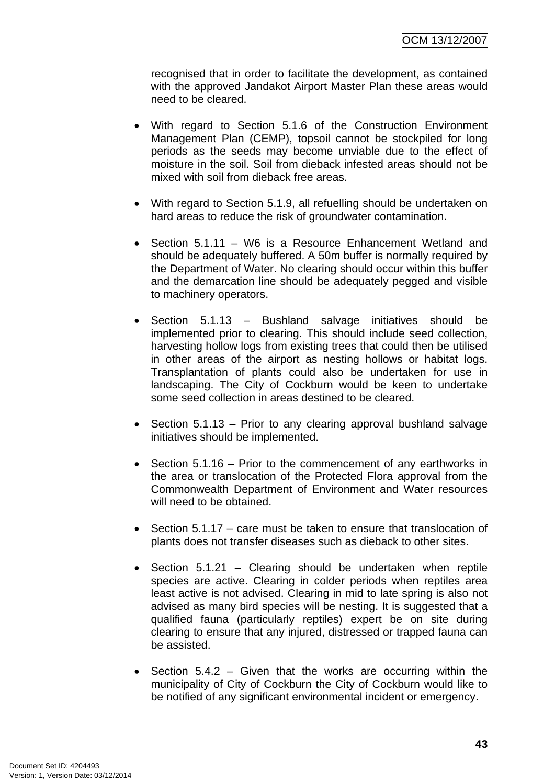recognised that in order to facilitate the development, as contained with the approved Jandakot Airport Master Plan these areas would need to be cleared.

- With regard to Section 5.1.6 of the Construction Environment Management Plan (CEMP), topsoil cannot be stockpiled for long periods as the seeds may become unviable due to the effect of moisture in the soil. Soil from dieback infested areas should not be mixed with soil from dieback free areas.
- With regard to Section 5.1.9, all refuelling should be undertaken on hard areas to reduce the risk of groundwater contamination.
- Section 5.1.11 W6 is a Resource Enhancement Wetland and should be adequately buffered. A 50m buffer is normally required by the Department of Water. No clearing should occur within this buffer and the demarcation line should be adequately pegged and visible to machinery operators.
- Section 5.1.13 Bushland salvage initiatives should be implemented prior to clearing. This should include seed collection, harvesting hollow logs from existing trees that could then be utilised in other areas of the airport as nesting hollows or habitat logs. Transplantation of plants could also be undertaken for use in landscaping. The City of Cockburn would be keen to undertake some seed collection in areas destined to be cleared.
- Section 5.1.13 Prior to any clearing approval bushland salvage initiatives should be implemented.
- Section 5.1.16 Prior to the commencement of any earthworks in the area or translocation of the Protected Flora approval from the Commonwealth Department of Environment and Water resources will need to be obtained.
- Section 5.1.17 care must be taken to ensure that translocation of plants does not transfer diseases such as dieback to other sites.
- Section 5.1.21 Clearing should be undertaken when reptile species are active. Clearing in colder periods when reptiles area least active is not advised. Clearing in mid to late spring is also not advised as many bird species will be nesting. It is suggested that a qualified fauna (particularly reptiles) expert be on site during clearing to ensure that any injured, distressed or trapped fauna can be assisted.
- Section 5.4.2 Given that the works are occurring within the municipality of City of Cockburn the City of Cockburn would like to be notified of any significant environmental incident or emergency.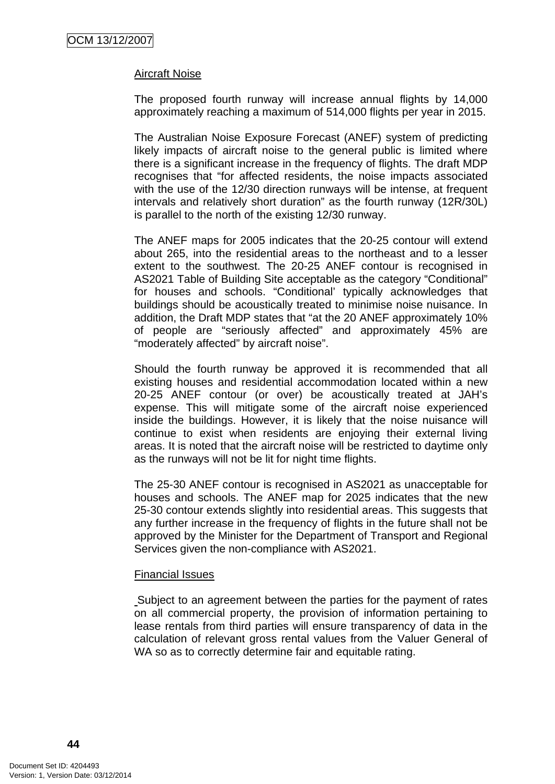#### Aircraft Noise

The proposed fourth runway will increase annual flights by 14,000 approximately reaching a maximum of 514,000 flights per year in 2015.

The Australian Noise Exposure Forecast (ANEF) system of predicting likely impacts of aircraft noise to the general public is limited where there is a significant increase in the frequency of flights. The draft MDP recognises that "for affected residents, the noise impacts associated with the use of the 12/30 direction runways will be intense, at frequent intervals and relatively short duration" as the fourth runway (12R/30L) is parallel to the north of the existing 12/30 runway.

The ANEF maps for 2005 indicates that the 20-25 contour will extend about 265, into the residential areas to the northeast and to a lesser extent to the southwest. The 20-25 ANEF contour is recognised in AS2021 Table of Building Site acceptable as the category "Conditional" for houses and schools. "Conditional' typically acknowledges that buildings should be acoustically treated to minimise noise nuisance. In addition, the Draft MDP states that "at the 20 ANEF approximately 10% of people are "seriously affected" and approximately 45% are "moderately affected" by aircraft noise".

Should the fourth runway be approved it is recommended that all existing houses and residential accommodation located within a new 20-25 ANEF contour (or over) be acoustically treated at JAH's expense. This will mitigate some of the aircraft noise experienced inside the buildings. However, it is likely that the noise nuisance will continue to exist when residents are enjoying their external living areas. It is noted that the aircraft noise will be restricted to daytime only as the runways will not be lit for night time flights.

The 25-30 ANEF contour is recognised in AS2021 as unacceptable for houses and schools. The ANEF map for 2025 indicates that the new 25-30 contour extends slightly into residential areas. This suggests that any further increase in the frequency of flights in the future shall not be approved by the Minister for the Department of Transport and Regional Services given the non-compliance with AS2021.

#### Financial Issues

Subject to an agreement between the parties for the payment of rates on all commercial property, the provision of information pertaining to lease rentals from third parties will ensure transparency of data in the calculation of relevant gross rental values from the Valuer General of WA so as to correctly determine fair and equitable rating.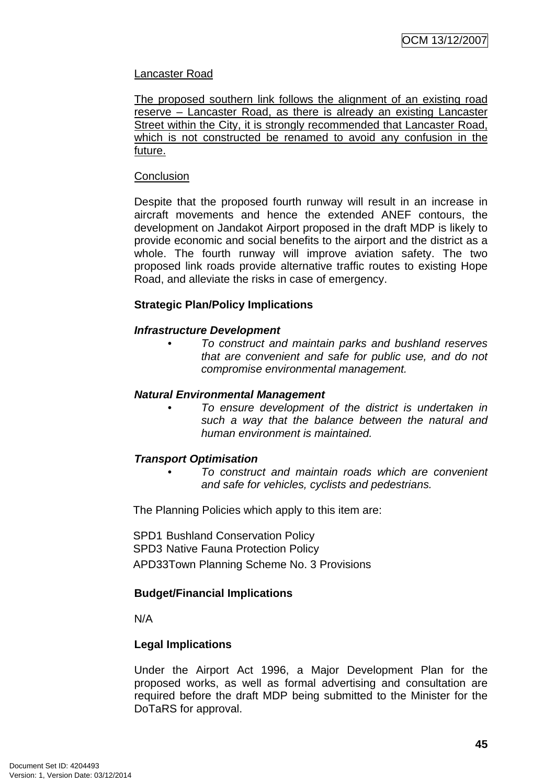## Lancaster Road

The proposed southern link follows the alignment of an existing road reserve – Lancaster Road, as there is already an existing Lancaster Street within the City, it is strongly recommended that Lancaster Road, which is not constructed be renamed to avoid any confusion in the future.

#### **Conclusion**

Despite that the proposed fourth runway will result in an increase in aircraft movements and hence the extended ANEF contours, the development on Jandakot Airport proposed in the draft MDP is likely to provide economic and social benefits to the airport and the district as a whole. The fourth runway will improve aviation safety. The two proposed link roads provide alternative traffic routes to existing Hope Road, and alleviate the risks in case of emergency.

#### **Strategic Plan/Policy Implications**

#### *Infrastructure Development*

*• To construct and maintain parks and bushland reserves that are convenient and safe for public use, and do not compromise environmental management.* 

#### *Natural Environmental Management*

*• To ensure development of the district is undertaken in such a way that the balance between the natural and human environment is maintained.* 

#### *Transport Optimisation*

*• To construct and maintain roads which are convenient and safe for vehicles, cyclists and pedestrians.* 

The Planning Policies which apply to this item are:

SPD1 Bushland Conservation Policy SPD3 Native Fauna Protection Policy APD33Town Planning Scheme No. 3 Provisions

#### **Budget/Financial Implications**

N/A

#### **Legal Implications**

Under the Airport Act 1996, a Major Development Plan for the proposed works, as well as formal advertising and consultation are required before the draft MDP being submitted to the Minister for the DoTaRS for approval.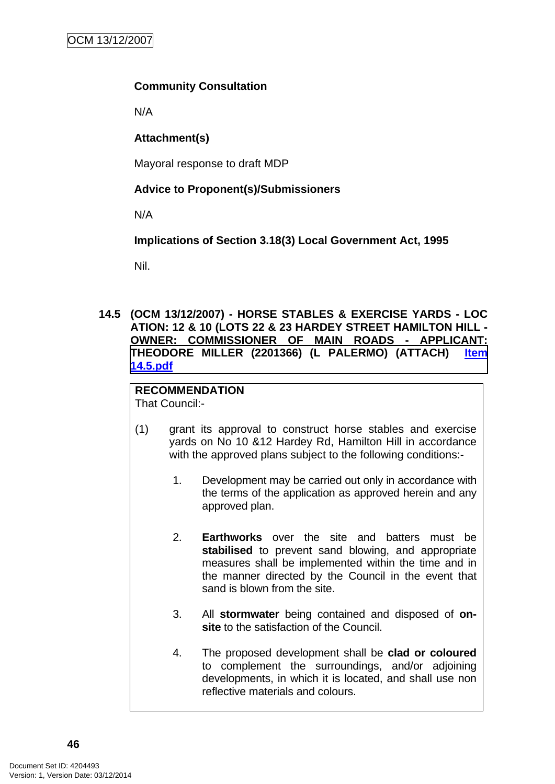## **Community Consultation**

N/A

# **Attachment(s)**

Mayoral response to draft MDP

# **Advice to Proponent(s)/Submissioners**

N/A

**Implications of Section 3.18(3) Local Government Act, 1995**

Nil.

**14.5 (OCM 13/12/2007) - HORSE STABLES & EXERCISE YARDS - LOC ATION: 12 & 10 (LOTS 22 & 23 HARDEY STREET HAMILTON HILL - OWNER: COMMISSIONER OF MAIN ROADS - APPLICANT: THEODORE MILLER (2201366) (L PALERMO) (ATTACH) Item 14.5.pdf**

#### **RECOMMENDATION** That Council:-

- (1) grant its approval to construct horse stables and exercise yards on No 10 &12 Hardey Rd, Hamilton Hill in accordance with the approved plans subject to the following conditions:-
	- 1. Development may be carried out only in accordance with the terms of the application as approved herein and any approved plan.
	- 2. **Earthworks** over the site and batters must be **stabilised** to prevent sand blowing, and appropriate measures shall be implemented within the time and in the manner directed by the Council in the event that sand is blown from the site.
	- 3. All **stormwater** being contained and disposed of **onsite** to the satisfaction of the Council.
	- 4. The proposed development shall be **clad or coloured** to complement the surroundings, and/or adjoining developments, in which it is located, and shall use non reflective materials and colours.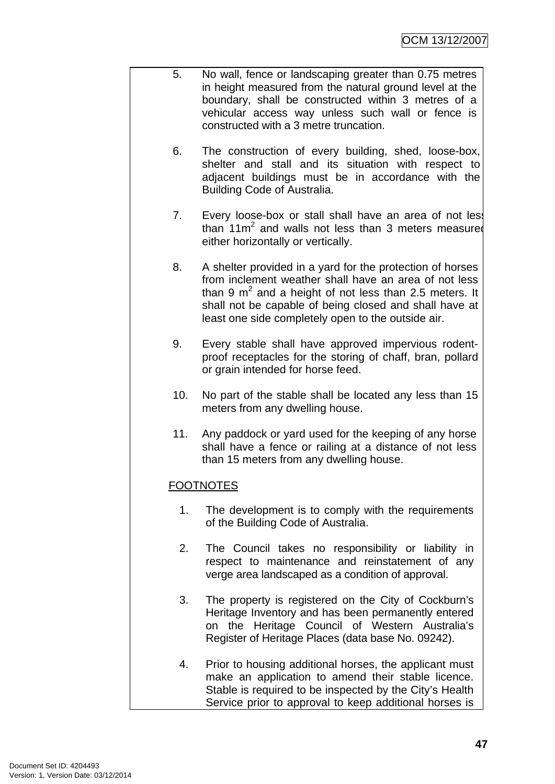- 5. No wall, fence or landscaping greater than 0.75 metres in height measured from the natural ground level at the boundary, shall be constructed within 3 metres of a vehicular access way unless such wall or fence is constructed with a 3 metre truncation.
	- 6. The construction of every building, shed, loose-box, shelter and stall and its situation with respect to adjacent buildings must be in accordance with the Building Code of Australia.
	- 7. Every loose-box or stall shall have an area of not less than  $11m^2$  and walls not less than 3 meters measured either horizontally or vertically.
	- 8. A shelter provided in a yard for the protection of horses from inclement weather shall have an area of not less than 9  $m^2$  and a height of not less than 2.5 meters. It shall not be capable of being closed and shall have at least one side completely open to the outside air.
	- 9. Every stable shall have approved impervious rodentproof receptacles for the storing of chaff, bran, pollard or grain intended for horse feed.
	- 10. No part of the stable shall be located any less than 15 meters from any dwelling house.
	- 11. Any paddock or yard used for the keeping of any horse shall have a fence or railing at a distance of not less than 15 meters from any dwelling house.

# **FOOTNOTES**

- 1. The development is to comply with the requirements of the Building Code of Australia.
- 2. The Council takes no responsibility or liability in respect to maintenance and reinstatement of any verge area landscaped as a condition of approval.
- 3. The property is registered on the City of Cockburn's Heritage Inventory and has been permanently entered on the Heritage Council of Western Australia's Register of Heritage Places (data base No. 09242).
- 4. Prior to housing additional horses, the applicant must make an application to amend their stable licence. Stable is required to be inspected by the City's Health Service prior to approval to keep additional horses is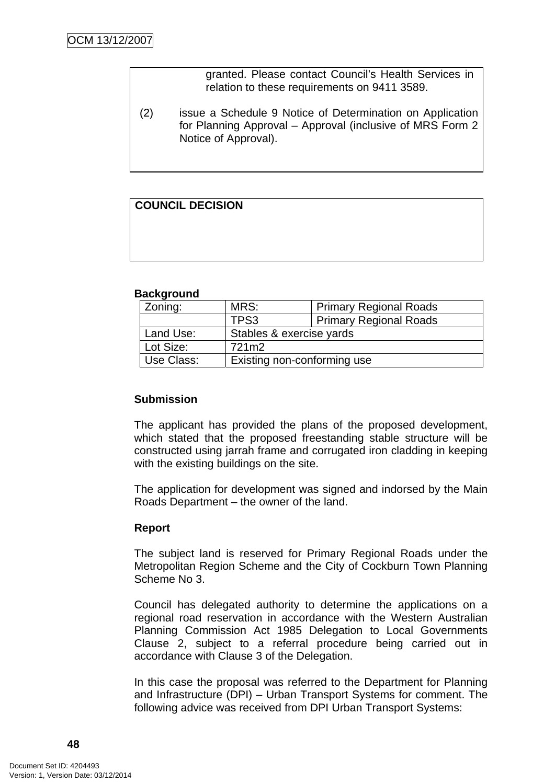granted. Please contact Council's Health Services in relation to these requirements on 9411 3589.

(2) issue a Schedule 9 Notice of Determination on Application for Planning Approval – Approval (inclusive of MRS Form 2 Notice of Approval).

# **COUNCIL DECISION**

#### **Background**

| Zoning:    | MRS:                        | <b>Primary Regional Roads</b> |
|------------|-----------------------------|-------------------------------|
|            | TPS3                        | Primary Regional Roads        |
| Land Use:  | Stables & exercise yards    |                               |
| Lot Size:  | 721m2                       |                               |
| Use Class: | Existing non-conforming use |                               |

#### **Submission**

The applicant has provided the plans of the proposed development, which stated that the proposed freestanding stable structure will be constructed using jarrah frame and corrugated iron cladding in keeping with the existing buildings on the site.

The application for development was signed and indorsed by the Main Roads Department – the owner of the land.

#### **Report**

The subject land is reserved for Primary Regional Roads under the Metropolitan Region Scheme and the City of Cockburn Town Planning Scheme No 3.

Council has delegated authority to determine the applications on a regional road reservation in accordance with the Western Australian Planning Commission Act 1985 Delegation to Local Governments Clause 2, subject to a referral procedure being carried out in accordance with Clause 3 of the Delegation.

In this case the proposal was referred to the Department for Planning and Infrastructure (DPI) – Urban Transport Systems for comment. The following advice was received from DPI Urban Transport Systems: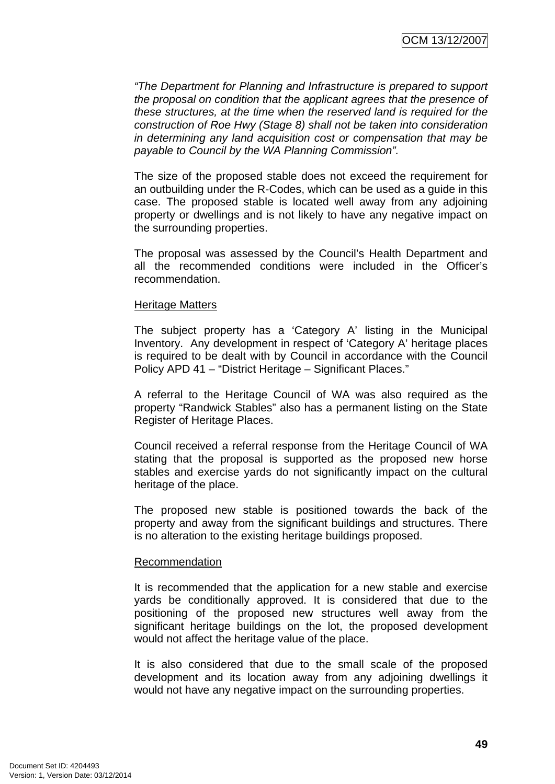*"The Department for Planning and Infrastructure is prepared to support the proposal on condition that the applicant agrees that the presence of these structures, at the time when the reserved land is required for the construction of Roe Hwy (Stage 8) shall not be taken into consideration in determining any land acquisition cost or compensation that may be payable to Council by the WA Planning Commission".* 

The size of the proposed stable does not exceed the requirement for an outbuilding under the R-Codes, which can be used as a guide in this case. The proposed stable is located well away from any adjoining property or dwellings and is not likely to have any negative impact on the surrounding properties.

The proposal was assessed by the Council's Health Department and all the recommended conditions were included in the Officer's recommendation.

#### Heritage Matters

The subject property has a 'Category A' listing in the Municipal Inventory. Any development in respect of 'Category A' heritage places is required to be dealt with by Council in accordance with the Council Policy APD 41 – "District Heritage – Significant Places."

A referral to the Heritage Council of WA was also required as the property "Randwick Stables" also has a permanent listing on the State Register of Heritage Places.

Council received a referral response from the Heritage Council of WA stating that the proposal is supported as the proposed new horse stables and exercise yards do not significantly impact on the cultural heritage of the place.

The proposed new stable is positioned towards the back of the property and away from the significant buildings and structures. There is no alteration to the existing heritage buildings proposed.

#### Recommendation

It is recommended that the application for a new stable and exercise yards be conditionally approved. It is considered that due to the positioning of the proposed new structures well away from the significant heritage buildings on the lot, the proposed development would not affect the heritage value of the place.

It is also considered that due to the small scale of the proposed development and its location away from any adjoining dwellings it would not have any negative impact on the surrounding properties.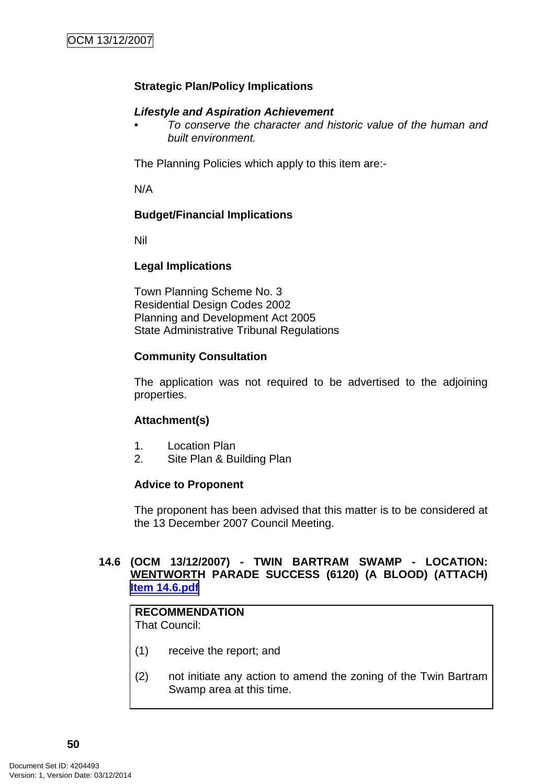# **Strategic Plan/Policy Implications**

# *Lifestyle and Aspiration Achievement*

*• To conserve the character and historic value of the human and built environment.* 

The Planning Policies which apply to this item are:-

N/A

## **Budget/Financial Implications**

Nil

## **Legal Implications**

Town Planning Scheme No. 3 Residential Design Codes 2002 Planning and Development Act 2005 State Administrative Tribunal Regulations

## **Community Consultation**

The application was not required to be advertised to the adjoining properties.

# **Attachment(s)**

- 1. Location Plan
- 2. Site Plan & Building Plan

#### **Advice to Proponent**

The proponent has been advised that this matter is to be considered at the 13 December 2007 Council Meeting.

## **14.6 (OCM 13/12/2007) - TWIN BARTRAM SWAMP - LOCATION: WENTWORTH PARADE SUCCESS (6120) (A BLOOD) (ATTACH) Item 14.6.pdf**

# **RECOMMENDATION**

That Council:

- (1) receive the report; and
- (2) not initiate any action to amend the zoning of the Twin Bartram Swamp area at this time.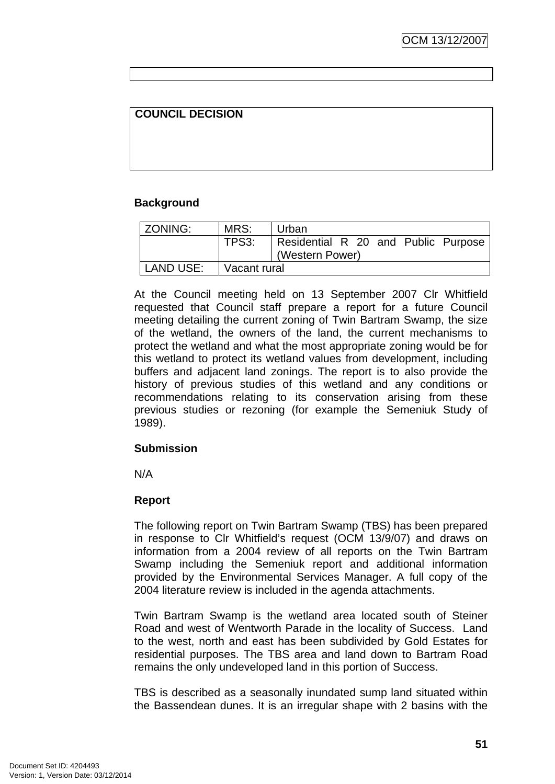# **COUNCIL DECISION**

#### **Background**

| <b>ZONING:</b> | MRS:           | Urban                                                  |
|----------------|----------------|--------------------------------------------------------|
|                | TPS3:          | Residential R 20 and Public Purpose<br>(Western Power) |
| LAND USE:      | l Vacant rural |                                                        |

At the Council meeting held on 13 September 2007 Clr Whitfield requested that Council staff prepare a report for a future Council meeting detailing the current zoning of Twin Bartram Swamp, the size of the wetland, the owners of the land, the current mechanisms to protect the wetland and what the most appropriate zoning would be for this wetland to protect its wetland values from development, including buffers and adjacent land zonings. The report is to also provide the history of previous studies of this wetland and any conditions or recommendations relating to its conservation arising from these previous studies or rezoning (for example the Semeniuk Study of 1989).

#### **Submission**

N/A

#### **Report**

The following report on Twin Bartram Swamp (TBS) has been prepared in response to Clr Whitfield's request (OCM 13/9/07) and draws on information from a 2004 review of all reports on the Twin Bartram Swamp including the Semeniuk report and additional information provided by the Environmental Services Manager. A full copy of the 2004 literature review is included in the agenda attachments.

Twin Bartram Swamp is the wetland area located south of Steiner Road and west of Wentworth Parade in the locality of Success. Land to the west, north and east has been subdivided by Gold Estates for residential purposes. The TBS area and land down to Bartram Road remains the only undeveloped land in this portion of Success.

TBS is described as a seasonally inundated sump land situated within the Bassendean dunes. It is an irregular shape with 2 basins with the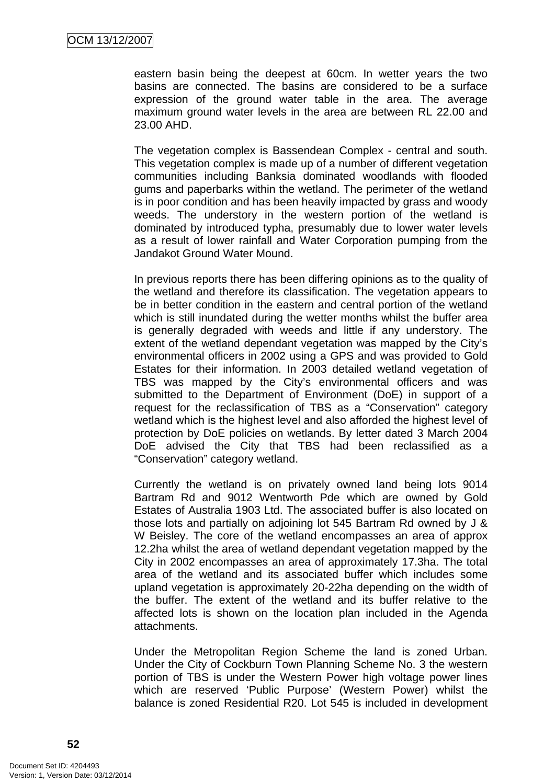eastern basin being the deepest at 60cm. In wetter years the two basins are connected. The basins are considered to be a surface expression of the ground water table in the area. The average maximum ground water levels in the area are between RL 22.00 and 23.00 AHD.

The vegetation complex is Bassendean Complex - central and south. This vegetation complex is made up of a number of different vegetation communities including Banksia dominated woodlands with flooded gums and paperbarks within the wetland. The perimeter of the wetland is in poor condition and has been heavily impacted by grass and woody weeds. The understory in the western portion of the wetland is dominated by introduced typha, presumably due to lower water levels as a result of lower rainfall and Water Corporation pumping from the Jandakot Ground Water Mound.

In previous reports there has been differing opinions as to the quality of the wetland and therefore its classification. The vegetation appears to be in better condition in the eastern and central portion of the wetland which is still inundated during the wetter months whilst the buffer area is generally degraded with weeds and little if any understory. The extent of the wetland dependant vegetation was mapped by the City's environmental officers in 2002 using a GPS and was provided to Gold Estates for their information. In 2003 detailed wetland vegetation of TBS was mapped by the City's environmental officers and was submitted to the Department of Environment (DoE) in support of a request for the reclassification of TBS as a "Conservation" category wetland which is the highest level and also afforded the highest level of protection by DoE policies on wetlands. By letter dated 3 March 2004 DoE advised the City that TBS had been reclassified as a "Conservation" category wetland.

Currently the wetland is on privately owned land being lots 9014 Bartram Rd and 9012 Wentworth Pde which are owned by Gold Estates of Australia 1903 Ltd. The associated buffer is also located on those lots and partially on adjoining lot 545 Bartram Rd owned by J & W Beisley. The core of the wetland encompasses an area of approx 12.2ha whilst the area of wetland dependant vegetation mapped by the City in 2002 encompasses an area of approximately 17.3ha. The total area of the wetland and its associated buffer which includes some upland vegetation is approximately 20-22ha depending on the width of the buffer. The extent of the wetland and its buffer relative to the affected lots is shown on the location plan included in the Agenda attachments.

Under the Metropolitan Region Scheme the land is zoned Urban. Under the City of Cockburn Town Planning Scheme No. 3 the western portion of TBS is under the Western Power high voltage power lines which are reserved 'Public Purpose' (Western Power) whilst the balance is zoned Residential R20. Lot 545 is included in development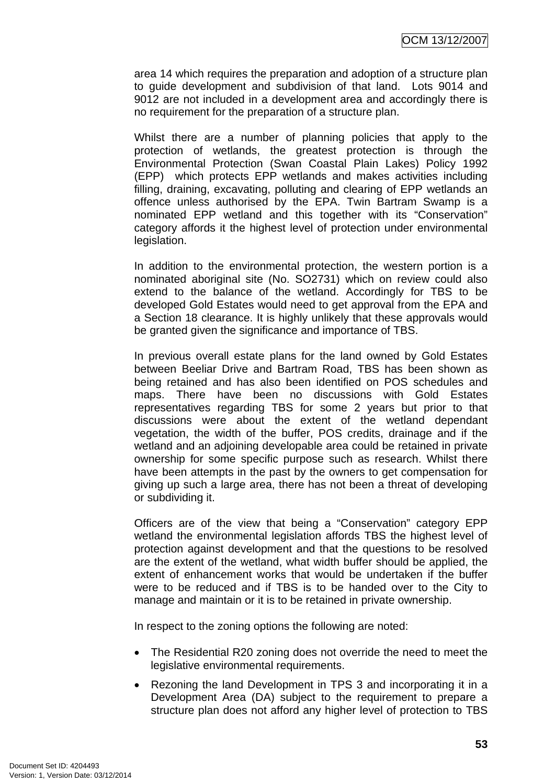area 14 which requires the preparation and adoption of a structure plan to guide development and subdivision of that land. Lots 9014 and 9012 are not included in a development area and accordingly there is no requirement for the preparation of a structure plan.

Whilst there are a number of planning policies that apply to the protection of wetlands, the greatest protection is through the Environmental Protection (Swan Coastal Plain Lakes) Policy 1992 (EPP) which protects EPP wetlands and makes activities including filling, draining, excavating, polluting and clearing of EPP wetlands an offence unless authorised by the EPA. Twin Bartram Swamp is a nominated EPP wetland and this together with its "Conservation" category affords it the highest level of protection under environmental legislation.

In addition to the environmental protection, the western portion is a nominated aboriginal site (No. SO2731) which on review could also extend to the balance of the wetland. Accordingly for TBS to be developed Gold Estates would need to get approval from the EPA and a Section 18 clearance. It is highly unlikely that these approvals would be granted given the significance and importance of TBS.

In previous overall estate plans for the land owned by Gold Estates between Beeliar Drive and Bartram Road, TBS has been shown as being retained and has also been identified on POS schedules and maps. There have been no discussions with Gold Estates representatives regarding TBS for some 2 years but prior to that discussions were about the extent of the wetland dependant vegetation, the width of the buffer, POS credits, drainage and if the wetland and an adjoining developable area could be retained in private ownership for some specific purpose such as research. Whilst there have been attempts in the past by the owners to get compensation for giving up such a large area, there has not been a threat of developing or subdividing it.

Officers are of the view that being a "Conservation" category EPP wetland the environmental legislation affords TBS the highest level of protection against development and that the questions to be resolved are the extent of the wetland, what width buffer should be applied, the extent of enhancement works that would be undertaken if the buffer were to be reduced and if TBS is to be handed over to the City to manage and maintain or it is to be retained in private ownership.

In respect to the zoning options the following are noted:

- The Residential R20 zoning does not override the need to meet the legislative environmental requirements.
- Rezoning the land Development in TPS 3 and incorporating it in a Development Area (DA) subject to the requirement to prepare a structure plan does not afford any higher level of protection to TBS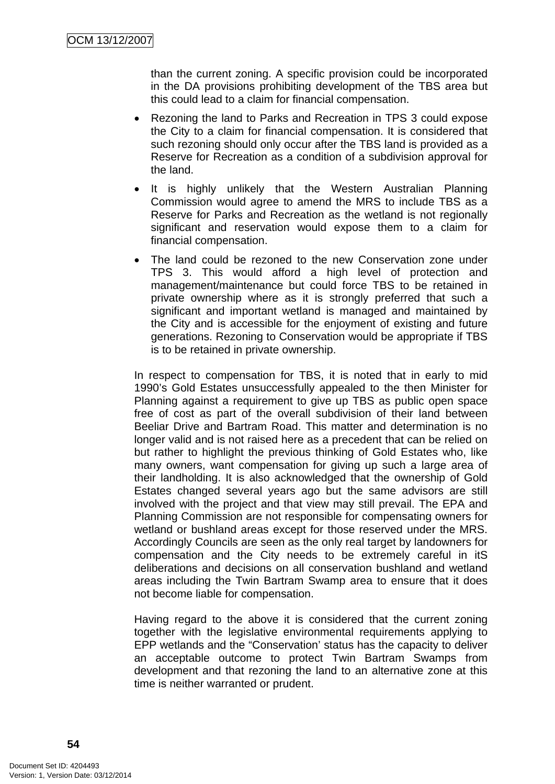than the current zoning. A specific provision could be incorporated in the DA provisions prohibiting development of the TBS area but this could lead to a claim for financial compensation.

- Rezoning the land to Parks and Recreation in TPS 3 could expose the City to a claim for financial compensation. It is considered that such rezoning should only occur after the TBS land is provided as a Reserve for Recreation as a condition of a subdivision approval for the land.
- It is highly unlikely that the Western Australian Planning Commission would agree to amend the MRS to include TBS as a Reserve for Parks and Recreation as the wetland is not regionally significant and reservation would expose them to a claim for financial compensation.
- The land could be rezoned to the new Conservation zone under TPS 3. This would afford a high level of protection and management/maintenance but could force TBS to be retained in private ownership where as it is strongly preferred that such a significant and important wetland is managed and maintained by the City and is accessible for the enjoyment of existing and future generations. Rezoning to Conservation would be appropriate if TBS is to be retained in private ownership.

In respect to compensation for TBS, it is noted that in early to mid 1990's Gold Estates unsuccessfully appealed to the then Minister for Planning against a requirement to give up TBS as public open space free of cost as part of the overall subdivision of their land between Beeliar Drive and Bartram Road. This matter and determination is no longer valid and is not raised here as a precedent that can be relied on but rather to highlight the previous thinking of Gold Estates who, like many owners, want compensation for giving up such a large area of their landholding. It is also acknowledged that the ownership of Gold Estates changed several years ago but the same advisors are still involved with the project and that view may still prevail. The EPA and Planning Commission are not responsible for compensating owners for wetland or bushland areas except for those reserved under the MRS. Accordingly Councils are seen as the only real target by landowners for compensation and the City needs to be extremely careful in itS deliberations and decisions on all conservation bushland and wetland areas including the Twin Bartram Swamp area to ensure that it does not become liable for compensation.

Having regard to the above it is considered that the current zoning together with the legislative environmental requirements applying to EPP wetlands and the "Conservation' status has the capacity to deliver an acceptable outcome to protect Twin Bartram Swamps from development and that rezoning the land to an alternative zone at this time is neither warranted or prudent.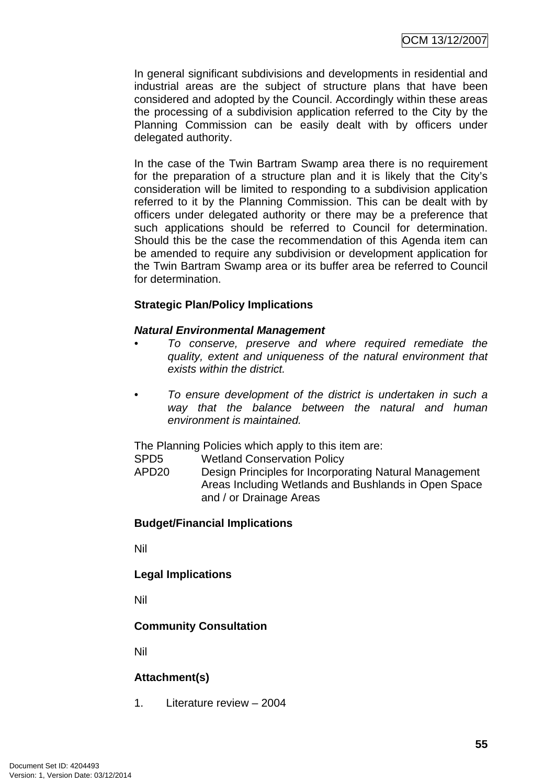In general significant subdivisions and developments in residential and industrial areas are the subject of structure plans that have been considered and adopted by the Council. Accordingly within these areas the processing of a subdivision application referred to the City by the Planning Commission can be easily dealt with by officers under delegated authority.

In the case of the Twin Bartram Swamp area there is no requirement for the preparation of a structure plan and it is likely that the City's consideration will be limited to responding to a subdivision application referred to it by the Planning Commission. This can be dealt with by officers under delegated authority or there may be a preference that such applications should be referred to Council for determination. Should this be the case the recommendation of this Agenda item can be amended to require any subdivision or development application for the Twin Bartram Swamp area or its buffer area be referred to Council for determination.

## **Strategic Plan/Policy Implications**

#### *Natural Environmental Management*

- *To conserve, preserve and where required remediate the quality, extent and uniqueness of the natural environment that exists within the district.*
- *To ensure development of the district is undertaken in such a way that the balance between the natural and human environment is maintained.*

The Planning Policies which apply to this item are:

- SPD5 Wetland Conservation Policy
- APD20 Design Principles for Incorporating Natural Management Areas Including Wetlands and Bushlands in Open Space and / or Drainage Areas

#### **Budget/Financial Implications**

Nil

**Legal Implications** 

Nil

#### **Community Consultation**

Nil

# **Attachment(s)**

1. Literature review – 2004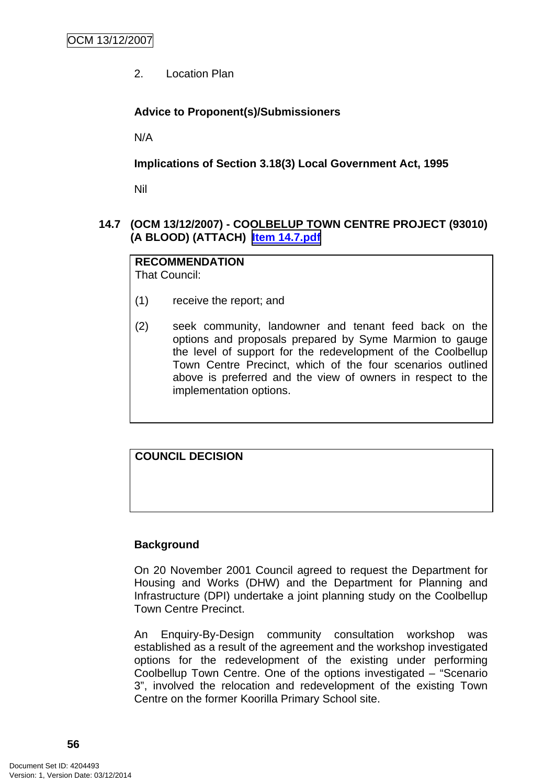2. Location Plan

# **Advice to Proponent(s)/Submissioners**

N/A

**Implications of Section 3.18(3) Local Government Act, 1995**

Nil

# **14.7 (OCM 13/12/2007) - COOLBELUP TOWN CENTRE PROJECT (93010) (A BLOOD) (ATTACH) Item 14.7.pdf**

**RECOMMENDATION** That Council:

- (1) receive the report; and
- (2) seek community, landowner and tenant feed back on the options and proposals prepared by Syme Marmion to gauge the level of support for the redevelopment of the Coolbellup Town Centre Precinct, which of the four scenarios outlined above is preferred and the view of owners in respect to the implementation options.

**COUNCIL DECISION**

# **Background**

On 20 November 2001 Council agreed to request the Department for Housing and Works (DHW) and the Department for Planning and Infrastructure (DPI) undertake a joint planning study on the Coolbellup Town Centre Precinct.

An Enquiry-By-Design community consultation workshop was established as a result of the agreement and the workshop investigated options for the redevelopment of the existing under performing Coolbellup Town Centre. One of the options investigated – "Scenario 3", involved the relocation and redevelopment of the existing Town Centre on the former Koorilla Primary School site.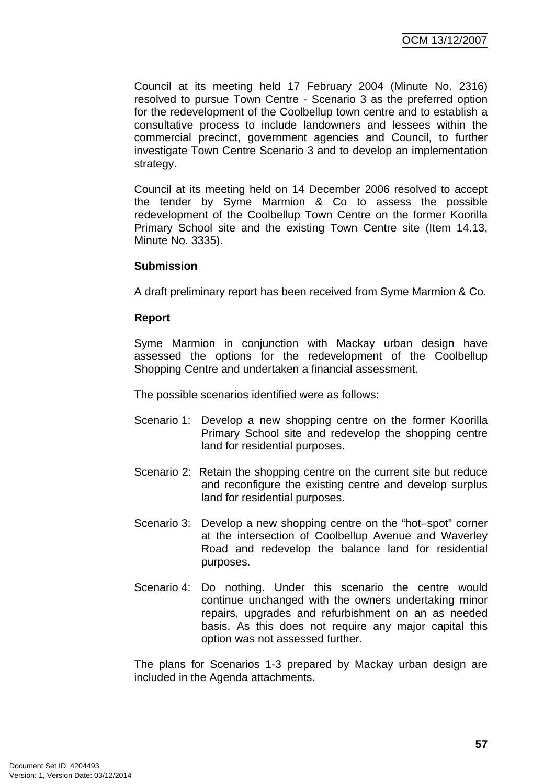Council at its meeting held 17 February 2004 (Minute No. 2316) resolved to pursue Town Centre - Scenario 3 as the preferred option for the redevelopment of the Coolbellup town centre and to establish a consultative process to include landowners and lessees within the commercial precinct, government agencies and Council, to further investigate Town Centre Scenario 3 and to develop an implementation strategy.

Council at its meeting held on 14 December 2006 resolved to accept the tender by Syme Marmion & Co to assess the possible redevelopment of the Coolbellup Town Centre on the former Koorilla Primary School site and the existing Town Centre site (Item 14.13, Minute No. 3335).

#### **Submission**

A draft preliminary report has been received from Syme Marmion & Co.

## **Report**

Syme Marmion in conjunction with Mackay urban design have assessed the options for the redevelopment of the Coolbellup Shopping Centre and undertaken a financial assessment.

The possible scenarios identified were as follows:

- Scenario 1: Develop a new shopping centre on the former Koorilla Primary School site and redevelop the shopping centre land for residential purposes.
- Scenario 2: Retain the shopping centre on the current site but reduce and reconfigure the existing centre and develop surplus land for residential purposes.
- Scenario 3: Develop a new shopping centre on the "hot–spot" corner at the intersection of Coolbellup Avenue and Waverley Road and redevelop the balance land for residential purposes.
- Scenario 4: Do nothing. Under this scenario the centre would continue unchanged with the owners undertaking minor repairs, upgrades and refurbishment on an as needed basis. As this does not require any major capital this option was not assessed further.

The plans for Scenarios 1-3 prepared by Mackay urban design are included in the Agenda attachments.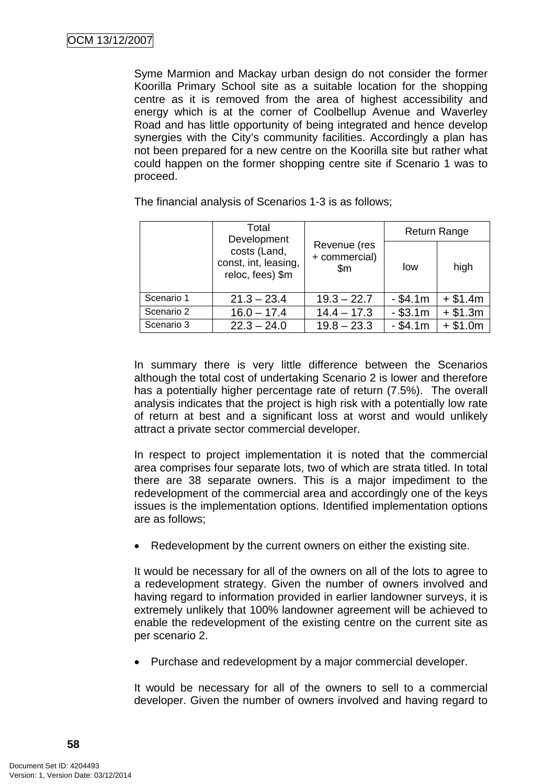Syme Marmion and Mackay urban design do not consider the former Koorilla Primary School site as a suitable location for the shopping centre as it is removed from the area of highest accessibility and energy which is at the corner of Coolbellup Avenue and Waverley Road and has little opportunity of being integrated and hence develop synergies with the City's community facilities. Accordingly a plan has not been prepared for a new centre on the Koorilla site but rather what could happen on the former shopping centre site if Scenario 1 was to proceed.

|            | Total<br>Development<br>costs (Land,<br>const, int, leasing,<br>reloc, fees) \$m | Revenue (res<br>+ commercial)<br>$\mathsf{Sm}$ | <b>Return Range</b> |           |
|------------|----------------------------------------------------------------------------------|------------------------------------------------|---------------------|-----------|
|            |                                                                                  |                                                | low                 | high      |
| Scenario 1 | $21.3 - 23.4$                                                                    | $19.3 - 22.7$                                  | $-$ \$4.1m          | $+ $1.4m$ |
| Scenario 2 | $16.0 - 17.4$                                                                    | $14.4 - 17.3$                                  | $- $3.1m$           | $+ $1.3m$ |
| Scenario 3 | $22.3 - 24.0$                                                                    | $19.8 - 23.3$                                  | $- $4.1m$           | $+ $1.0m$ |

The financial analysis of Scenarios 1-3 is as follows;

In summary there is very little difference between the Scenarios although the total cost of undertaking Scenario 2 is lower and therefore has a potentially higher percentage rate of return (7.5%). The overall analysis indicates that the project is high risk with a potentially low rate of return at best and a significant loss at worst and would unlikely attract a private sector commercial developer.

In respect to project implementation it is noted that the commercial area comprises four separate lots, two of which are strata titled. In total there are 38 separate owners. This is a major impediment to the redevelopment of the commercial area and accordingly one of the keys issues is the implementation options. Identified implementation options are as follows;

Redevelopment by the current owners on either the existing site.

It would be necessary for all of the owners on all of the lots to agree to a redevelopment strategy. Given the number of owners involved and having regard to information provided in earlier landowner surveys, it is extremely unlikely that 100% landowner agreement will be achieved to enable the redevelopment of the existing centre on the current site as per scenario 2.

• Purchase and redevelopment by a major commercial developer.

It would be necessary for all of the owners to sell to a commercial developer. Given the number of owners involved and having regard to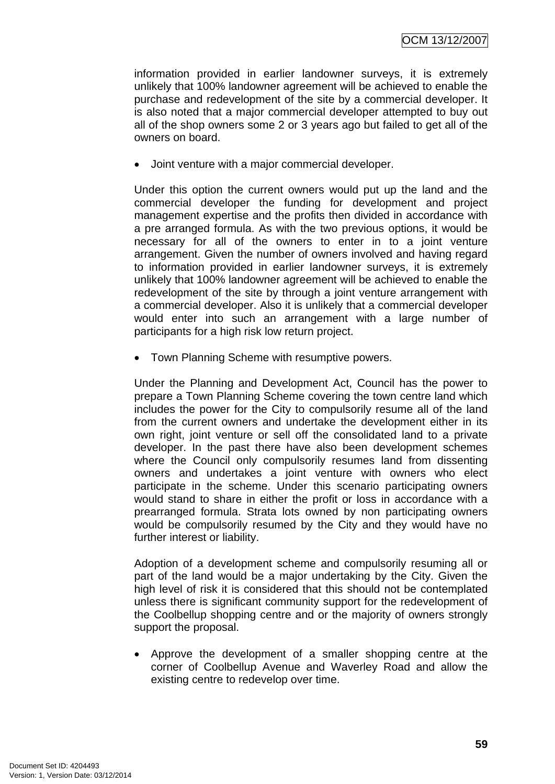information provided in earlier landowner surveys, it is extremely unlikely that 100% landowner agreement will be achieved to enable the purchase and redevelopment of the site by a commercial developer. It is also noted that a major commercial developer attempted to buy out all of the shop owners some 2 or 3 years ago but failed to get all of the owners on board.

• Joint venture with a major commercial developer.

Under this option the current owners would put up the land and the commercial developer the funding for development and project management expertise and the profits then divided in accordance with a pre arranged formula. As with the two previous options, it would be necessary for all of the owners to enter in to a joint venture arrangement. Given the number of owners involved and having regard to information provided in earlier landowner surveys, it is extremely unlikely that 100% landowner agreement will be achieved to enable the redevelopment of the site by through a joint venture arrangement with a commercial developer. Also it is unlikely that a commercial developer would enter into such an arrangement with a large number of participants for a high risk low return project.

• Town Planning Scheme with resumptive powers.

Under the Planning and Development Act, Council has the power to prepare a Town Planning Scheme covering the town centre land which includes the power for the City to compulsorily resume all of the land from the current owners and undertake the development either in its own right, joint venture or sell off the consolidated land to a private developer. In the past there have also been development schemes where the Council only compulsorily resumes land from dissenting owners and undertakes a joint venture with owners who elect participate in the scheme. Under this scenario participating owners would stand to share in either the profit or loss in accordance with a prearranged formula. Strata lots owned by non participating owners would be compulsorily resumed by the City and they would have no further interest or liability.

Adoption of a development scheme and compulsorily resuming all or part of the land would be a major undertaking by the City. Given the high level of risk it is considered that this should not be contemplated unless there is significant community support for the redevelopment of the Coolbellup shopping centre and or the majority of owners strongly support the proposal.

• Approve the development of a smaller shopping centre at the corner of Coolbellup Avenue and Waverley Road and allow the existing centre to redevelop over time.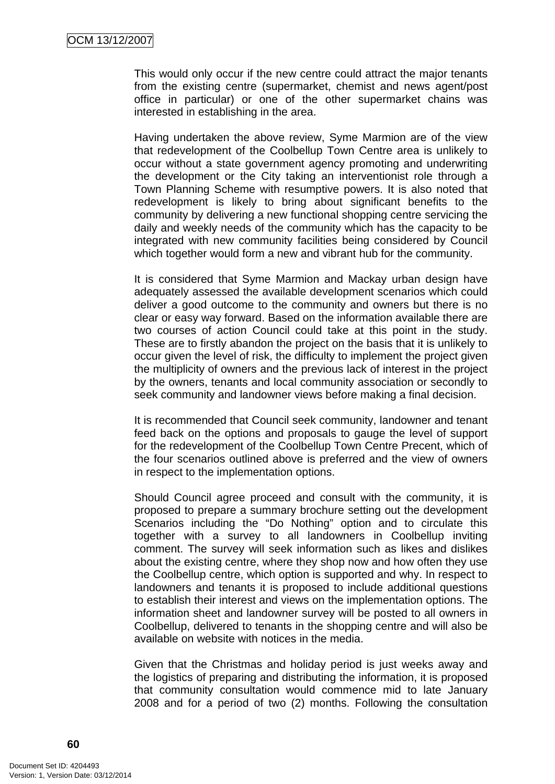This would only occur if the new centre could attract the major tenants from the existing centre (supermarket, chemist and news agent/post office in particular) or one of the other supermarket chains was interested in establishing in the area.

Having undertaken the above review, Syme Marmion are of the view that redevelopment of the Coolbellup Town Centre area is unlikely to occur without a state government agency promoting and underwriting the development or the City taking an interventionist role through a Town Planning Scheme with resumptive powers. It is also noted that redevelopment is likely to bring about significant benefits to the community by delivering a new functional shopping centre servicing the daily and weekly needs of the community which has the capacity to be integrated with new community facilities being considered by Council which together would form a new and vibrant hub for the community.

It is considered that Syme Marmion and Mackay urban design have adequately assessed the available development scenarios which could deliver a good outcome to the community and owners but there is no clear or easy way forward. Based on the information available there are two courses of action Council could take at this point in the study. These are to firstly abandon the project on the basis that it is unlikely to occur given the level of risk, the difficulty to implement the project given the multiplicity of owners and the previous lack of interest in the project by the owners, tenants and local community association or secondly to seek community and landowner views before making a final decision.

It is recommended that Council seek community, landowner and tenant feed back on the options and proposals to gauge the level of support for the redevelopment of the Coolbellup Town Centre Precent, which of the four scenarios outlined above is preferred and the view of owners in respect to the implementation options.

Should Council agree proceed and consult with the community, it is proposed to prepare a summary brochure setting out the development Scenarios including the "Do Nothing" option and to circulate this together with a survey to all landowners in Coolbellup inviting comment. The survey will seek information such as likes and dislikes about the existing centre, where they shop now and how often they use the Coolbellup centre, which option is supported and why. In respect to landowners and tenants it is proposed to include additional questions to establish their interest and views on the implementation options. The information sheet and landowner survey will be posted to all owners in Coolbellup, delivered to tenants in the shopping centre and will also be available on website with notices in the media.

Given that the Christmas and holiday period is just weeks away and the logistics of preparing and distributing the information, it is proposed that community consultation would commence mid to late January 2008 and for a period of two (2) months. Following the consultation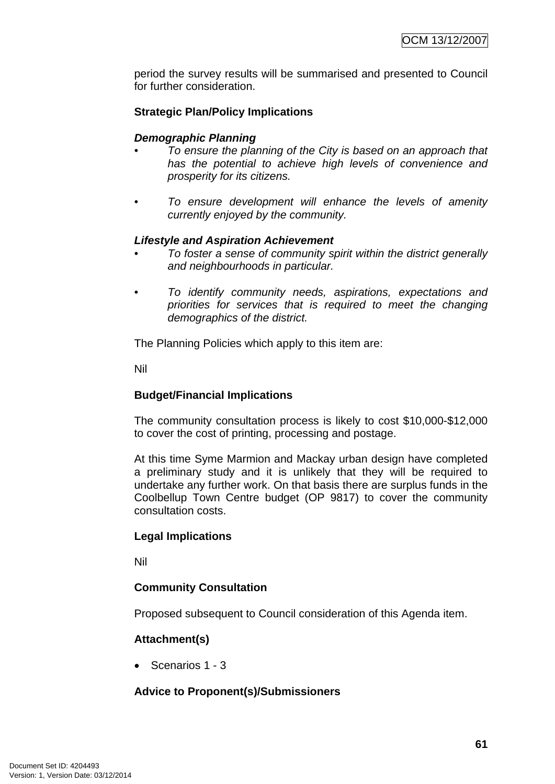period the survey results will be summarised and presented to Council for further consideration.

# **Strategic Plan/Policy Implications**

#### *Demographic Planning*

- *To ensure the planning of the City is based on an approach that has the potential to achieve high levels of convenience and prosperity for its citizens.*
- *To ensure development will enhance the levels of amenity currently enjoyed by the community.*

#### *Lifestyle and Aspiration Achievement*

- *To foster a sense of community spirit within the district generally and neighbourhoods in particular.*
- *To identify community needs, aspirations, expectations and priorities for services that is required to meet the changing demographics of the district.*

The Planning Policies which apply to this item are:

Nil

# **Budget/Financial Implications**

The community consultation process is likely to cost \$10,000-\$12,000 to cover the cost of printing, processing and postage.

At this time Syme Marmion and Mackay urban design have completed a preliminary study and it is unlikely that they will be required to undertake any further work. On that basis there are surplus funds in the Coolbellup Town Centre budget (OP 9817) to cover the community consultation costs.

#### **Legal Implications**

Nil

# **Community Consultation**

Proposed subsequent to Council consideration of this Agenda item.

#### **Attachment(s)**

• Scenarios 1 - 3

#### **Advice to Proponent(s)/Submissioners**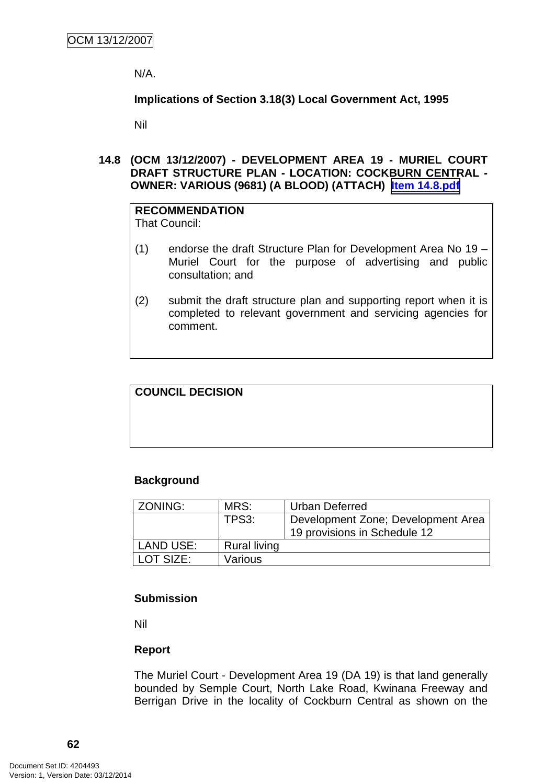N/A.

**Implications of Section 3.18(3) Local Government Act, 1995**

Nil

**14.8 (OCM 13/12/2007) - DEVELOPMENT AREA 19 - MURIEL COURT DRAFT STRUCTURE PLAN - LOCATION: COCKBURN CENTRAL - OWNER: VARIOUS (9681) (A BLOOD) (ATTACH) Item 14.8.pdf**

# **RECOMMENDATION**

That Council:

- (1) endorse the draft Structure Plan for Development Area No 19 Muriel Court for the purpose of advertising and public consultation; and
- (2) submit the draft structure plan and supporting report when it is completed to relevant government and servicing agencies for comment.

# **COUNCIL DECISION**

#### **Background**

| ZONING:          | MRS:                | <b>Urban Deferred</b>              |
|------------------|---------------------|------------------------------------|
|                  | TPS3:               | Development Zone; Development Area |
|                  |                     | 19 provisions in Schedule 12       |
| <b>LAND USE:</b> | <b>Rural living</b> |                                    |
| LOT SIZE:        | Various             |                                    |

#### **Submission**

Nil

#### **Report**

The Muriel Court - Development Area 19 (DA 19) is that land generally bounded by Semple Court, North Lake Road, Kwinana Freeway and Berrigan Drive in the locality of Cockburn Central as shown on the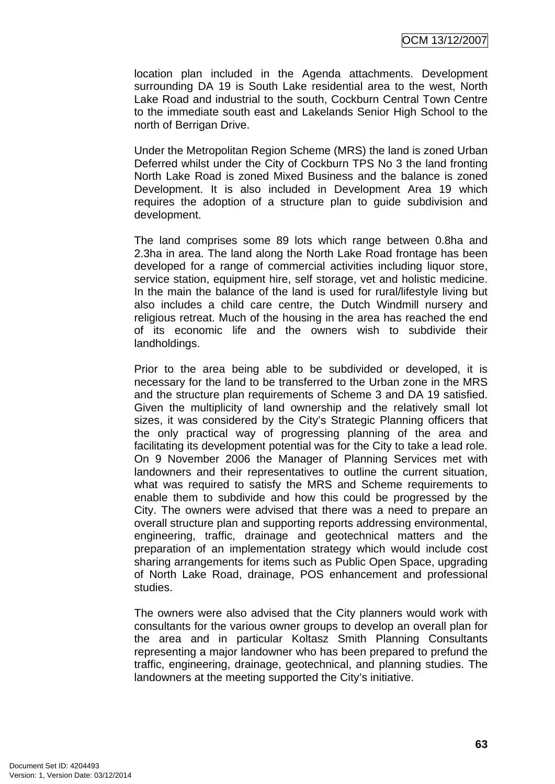location plan included in the Agenda attachments. Development surrounding DA 19 is South Lake residential area to the west, North Lake Road and industrial to the south, Cockburn Central Town Centre to the immediate south east and Lakelands Senior High School to the north of Berrigan Drive.

Under the Metropolitan Region Scheme (MRS) the land is zoned Urban Deferred whilst under the City of Cockburn TPS No 3 the land fronting North Lake Road is zoned Mixed Business and the balance is zoned Development. It is also included in Development Area 19 which requires the adoption of a structure plan to guide subdivision and development.

The land comprises some 89 lots which range between 0.8ha and 2.3ha in area. The land along the North Lake Road frontage has been developed for a range of commercial activities including liquor store, service station, equipment hire, self storage, vet and holistic medicine. In the main the balance of the land is used for rural/lifestyle living but also includes a child care centre, the Dutch Windmill nursery and religious retreat. Much of the housing in the area has reached the end of its economic life and the owners wish to subdivide their landholdings.

Prior to the area being able to be subdivided or developed, it is necessary for the land to be transferred to the Urban zone in the MRS and the structure plan requirements of Scheme 3 and DA 19 satisfied. Given the multiplicity of land ownership and the relatively small lot sizes, it was considered by the City's Strategic Planning officers that the only practical way of progressing planning of the area and facilitating its development potential was for the City to take a lead role. On 9 November 2006 the Manager of Planning Services met with landowners and their representatives to outline the current situation, what was required to satisfy the MRS and Scheme requirements to enable them to subdivide and how this could be progressed by the City. The owners were advised that there was a need to prepare an overall structure plan and supporting reports addressing environmental, engineering, traffic, drainage and geotechnical matters and the preparation of an implementation strategy which would include cost sharing arrangements for items such as Public Open Space, upgrading of North Lake Road, drainage, POS enhancement and professional studies.

The owners were also advised that the City planners would work with consultants for the various owner groups to develop an overall plan for the area and in particular Koltasz Smith Planning Consultants representing a major landowner who has been prepared to prefund the traffic, engineering, drainage, geotechnical, and planning studies. The landowners at the meeting supported the City's initiative.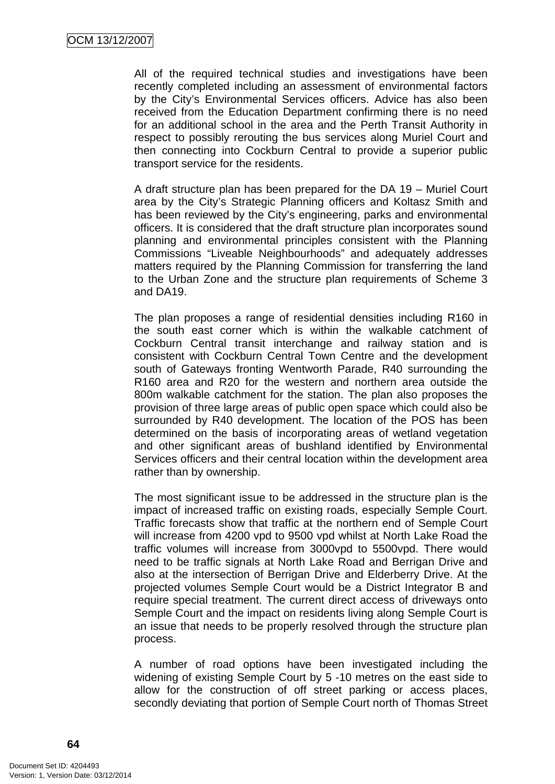All of the required technical studies and investigations have been recently completed including an assessment of environmental factors by the City's Environmental Services officers. Advice has also been received from the Education Department confirming there is no need for an additional school in the area and the Perth Transit Authority in respect to possibly rerouting the bus services along Muriel Court and then connecting into Cockburn Central to provide a superior public transport service for the residents.

A draft structure plan has been prepared for the DA 19 – Muriel Court area by the City's Strategic Planning officers and Koltasz Smith and has been reviewed by the City's engineering, parks and environmental officers. It is considered that the draft structure plan incorporates sound planning and environmental principles consistent with the Planning Commissions "Liveable Neighbourhoods" and adequately addresses matters required by the Planning Commission for transferring the land to the Urban Zone and the structure plan requirements of Scheme 3 and DA19.

The plan proposes a range of residential densities including R160 in the south east corner which is within the walkable catchment of Cockburn Central transit interchange and railway station and is consistent with Cockburn Central Town Centre and the development south of Gateways fronting Wentworth Parade, R40 surrounding the R160 area and R20 for the western and northern area outside the 800m walkable catchment for the station. The plan also proposes the provision of three large areas of public open space which could also be surrounded by R40 development. The location of the POS has been determined on the basis of incorporating areas of wetland vegetation and other significant areas of bushland identified by Environmental Services officers and their central location within the development area rather than by ownership.

The most significant issue to be addressed in the structure plan is the impact of increased traffic on existing roads, especially Semple Court. Traffic forecasts show that traffic at the northern end of Semple Court will increase from 4200 vpd to 9500 vpd whilst at North Lake Road the traffic volumes will increase from 3000vpd to 5500vpd. There would need to be traffic signals at North Lake Road and Berrigan Drive and also at the intersection of Berrigan Drive and Elderberry Drive. At the projected volumes Semple Court would be a District Integrator B and require special treatment. The current direct access of driveways onto Semple Court and the impact on residents living along Semple Court is an issue that needs to be properly resolved through the structure plan process.

A number of road options have been investigated including the widening of existing Semple Court by 5 -10 metres on the east side to allow for the construction of off street parking or access places, secondly deviating that portion of Semple Court north of Thomas Street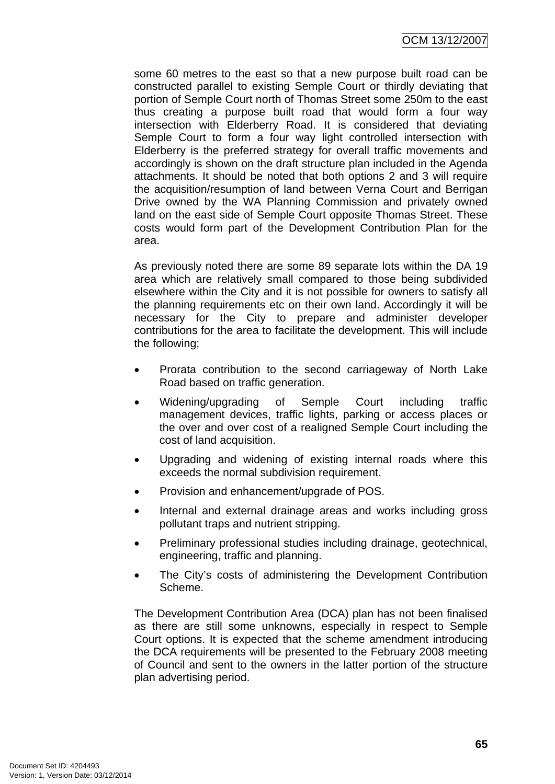some 60 metres to the east so that a new purpose built road can be constructed parallel to existing Semple Court or thirdly deviating that portion of Semple Court north of Thomas Street some 250m to the east thus creating a purpose built road that would form a four way intersection with Elderberry Road. It is considered that deviating Semple Court to form a four way light controlled intersection with Elderberry is the preferred strategy for overall traffic movements and accordingly is shown on the draft structure plan included in the Agenda attachments. It should be noted that both options 2 and 3 will require the acquisition/resumption of land between Verna Court and Berrigan Drive owned by the WA Planning Commission and privately owned land on the east side of Semple Court opposite Thomas Street. These costs would form part of the Development Contribution Plan for the area.

As previously noted there are some 89 separate lots within the DA 19 area which are relatively small compared to those being subdivided elsewhere within the City and it is not possible for owners to satisfy all the planning requirements etc on their own land. Accordingly it will be necessary for the City to prepare and administer developer contributions for the area to facilitate the development. This will include the following;

- Prorata contribution to the second carriageway of North Lake Road based on traffic generation.
- Widening/upgrading of Semple Court including traffic management devices, traffic lights, parking or access places or the over and over cost of a realigned Semple Court including the cost of land acquisition.
- Upgrading and widening of existing internal roads where this exceeds the normal subdivision requirement.
- Provision and enhancement/upgrade of POS.
- Internal and external drainage areas and works including gross pollutant traps and nutrient stripping.
- Preliminary professional studies including drainage, geotechnical, engineering, traffic and planning.
- The City's costs of administering the Development Contribution Scheme.

The Development Contribution Area (DCA) plan has not been finalised as there are still some unknowns, especially in respect to Semple Court options. It is expected that the scheme amendment introducing the DCA requirements will be presented to the February 2008 meeting of Council and sent to the owners in the latter portion of the structure plan advertising period.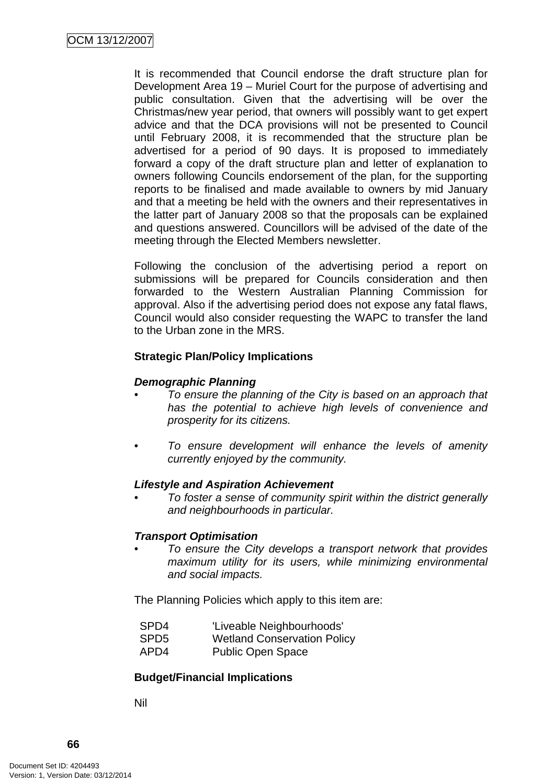It is recommended that Council endorse the draft structure plan for Development Area 19 – Muriel Court for the purpose of advertising and public consultation. Given that the advertising will be over the Christmas/new year period, that owners will possibly want to get expert advice and that the DCA provisions will not be presented to Council until February 2008, it is recommended that the structure plan be advertised for a period of 90 days. It is proposed to immediately forward a copy of the draft structure plan and letter of explanation to owners following Councils endorsement of the plan, for the supporting reports to be finalised and made available to owners by mid January and that a meeting be held with the owners and their representatives in the latter part of January 2008 so that the proposals can be explained and questions answered. Councillors will be advised of the date of the meeting through the Elected Members newsletter.

Following the conclusion of the advertising period a report on submissions will be prepared for Councils consideration and then forwarded to the Western Australian Planning Commission for approval. Also if the advertising period does not expose any fatal flaws, Council would also consider requesting the WAPC to transfer the land to the Urban zone in the MRS.

# **Strategic Plan/Policy Implications**

## *Demographic Planning*

- *To ensure the planning of the City is based on an approach that has the potential to achieve high levels of convenience and prosperity for its citizens.*
- *To ensure development will enhance the levels of amenity currently enjoyed by the community.*

#### *Lifestyle and Aspiration Achievement*

*• To foster a sense of community spirit within the district generally and neighbourhoods in particular.* 

#### *Transport Optimisation*

*• To ensure the City develops a transport network that provides maximum utility for its users, while minimizing environmental and social impacts.* 

The Planning Policies which apply to this item are:

| SPD4 | 'Liveable Neighbourhoods'                                   |
|------|-------------------------------------------------------------|
|      | $\mathbf{u} \cdot \mathbf{v} = \mathbf{v} \cdot \mathbf{v}$ |

- SPD5 Wetland Conservation Policy
- APD4 Public Open Space

# **Budget/Financial Implications**

Nil

**66**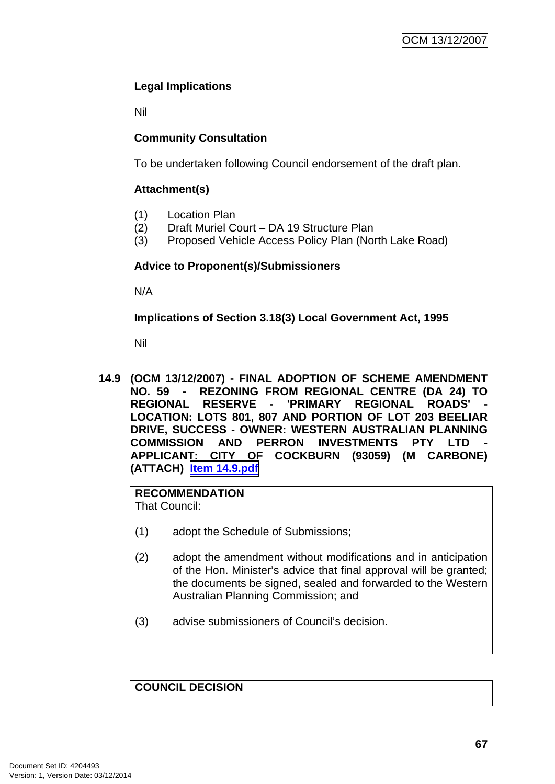# **Legal Implications**

Nil

# **Community Consultation**

To be undertaken following Council endorsement of the draft plan.

# **Attachment(s)**

- (1) Location Plan
- (2) Draft Muriel Court DA 19 Structure Plan
- (3) Proposed Vehicle Access Policy Plan (North Lake Road)

# **Advice to Proponent(s)/Submissioners**

N/A

**Implications of Section 3.18(3) Local Government Act, 1995**

Nil

**14.9 (OCM 13/12/2007) - FINAL ADOPTION OF SCHEME AMENDMENT NO. 59 - REZONING FROM REGIONAL CENTRE (DA 24) TO**  REGIONAL RESERVE - 'PRIMARY REGIONAL ROADS' **LOCATION: LOTS 801, 807 AND PORTION OF LOT 203 BEELIAR DRIVE, SUCCESS - OWNER: WESTERN AUSTRALIAN PLANNING COMMISSION AND PERRON INVESTMENTS PTY LTD - APPLICANT: CITY OF COCKBURN (93059) (M CARBONE) (ATTACH) Item 14.9.pdf**

# **RECOMMENDATION**

That Council:

- (1) adopt the Schedule of Submissions;
- (2) adopt the amendment without modifications and in anticipation of the Hon. Minister's advice that final approval will be granted; the documents be signed, sealed and forwarded to the Western Australian Planning Commission; and
- (3) advise submissioners of Council's decision.

**COUNCIL DECISION**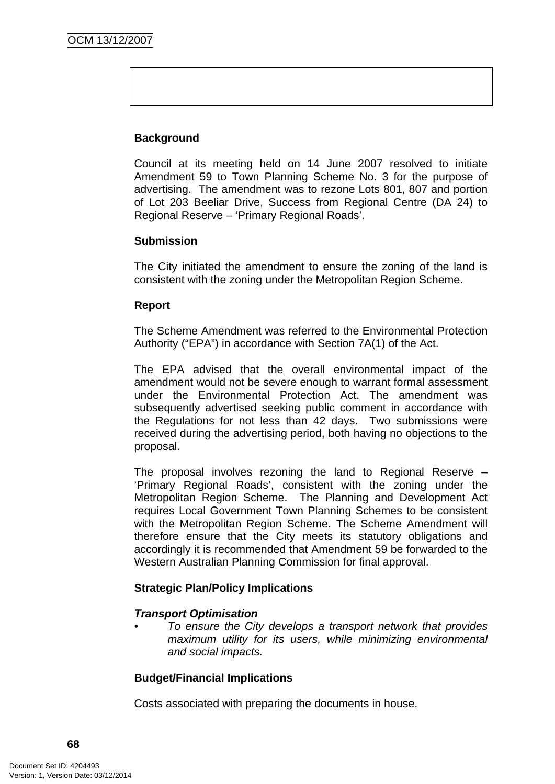# **Background**

Council at its meeting held on 14 June 2007 resolved to initiate Amendment 59 to Town Planning Scheme No. 3 for the purpose of advertising. The amendment was to rezone Lots 801, 807 and portion of Lot 203 Beeliar Drive, Success from Regional Centre (DA 24) to Regional Reserve – 'Primary Regional Roads'.

#### **Submission**

The City initiated the amendment to ensure the zoning of the land is consistent with the zoning under the Metropolitan Region Scheme.

#### **Report**

The Scheme Amendment was referred to the Environmental Protection Authority ("EPA") in accordance with Section 7A(1) of the Act.

The EPA advised that the overall environmental impact of the amendment would not be severe enough to warrant formal assessment under the Environmental Protection Act. The amendment was subsequently advertised seeking public comment in accordance with the Regulations for not less than 42 days. Two submissions were received during the advertising period, both having no objections to the proposal.

The proposal involves rezoning the land to Regional Reserve – 'Primary Regional Roads', consistent with the zoning under the Metropolitan Region Scheme. The Planning and Development Act requires Local Government Town Planning Schemes to be consistent with the Metropolitan Region Scheme. The Scheme Amendment will therefore ensure that the City meets its statutory obligations and accordingly it is recommended that Amendment 59 be forwarded to the Western Australian Planning Commission for final approval.

#### **Strategic Plan/Policy Implications**

#### *Transport Optimisation*

*• To ensure the City develops a transport network that provides maximum utility for its users, while minimizing environmental and social impacts.* 

#### **Budget/Financial Implications**

Costs associated with preparing the documents in house.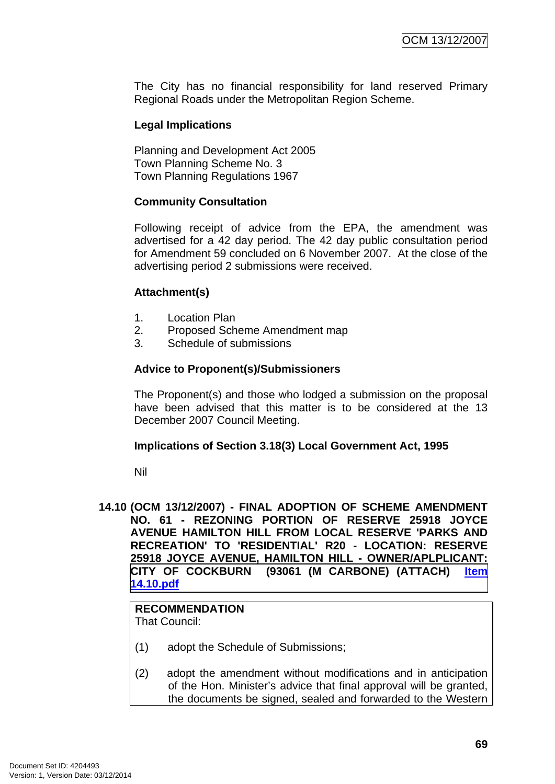The City has no financial responsibility for land reserved Primary Regional Roads under the Metropolitan Region Scheme.

#### **Legal Implications**

Planning and Development Act 2005 Town Planning Scheme No. 3 Town Planning Regulations 1967

#### **Community Consultation**

Following receipt of advice from the EPA, the amendment was advertised for a 42 day period. The 42 day public consultation period for Amendment 59 concluded on 6 November 2007. At the close of the advertising period 2 submissions were received.

#### **Attachment(s)**

- 1. Location Plan
- 2. Proposed Scheme Amendment map
- 3. Schedule of submissions

#### **Advice to Proponent(s)/Submissioners**

The Proponent(s) and those who lodged a submission on the proposal have been advised that this matter is to be considered at the 13 December 2007 Council Meeting.

#### **Implications of Section 3.18(3) Local Government Act, 1995**

Nil

**14.10 (OCM 13/12/2007) - FINAL ADOPTION OF SCHEME AMENDMENT NO. 61 - REZONING PORTION OF RESERVE 25918 JOYCE AVENUE HAMILTON HILL FROM LOCAL RESERVE 'PARKS AND RECREATION' TO 'RESIDENTIAL' R20 - LOCATION: RESERVE 25918 JOYCE AVENUE, HAMILTON HILL - OWNER/APLPLICANT: CITY OF COCKBURN (93061 (M CARBONE) (ATTACH) Item 14.10.pdf**

# **RECOMMENDATION**

That Council:

- (1) adopt the Schedule of Submissions;
- (2) adopt the amendment without modifications and in anticipation of the Hon. Minister's advice that final approval will be granted, the documents be signed, sealed and forwarded to the Western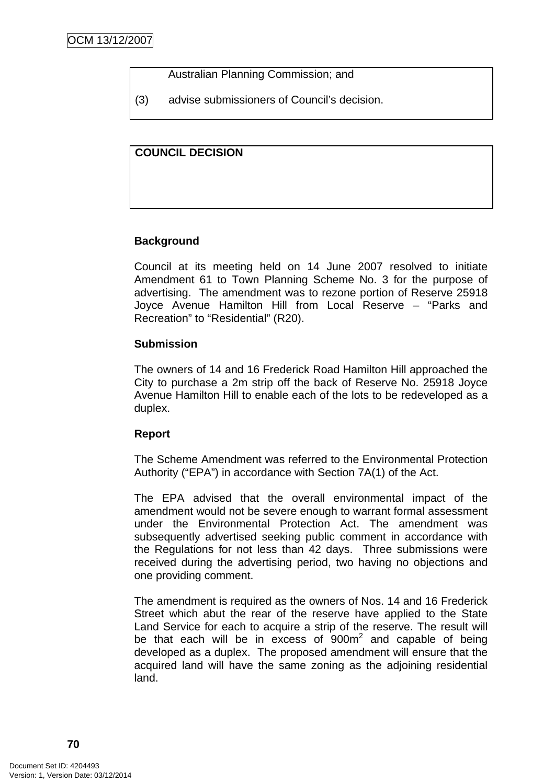Australian Planning Commission; and

(3) advise submissioners of Council's decision.

#### **COUNCIL DECISION**

#### **Background**

Council at its meeting held on 14 June 2007 resolved to initiate Amendment 61 to Town Planning Scheme No. 3 for the purpose of advertising. The amendment was to rezone portion of Reserve 25918 Joyce Avenue Hamilton Hill from Local Reserve – "Parks and Recreation" to "Residential" (R20).

#### **Submission**

The owners of 14 and 16 Frederick Road Hamilton Hill approached the City to purchase a 2m strip off the back of Reserve No. 25918 Joyce Avenue Hamilton Hill to enable each of the lots to be redeveloped as a duplex.

#### **Report**

The Scheme Amendment was referred to the Environmental Protection Authority ("EPA") in accordance with Section 7A(1) of the Act.

The EPA advised that the overall environmental impact of the amendment would not be severe enough to warrant formal assessment under the Environmental Protection Act. The amendment was subsequently advertised seeking public comment in accordance with the Regulations for not less than 42 days. Three submissions were received during the advertising period, two having no objections and one providing comment.

The amendment is required as the owners of Nos. 14 and 16 Frederick Street which abut the rear of the reserve have applied to the State Land Service for each to acquire a strip of the reserve. The result will be that each will be in excess of  $900m^2$  and capable of being developed as a duplex. The proposed amendment will ensure that the acquired land will have the same zoning as the adjoining residential land.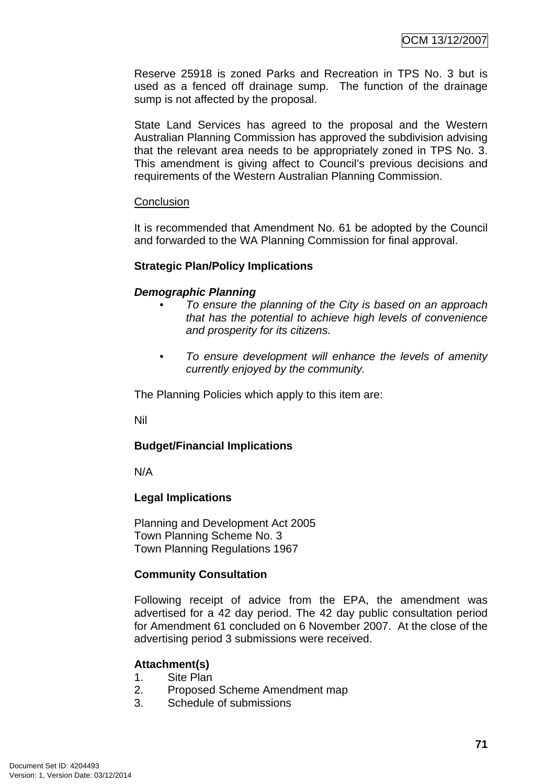Reserve 25918 is zoned Parks and Recreation in TPS No. 3 but is used as a fenced off drainage sump. The function of the drainage sump is not affected by the proposal.

State Land Services has agreed to the proposal and the Western Australian Planning Commission has approved the subdivision advising that the relevant area needs to be appropriately zoned in TPS No. 3. This amendment is giving affect to Council's previous decisions and requirements of the Western Australian Planning Commission.

#### **Conclusion**

It is recommended that Amendment No. 61 be adopted by the Council and forwarded to the WA Planning Commission for final approval.

#### **Strategic Plan/Policy Implications**

#### *Demographic Planning*

- *To ensure the planning of the City is based on an approach that has the potential to achieve high levels of convenience and prosperity for its citizens.*
- *To ensure development will enhance the levels of amenity currently enjoyed by the community.*

The Planning Policies which apply to this item are:

Nil

# **Budget/Financial Implications**

N/A

# **Legal Implications**

Planning and Development Act 2005 Town Planning Scheme No. 3 Town Planning Regulations 1967

# **Community Consultation**

Following receipt of advice from the EPA, the amendment was advertised for a 42 day period. The 42 day public consultation period for Amendment 61 concluded on 6 November 2007. At the close of the advertising period 3 submissions were received.

#### **Attachment(s)**

- 1. Site Plan
- 2. Proposed Scheme Amendment map
- 3. Schedule of submissions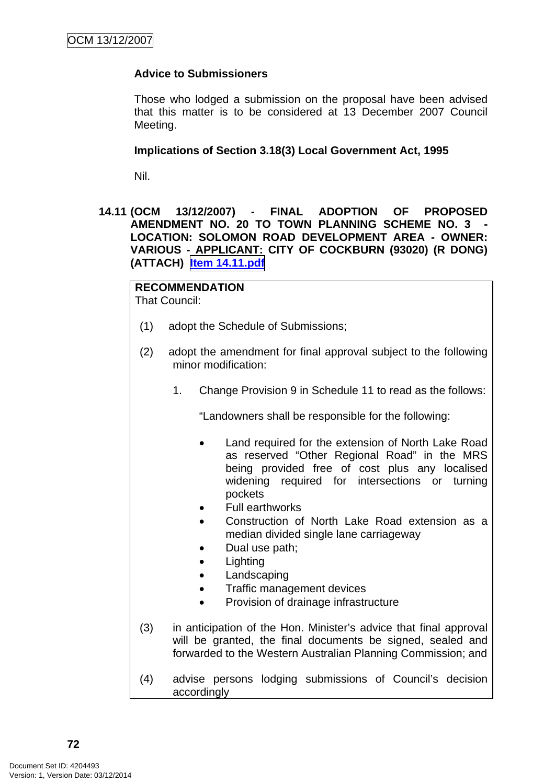### **Advice to Submissioners**

Those who lodged a submission on the proposal have been advised that this matter is to be considered at 13 December 2007 Council Meeting.

#### **Implications of Section 3.18(3) Local Government Act, 1995**

Nil.

**14.11 (OCM 13/12/2007) - FINAL ADOPTION OF PROPOSED AMENDMENT NO. 20 TO TOWN PLANNING SCHEME NO. 3 - LOCATION: SOLOMON ROAD DEVELOPMENT AREA - OWNER: VARIOUS - APPLICANT: CITY OF COCKBURN (93020) (R DONG) (ATTACH) Item 14.11.pdf**

**RECOMMENDATION** That Council:

- (1) adopt the Schedule of Submissions;
- (2) adopt the amendment for final approval subject to the following minor modification:
	- 1. Change Provision 9 in Schedule 11 to read as the follows:

"Landowners shall be responsible for the following:

- Land required for the extension of North Lake Road as reserved "Other Regional Road" in the MRS being provided free of cost plus any localised widening required for intersections or turning pockets
- Full earthworks
- Construction of North Lake Road extension as a median divided single lane carriageway
- Dual use path;
- Lighting
- Landscaping
- Traffic management devices
- Provision of drainage infrastructure
- (3) in anticipation of the Hon. Minister's advice that final approval will be granted, the final documents be signed, sealed and forwarded to the Western Australian Planning Commission; and
- (4) advise persons lodging submissions of Council's decision accordingly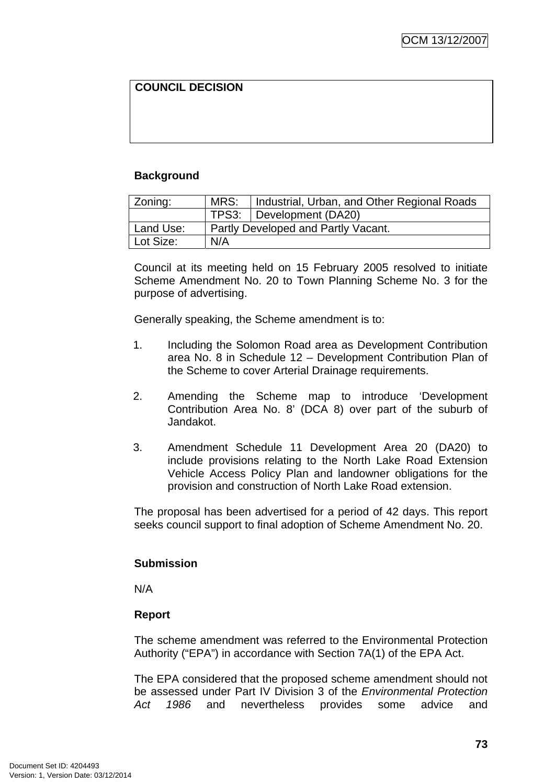# **COUNCIL DECISION**

#### **Background**

| Zoning:   | MRS:                                | Industrial, Urban, and Other Regional Roads |  |
|-----------|-------------------------------------|---------------------------------------------|--|
|           |                                     | TPS3: Development (DA20)                    |  |
| Land Use: | Partly Developed and Partly Vacant. |                                             |  |
| Lot Size: | N/A                                 |                                             |  |

Council at its meeting held on 15 February 2005 resolved to initiate Scheme Amendment No. 20 to Town Planning Scheme No. 3 for the purpose of advertising.

Generally speaking, the Scheme amendment is to:

- 1. Including the Solomon Road area as Development Contribution area No. 8 in Schedule 12 – Development Contribution Plan of the Scheme to cover Arterial Drainage requirements.
- 2. Amending the Scheme map to introduce 'Development Contribution Area No. 8' (DCA 8) over part of the suburb of Jandakot.
- 3. Amendment Schedule 11 Development Area 20 (DA20) to include provisions relating to the North Lake Road Extension Vehicle Access Policy Plan and landowner obligations for the provision and construction of North Lake Road extension.

The proposal has been advertised for a period of 42 days. This report seeks council support to final adoption of Scheme Amendment No. 20.

#### **Submission**

N/A

#### **Report**

The scheme amendment was referred to the Environmental Protection Authority ("EPA") in accordance with Section 7A(1) of the EPA Act.

The EPA considered that the proposed scheme amendment should not be assessed under Part IV Division 3 of the *Environmental Protection Act 1986* and nevertheless provides some advice and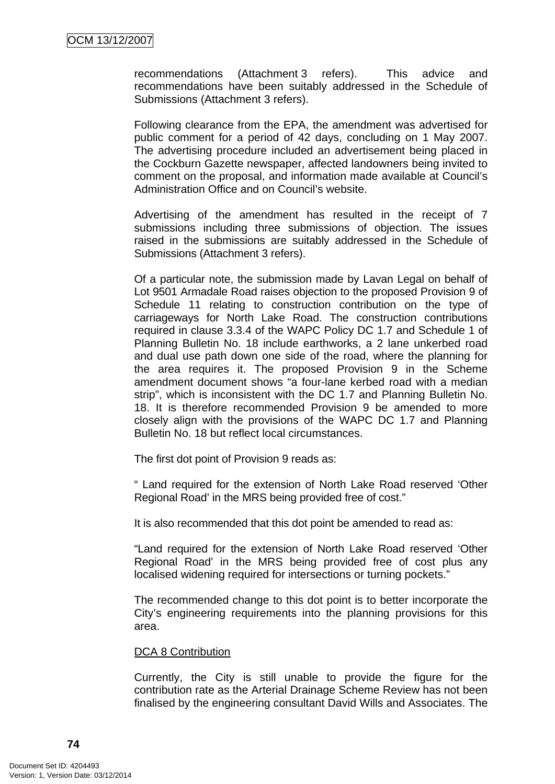recommendations (Attachment 3 refers). This advice and recommendations have been suitably addressed in the Schedule of Submissions (Attachment 3 refers).

Following clearance from the EPA, the amendment was advertised for public comment for a period of 42 days, concluding on 1 May 2007. The advertising procedure included an advertisement being placed in the Cockburn Gazette newspaper, affected landowners being invited to comment on the proposal, and information made available at Council's Administration Office and on Council's website.

Advertising of the amendment has resulted in the receipt of 7 submissions including three submissions of objection. The issues raised in the submissions are suitably addressed in the Schedule of Submissions (Attachment 3 refers).

Of a particular note, the submission made by Lavan Legal on behalf of Lot 9501 Armadale Road raises objection to the proposed Provision 9 of Schedule 11 relating to construction contribution on the type of carriageways for North Lake Road. The construction contributions required in clause 3.3.4 of the WAPC Policy DC 1.7 and Schedule 1 of Planning Bulletin No. 18 include earthworks, a 2 lane unkerbed road and dual use path down one side of the road, where the planning for the area requires it. The proposed Provision 9 in the Scheme amendment document shows "a four-lane kerbed road with a median strip", which is inconsistent with the DC 1.7 and Planning Bulletin No. 18. It is therefore recommended Provision 9 be amended to more closely align with the provisions of the WAPC DC 1.7 and Planning Bulletin No. 18 but reflect local circumstances.

The first dot point of Provision 9 reads as:

" Land required for the extension of North Lake Road reserved 'Other Regional Road' in the MRS being provided free of cost."

It is also recommended that this dot point be amended to read as:

"Land required for the extension of North Lake Road reserved 'Other Regional Road' in the MRS being provided free of cost plus any localised widening required for intersections or turning pockets."

The recommended change to this dot point is to better incorporate the City's engineering requirements into the planning provisions for this area.

#### DCA 8 Contribution

Currently, the City is still unable to provide the figure for the contribution rate as the Arterial Drainage Scheme Review has not been finalised by the engineering consultant David Wills and Associates. The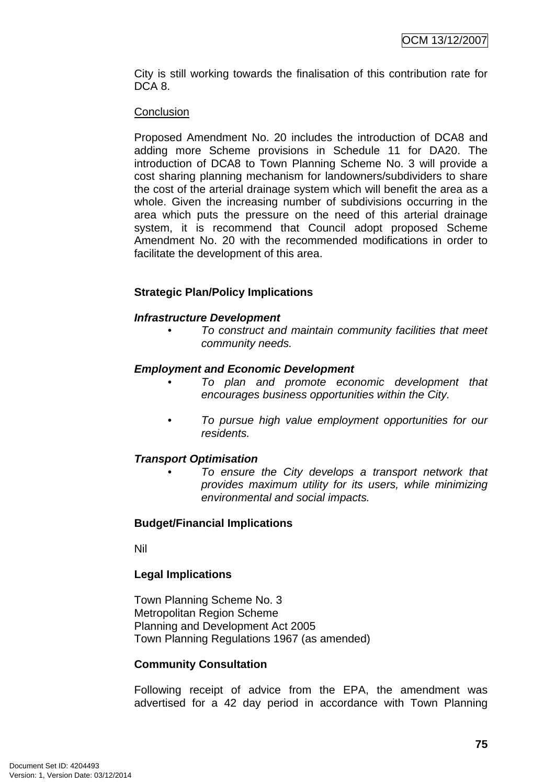City is still working towards the finalisation of this contribution rate for DCA<sub>8</sub>.

#### **Conclusion**

Proposed Amendment No. 20 includes the introduction of DCA8 and adding more Scheme provisions in Schedule 11 for DA20. The introduction of DCA8 to Town Planning Scheme No. 3 will provide a cost sharing planning mechanism for landowners/subdividers to share the cost of the arterial drainage system which will benefit the area as a whole. Given the increasing number of subdivisions occurring in the area which puts the pressure on the need of this arterial drainage system, it is recommend that Council adopt proposed Scheme Amendment No. 20 with the recommended modifications in order to facilitate the development of this area.

#### **Strategic Plan/Policy Implications**

#### *Infrastructure Development*

*• To construct and maintain community facilities that meet community needs.* 

#### *Employment and Economic Development*

- *To plan and promote economic development that encourages business opportunities within the City.*
- *To pursue high value employment opportunities for our residents.*

#### *Transport Optimisation*

*• To ensure the City develops a transport network that provides maximum utility for its users, while minimizing environmental and social impacts.* 

#### **Budget/Financial Implications**

Nil

#### **Legal Implications**

Town Planning Scheme No. 3 Metropolitan Region Scheme Planning and Development Act 2005 Town Planning Regulations 1967 (as amended)

#### **Community Consultation**

Following receipt of advice from the EPA, the amendment was advertised for a 42 day period in accordance with Town Planning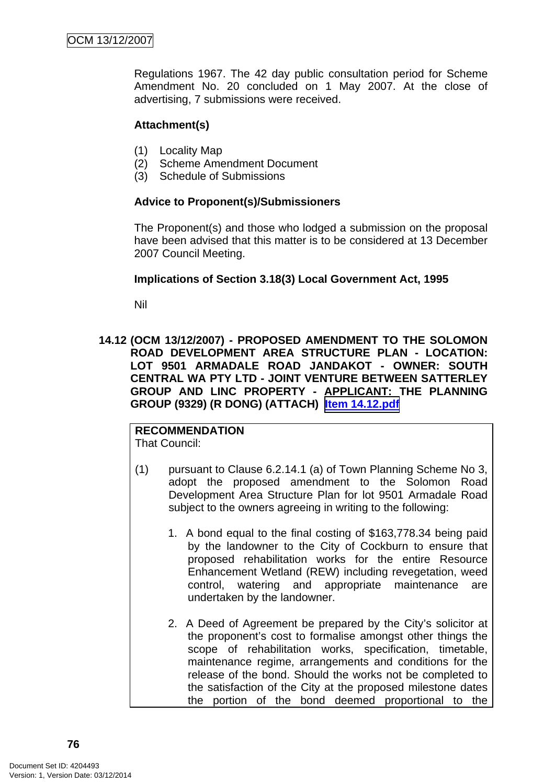Regulations 1967. The 42 day public consultation period for Scheme Amendment No. 20 concluded on 1 May 2007. At the close of advertising, 7 submissions were received.

#### **Attachment(s)**

- (1) Locality Map
- (2) Scheme Amendment Document
- (3) Schedule of Submissions

#### **Advice to Proponent(s)/Submissioners**

The Proponent(s) and those who lodged a submission on the proposal have been advised that this matter is to be considered at 13 December 2007 Council Meeting.

#### **Implications of Section 3.18(3) Local Government Act, 1995**

Nil

#### **14.12 (OCM 13/12/2007) - PROPOSED AMENDMENT TO THE SOLOMON ROAD DEVELOPMENT AREA STRUCTURE PLAN - LOCATION: LOT 9501 ARMADALE ROAD JANDAKOT - OWNER: SOUTH CENTRAL WA PTY LTD - JOINT VENTURE BETWEEN SATTERLEY GROUP AND LINC PROPERTY - APPLICANT: THE PLANNING GROUP (9329) (R DONG) (ATTACH) Item 14.12.pdf**

# **RECOMMENDATION**

That Council:

- (1) pursuant to Clause 6.2.14.1 (a) of Town Planning Scheme No 3, adopt the proposed amendment to the Solomon Road Development Area Structure Plan for lot 9501 Armadale Road subject to the owners agreeing in writing to the following:
	- 1. A bond equal to the final costing of \$163,778.34 being paid by the landowner to the City of Cockburn to ensure that proposed rehabilitation works for the entire Resource Enhancement Wetland (REW) including revegetation, weed control, watering and appropriate maintenance are undertaken by the landowner.
	- 2. A Deed of Agreement be prepared by the City's solicitor at the proponent's cost to formalise amongst other things the scope of rehabilitation works, specification, timetable, maintenance regime, arrangements and conditions for the release of the bond. Should the works not be completed to the satisfaction of the City at the proposed milestone dates the portion of the bond deemed proportional to the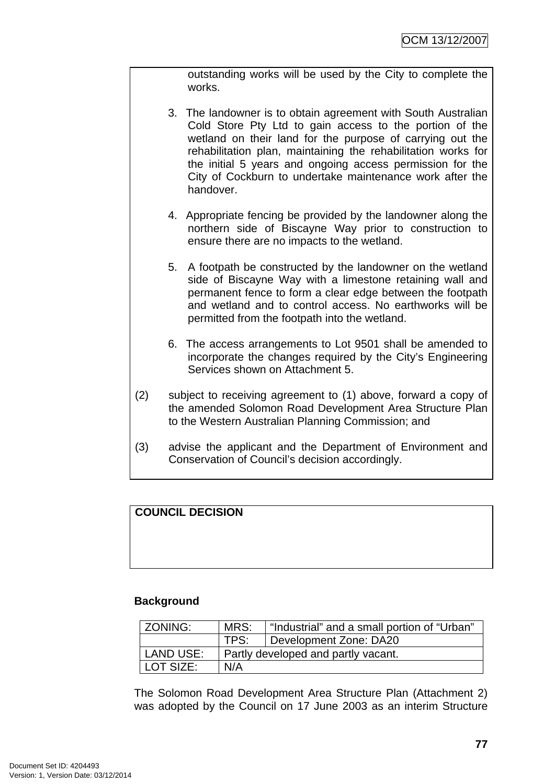outstanding works will be used by the City to complete the works.

- 3. The landowner is to obtain agreement with South Australian Cold Store Pty Ltd to gain access to the portion of the wetland on their land for the purpose of carrying out the rehabilitation plan, maintaining the rehabilitation works for the initial 5 years and ongoing access permission for the City of Cockburn to undertake maintenance work after the handover.
- 4. Appropriate fencing be provided by the landowner along the northern side of Biscayne Way prior to construction to ensure there are no impacts to the wetland.
- 5. A footpath be constructed by the landowner on the wetland side of Biscayne Way with a limestone retaining wall and permanent fence to form a clear edge between the footpath and wetland and to control access. No earthworks will be permitted from the footpath into the wetland.
- 6. The access arrangements to Lot 9501 shall be amended to incorporate the changes required by the City's Engineering Services shown on Attachment 5.
- (2) subject to receiving agreement to (1) above, forward a copy of the amended Solomon Road Development Area Structure Plan to the Western Australian Planning Commission; and
- (3) advise the applicant and the Department of Environment and Conservation of Council's decision accordingly.

# **COUNCIL DECISION**

#### **Background**

| ZONING:     | MRS:                                | "Industrial" and a small portion of "Urban" |
|-------------|-------------------------------------|---------------------------------------------|
|             | TPS:                                | Development Zone: DA20                      |
| l LAND USE: | Partly developed and partly vacant. |                                             |
| LOT SIZE:   | N/A                                 |                                             |

The Solomon Road Development Area Structure Plan (Attachment 2) was adopted by the Council on 17 June 2003 as an interim Structure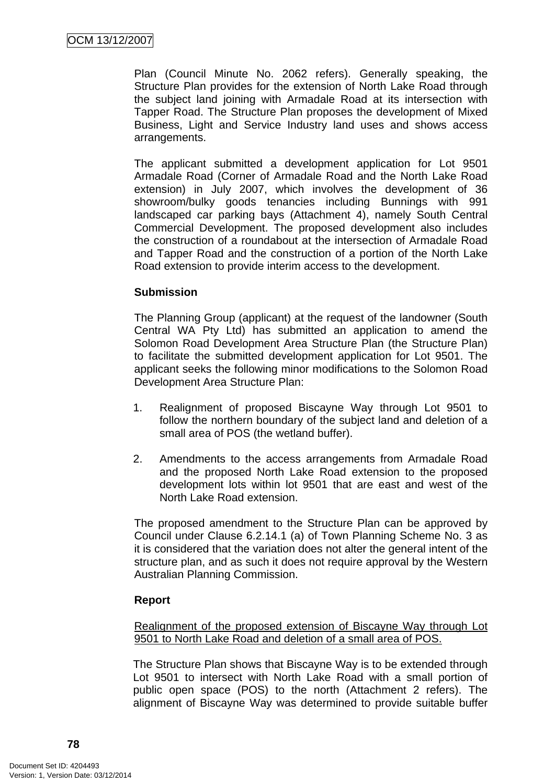Plan (Council Minute No. 2062 refers). Generally speaking, the Structure Plan provides for the extension of North Lake Road through the subject land joining with Armadale Road at its intersection with Tapper Road. The Structure Plan proposes the development of Mixed Business, Light and Service Industry land uses and shows access arrangements.

The applicant submitted a development application for Lot 9501 Armadale Road (Corner of Armadale Road and the North Lake Road extension) in July 2007, which involves the development of 36 showroom/bulky goods tenancies including Bunnings with 991 landscaped car parking bays (Attachment 4), namely South Central Commercial Development. The proposed development also includes the construction of a roundabout at the intersection of Armadale Road and Tapper Road and the construction of a portion of the North Lake Road extension to provide interim access to the development.

#### **Submission**

The Planning Group (applicant) at the request of the landowner (South Central WA Pty Ltd) has submitted an application to amend the Solomon Road Development Area Structure Plan (the Structure Plan) to facilitate the submitted development application for Lot 9501. The applicant seeks the following minor modifications to the Solomon Road Development Area Structure Plan:

- 1. Realignment of proposed Biscayne Way through Lot 9501 to follow the northern boundary of the subject land and deletion of a small area of POS (the wetland buffer).
- 2. Amendments to the access arrangements from Armadale Road and the proposed North Lake Road extension to the proposed development lots within lot 9501 that are east and west of the North Lake Road extension.

The proposed amendment to the Structure Plan can be approved by Council under Clause 6.2.14.1 (a) of Town Planning Scheme No. 3 as it is considered that the variation does not alter the general intent of the structure plan, and as such it does not require approval by the Western Australian Planning Commission.

# **Report**

Realignment of the proposed extension of Biscayne Way through Lot 9501 to North Lake Road and deletion of a small area of POS.

The Structure Plan shows that Biscayne Way is to be extended through Lot 9501 to intersect with North Lake Road with a small portion of public open space (POS) to the north (Attachment 2 refers). The alignment of Biscayne Way was determined to provide suitable buffer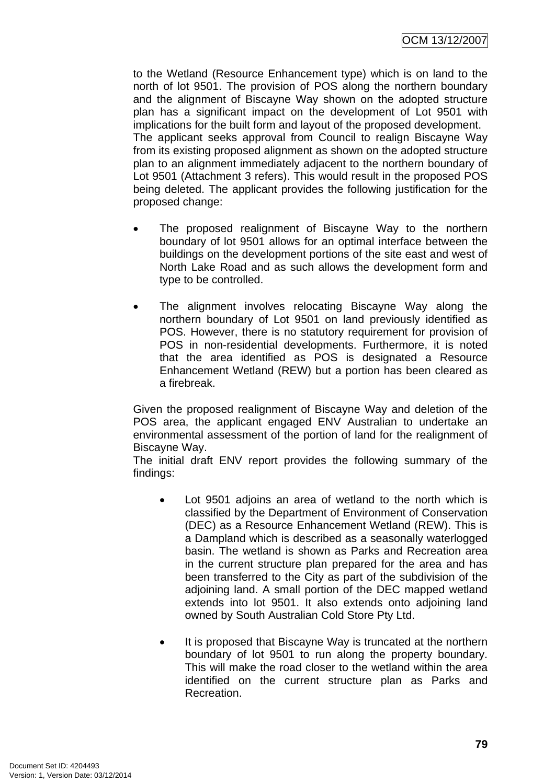to the Wetland (Resource Enhancement type) which is on land to the north of lot 9501. The provision of POS along the northern boundary and the alignment of Biscayne Way shown on the adopted structure plan has a significant impact on the development of Lot 9501 with implications for the built form and layout of the proposed development. The applicant seeks approval from Council to realign Biscayne Way from its existing proposed alignment as shown on the adopted structure plan to an alignment immediately adjacent to the northern boundary of Lot 9501 (Attachment 3 refers). This would result in the proposed POS being deleted. The applicant provides the following justification for the proposed change:

- The proposed realignment of Biscayne Way to the northern boundary of lot 9501 allows for an optimal interface between the buildings on the development portions of the site east and west of North Lake Road and as such allows the development form and type to be controlled.
- The alignment involves relocating Biscayne Way along the northern boundary of Lot 9501 on land previously identified as POS. However, there is no statutory requirement for provision of POS in non-residential developments. Furthermore, it is noted that the area identified as POS is designated a Resource Enhancement Wetland (REW) but a portion has been cleared as a firebreak.

Given the proposed realignment of Biscayne Way and deletion of the POS area, the applicant engaged ENV Australian to undertake an environmental assessment of the portion of land for the realignment of Biscayne Way.

The initial draft ENV report provides the following summary of the findings:

- Lot 9501 adjoins an area of wetland to the north which is classified by the Department of Environment of Conservation (DEC) as a Resource Enhancement Wetland (REW). This is a Dampland which is described as a seasonally waterlogged basin. The wetland is shown as Parks and Recreation area in the current structure plan prepared for the area and has been transferred to the City as part of the subdivision of the adjoining land. A small portion of the DEC mapped wetland extends into lot 9501. It also extends onto adjoining land owned by South Australian Cold Store Pty Ltd.
- It is proposed that Biscayne Way is truncated at the northern boundary of lot 9501 to run along the property boundary. This will make the road closer to the wetland within the area identified on the current structure plan as Parks and Recreation.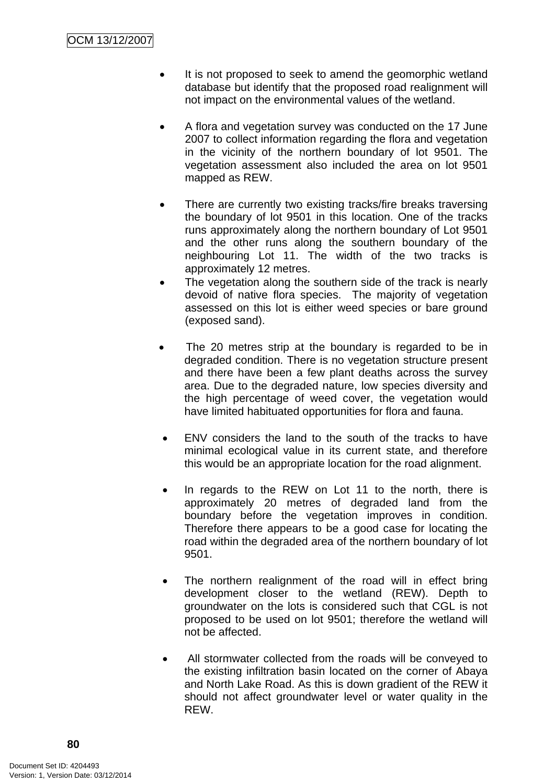- It is not proposed to seek to amend the geomorphic wetland database but identify that the proposed road realignment will not impact on the environmental values of the wetland.
- A flora and vegetation survey was conducted on the 17 June 2007 to collect information regarding the flora and vegetation in the vicinity of the northern boundary of lot 9501. The vegetation assessment also included the area on lot 9501 mapped as REW.
- There are currently two existing tracks/fire breaks traversing the boundary of lot 9501 in this location. One of the tracks runs approximately along the northern boundary of Lot 9501 and the other runs along the southern boundary of the neighbouring Lot 11. The width of the two tracks is approximately 12 metres.
- The vegetation along the southern side of the track is nearly devoid of native flora species. The majority of vegetation assessed on this lot is either weed species or bare ground (exposed sand).
- The 20 metres strip at the boundary is regarded to be in degraded condition. There is no vegetation structure present and there have been a few plant deaths across the survey area. Due to the degraded nature, low species diversity and the high percentage of weed cover, the vegetation would have limited habituated opportunities for flora and fauna.
- ENV considers the land to the south of the tracks to have minimal ecological value in its current state, and therefore this would be an appropriate location for the road alignment.
- In regards to the REW on Lot 11 to the north, there is approximately 20 metres of degraded land from the boundary before the vegetation improves in condition. Therefore there appears to be a good case for locating the road within the degraded area of the northern boundary of lot 9501.
- The northern realignment of the road will in effect bring development closer to the wetland (REW). Depth to groundwater on the lots is considered such that CGL is not proposed to be used on lot 9501; therefore the wetland will not be affected.
- All stormwater collected from the roads will be conveyed to the existing infiltration basin located on the corner of Abaya and North Lake Road. As this is down gradient of the REW it should not affect groundwater level or water quality in the REW.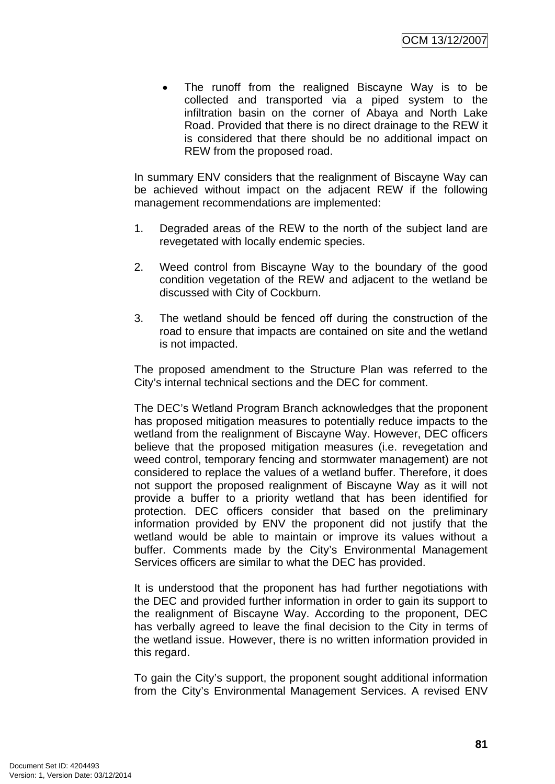The runoff from the realigned Biscayne Way is to be collected and transported via a piped system to the infiltration basin on the corner of Abaya and North Lake Road. Provided that there is no direct drainage to the REW it is considered that there should be no additional impact on REW from the proposed road.

In summary ENV considers that the realignment of Biscayne Way can be achieved without impact on the adjacent REW if the following management recommendations are implemented:

- 1. Degraded areas of the REW to the north of the subject land are revegetated with locally endemic species.
- 2. Weed control from Biscayne Way to the boundary of the good condition vegetation of the REW and adjacent to the wetland be discussed with City of Cockburn.
- 3. The wetland should be fenced off during the construction of the road to ensure that impacts are contained on site and the wetland is not impacted.

The proposed amendment to the Structure Plan was referred to the City's internal technical sections and the DEC for comment.

The DEC's Wetland Program Branch acknowledges that the proponent has proposed mitigation measures to potentially reduce impacts to the wetland from the realignment of Biscayne Way. However, DEC officers believe that the proposed mitigation measures (i.e. revegetation and weed control, temporary fencing and stormwater management) are not considered to replace the values of a wetland buffer. Therefore, it does not support the proposed realignment of Biscayne Way as it will not provide a buffer to a priority wetland that has been identified for protection. DEC officers consider that based on the preliminary information provided by ENV the proponent did not justify that the wetland would be able to maintain or improve its values without a buffer. Comments made by the City's Environmental Management Services officers are similar to what the DEC has provided.

It is understood that the proponent has had further negotiations with the DEC and provided further information in order to gain its support to the realignment of Biscayne Way. According to the proponent, DEC has verbally agreed to leave the final decision to the City in terms of the wetland issue. However, there is no written information provided in this regard.

To gain the City's support, the proponent sought additional information from the City's Environmental Management Services. A revised ENV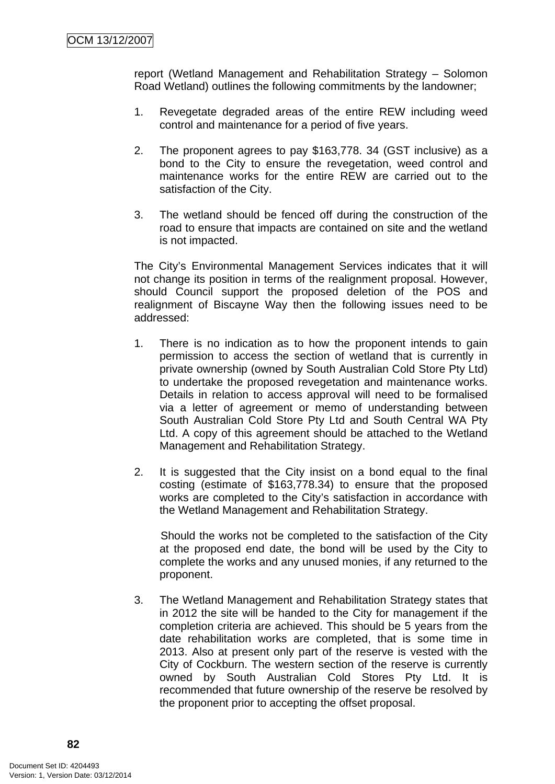report (Wetland Management and Rehabilitation Strategy – Solomon Road Wetland) outlines the following commitments by the landowner;

- 1. Revegetate degraded areas of the entire REW including weed control and maintenance for a period of five years.
- 2. The proponent agrees to pay \$163,778. 34 (GST inclusive) as a bond to the City to ensure the revegetation, weed control and maintenance works for the entire REW are carried out to the satisfaction of the City.
- 3. The wetland should be fenced off during the construction of the road to ensure that impacts are contained on site and the wetland is not impacted.

The City's Environmental Management Services indicates that it will not change its position in terms of the realignment proposal. However, should Council support the proposed deletion of the POS and realignment of Biscayne Way then the following issues need to be addressed:

- 1. There is no indication as to how the proponent intends to gain permission to access the section of wetland that is currently in private ownership (owned by South Australian Cold Store Pty Ltd) to undertake the proposed revegetation and maintenance works. Details in relation to access approval will need to be formalised via a letter of agreement or memo of understanding between South Australian Cold Store Pty Ltd and South Central WA Pty Ltd. A copy of this agreement should be attached to the Wetland Management and Rehabilitation Strategy.
- 2. It is suggested that the City insist on a bond equal to the final costing (estimate of \$163,778.34) to ensure that the proposed works are completed to the City's satisfaction in accordance with the Wetland Management and Rehabilitation Strategy.

Should the works not be completed to the satisfaction of the City at the proposed end date, the bond will be used by the City to complete the works and any unused monies, if any returned to the proponent.

3. The Wetland Management and Rehabilitation Strategy states that in 2012 the site will be handed to the City for management if the completion criteria are achieved. This should be 5 years from the date rehabilitation works are completed, that is some time in 2013. Also at present only part of the reserve is vested with the City of Cockburn. The western section of the reserve is currently owned by South Australian Cold Stores Pty Ltd. It is recommended that future ownership of the reserve be resolved by the proponent prior to accepting the offset proposal.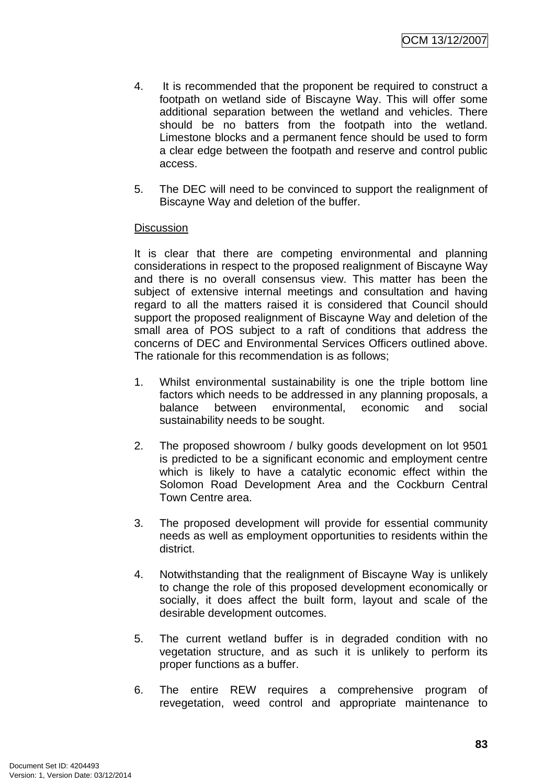- 4. It is recommended that the proponent be required to construct a footpath on wetland side of Biscayne Way. This will offer some additional separation between the wetland and vehicles. There should be no batters from the footpath into the wetland. Limestone blocks and a permanent fence should be used to form a clear edge between the footpath and reserve and control public access.
- 5. The DEC will need to be convinced to support the realignment of Biscayne Way and deletion of the buffer.

#### **Discussion**

It is clear that there are competing environmental and planning considerations in respect to the proposed realignment of Biscayne Way and there is no overall consensus view. This matter has been the subject of extensive internal meetings and consultation and having regard to all the matters raised it is considered that Council should support the proposed realignment of Biscayne Way and deletion of the small area of POS subject to a raft of conditions that address the concerns of DEC and Environmental Services Officers outlined above. The rationale for this recommendation is as follows;

- 1. Whilst environmental sustainability is one the triple bottom line factors which needs to be addressed in any planning proposals, a balance between environmental, economic and social sustainability needs to be sought.
- 2. The proposed showroom / bulky goods development on lot 9501 is predicted to be a significant economic and employment centre which is likely to have a catalytic economic effect within the Solomon Road Development Area and the Cockburn Central Town Centre area.
- 3. The proposed development will provide for essential community needs as well as employment opportunities to residents within the district.
- 4. Notwithstanding that the realignment of Biscayne Way is unlikely to change the role of this proposed development economically or socially, it does affect the built form, layout and scale of the desirable development outcomes.
- 5. The current wetland buffer is in degraded condition with no vegetation structure, and as such it is unlikely to perform its proper functions as a buffer.
- 6. The entire REW requires a comprehensive program of revegetation, weed control and appropriate maintenance to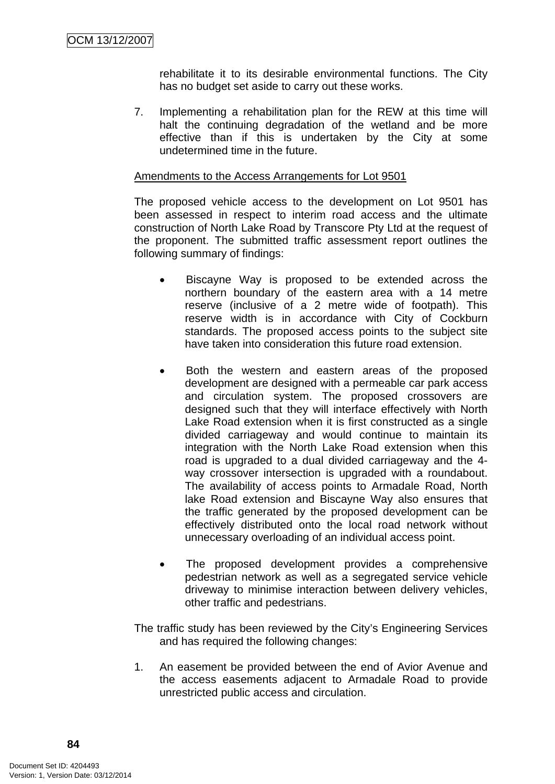rehabilitate it to its desirable environmental functions. The City has no budget set aside to carry out these works.

7. Implementing a rehabilitation plan for the REW at this time will halt the continuing degradation of the wetland and be more effective than if this is undertaken by the City at some undetermined time in the future.

#### Amendments to the Access Arrangements for Lot 9501

The proposed vehicle access to the development on Lot 9501 has been assessed in respect to interim road access and the ultimate construction of North Lake Road by Transcore Pty Ltd at the request of the proponent. The submitted traffic assessment report outlines the following summary of findings:

- Biscayne Way is proposed to be extended across the northern boundary of the eastern area with a 14 metre reserve (inclusive of a 2 metre wide of footpath). This reserve width is in accordance with City of Cockburn standards. The proposed access points to the subject site have taken into consideration this future road extension.
- Both the western and eastern areas of the proposed development are designed with a permeable car park access and circulation system. The proposed crossovers are designed such that they will interface effectively with North Lake Road extension when it is first constructed as a single divided carriageway and would continue to maintain its integration with the North Lake Road extension when this road is upgraded to a dual divided carriageway and the 4 way crossover intersection is upgraded with a roundabout. The availability of access points to Armadale Road, North lake Road extension and Biscayne Way also ensures that the traffic generated by the proposed development can be effectively distributed onto the local road network without unnecessary overloading of an individual access point.
- The proposed development provides a comprehensive pedestrian network as well as a segregated service vehicle driveway to minimise interaction between delivery vehicles, other traffic and pedestrians.

The traffic study has been reviewed by the City's Engineering Services and has required the following changes:

1. An easement be provided between the end of Avior Avenue and the access easements adjacent to Armadale Road to provide unrestricted public access and circulation.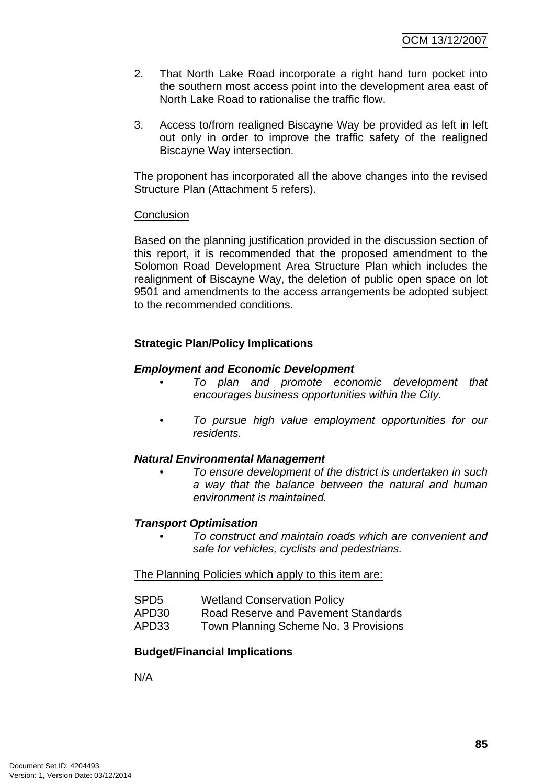- 2. That North Lake Road incorporate a right hand turn pocket into the southern most access point into the development area east of North Lake Road to rationalise the traffic flow.
- 3. Access to/from realigned Biscayne Way be provided as left in left out only in order to improve the traffic safety of the realigned Biscayne Way intersection.

The proponent has incorporated all the above changes into the revised Structure Plan (Attachment 5 refers).

#### **Conclusion**

Based on the planning justification provided in the discussion section of this report, it is recommended that the proposed amendment to the Solomon Road Development Area Structure Plan which includes the realignment of Biscayne Way, the deletion of public open space on lot 9501 and amendments to the access arrangements be adopted subject to the recommended conditions.

#### **Strategic Plan/Policy Implications**

#### *Employment and Economic Development*

- *To plan and promote economic development that encourages business opportunities within the City.*
- *To pursue high value employment opportunities for our residents.*

#### *Natural Environmental Management*

*• To ensure development of the district is undertaken in such a way that the balance between the natural and human environment is maintained.* 

#### *Transport Optimisation*

*• To construct and maintain roads which are convenient and safe for vehicles, cyclists and pedestrians.* 

#### The Planning Policies which apply to this item are:

- SPD5 Wetland Conservation Policy
- APD30 Road Reserve and Pavement Standards
- APD33 Town Planning Scheme No. 3 Provisions

#### **Budget/Financial Implications**

N/A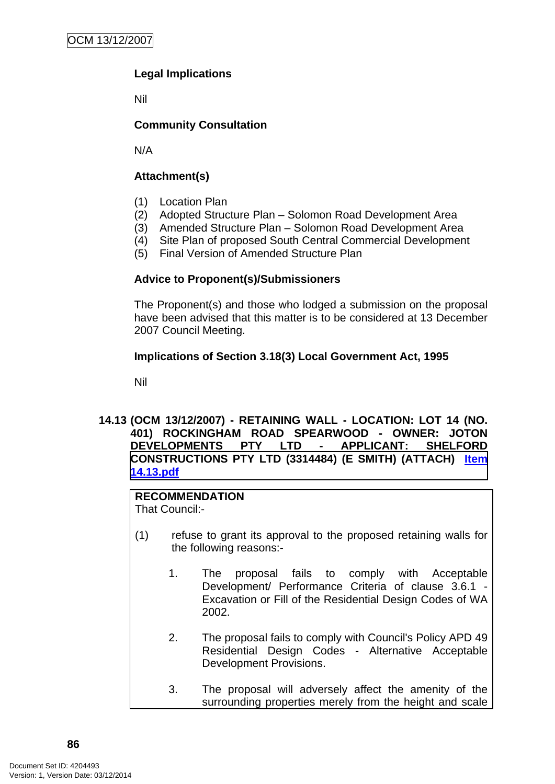# **Legal Implications**

Nil

# **Community Consultation**

N/A

# **Attachment(s)**

- (1) Location Plan
- (2) Adopted Structure Plan Solomon Road Development Area
- (3) Amended Structure Plan Solomon Road Development Area
- (4) Site Plan of proposed South Central Commercial Development
- (5) Final Version of Amended Structure Plan

#### **Advice to Proponent(s)/Submissioners**

The Proponent(s) and those who lodged a submission on the proposal have been advised that this matter is to be considered at 13 December 2007 Council Meeting.

#### **Implications of Section 3.18(3) Local Government Act, 1995**

Nil

#### **14.13 (OCM 13/12/2007) - RETAINING WALL - LOCATION: LOT 14 (NO. 401) ROCKINGHAM ROAD SPEARWOOD - OWNER: JOTON DEVELOPMENTS PTY LTD - APPLICANT: SHELFORD**  CONSTRUCTIONS PTY LTD (3314484) (E SMITH) (ATTACH) ltem **14.13.pdf**

# **RECOMMENDATION**

That Council:-

- (1) refuse to grant its approval to the proposed retaining walls for the following reasons:-
	- 1. The proposal fails to comply with Acceptable Development/ Performance Criteria of clause 3.6.1 - Excavation or Fill of the Residential Design Codes of WA 2002.
	- 2. The proposal fails to comply with Council's Policy APD 49 Residential Design Codes - Alternative Acceptable Development Provisions.
	- 3. The proposal will adversely affect the amenity of the surrounding properties merely from the height and scale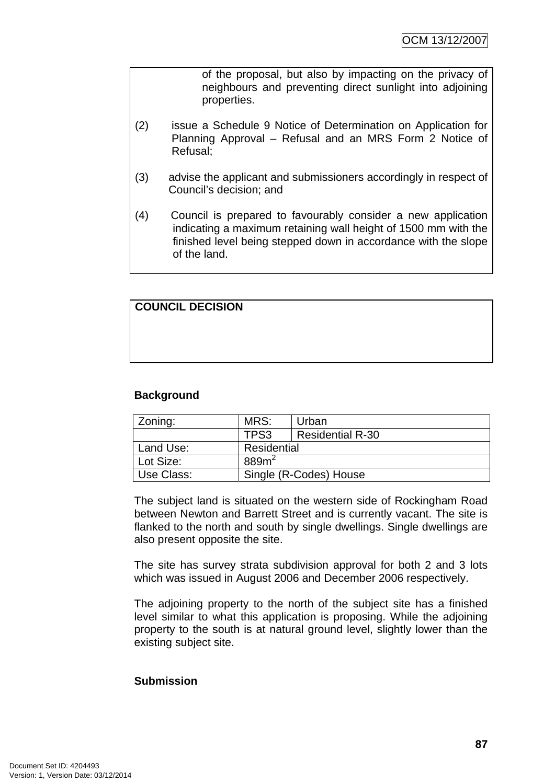of the proposal, but also by impacting on the privacy of neighbours and preventing direct sunlight into adjoining properties.

- (2) issue a Schedule 9 Notice of Determination on Application for Planning Approval – Refusal and an MRS Form 2 Notice of Refusal;
- (3) advise the applicant and submissioners accordingly in respect of Council's decision; and
- (4) Council is prepared to favourably consider a new application indicating a maximum retaining wall height of 1500 mm with the finished level being stepped down in accordance with the slope of the land.

# **COUNCIL DECISION**

# **Background**

| Zoning:    | MRS:                   | Urban                   |  |
|------------|------------------------|-------------------------|--|
|            | TPS3                   | <b>Residential R-30</b> |  |
| Land Use:  | Residential            |                         |  |
| Lot Size:  | 889 <sup>2</sup>       |                         |  |
| Use Class: | Single (R-Codes) House |                         |  |

The subject land is situated on the western side of Rockingham Road between Newton and Barrett Street and is currently vacant. The site is flanked to the north and south by single dwellings. Single dwellings are also present opposite the site.

The site has survey strata subdivision approval for both 2 and 3 lots which was issued in August 2006 and December 2006 respectively.

The adjoining property to the north of the subject site has a finished level similar to what this application is proposing. While the adjoining property to the south is at natural ground level, slightly lower than the existing subject site.

#### **Submission**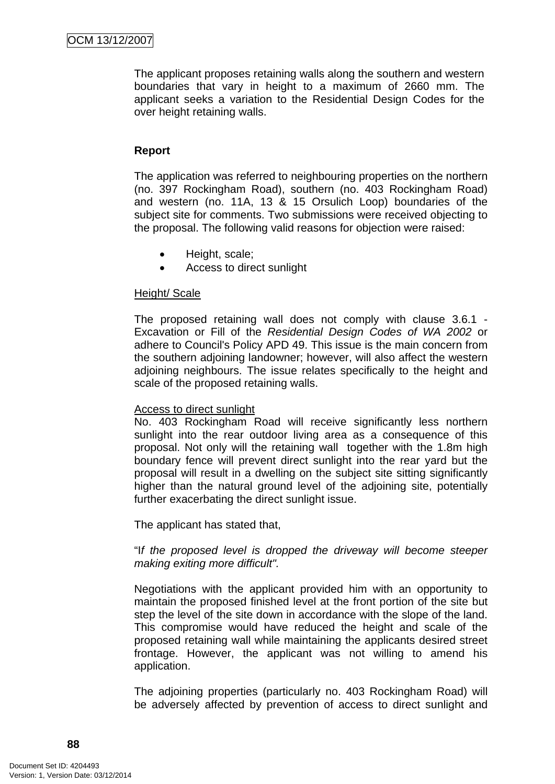The applicant proposes retaining walls along the southern and western boundaries that vary in height to a maximum of 2660 mm. The applicant seeks a variation to the Residential Design Codes for the over height retaining walls.

# **Report**

The application was referred to neighbouring properties on the northern (no. 397 Rockingham Road), southern (no. 403 Rockingham Road) and western (no. 11A, 13 & 15 Orsulich Loop) boundaries of the subject site for comments. Two submissions were received objecting to the proposal. The following valid reasons for objection were raised:

- Height, scale;
- Access to direct sunlight

#### Height/ Scale

The proposed retaining wall does not comply with clause 3.6.1 - Excavation or Fill of the *Residential Design Codes of WA 2002* or adhere to Council's Policy APD 49. This issue is the main concern from the southern adjoining landowner; however, will also affect the western adjoining neighbours. The issue relates specifically to the height and scale of the proposed retaining walls.

#### Access to direct sunlight

No. 403 Rockingham Road will receive significantly less northern sunlight into the rear outdoor living area as a consequence of this proposal. Not only will the retaining wall together with the 1.8m high boundary fence will prevent direct sunlight into the rear yard but the proposal will result in a dwelling on the subject site sitting significantly higher than the natural ground level of the adjoining site, potentially further exacerbating the direct sunlight issue.

The applicant has stated that,

"I*f the proposed level is dropped the driveway will become steeper making exiting more difficult".* 

Negotiations with the applicant provided him with an opportunity to maintain the proposed finished level at the front portion of the site but step the level of the site down in accordance with the slope of the land. This compromise would have reduced the height and scale of the proposed retaining wall while maintaining the applicants desired street frontage. However, the applicant was not willing to amend his application.

The adjoining properties (particularly no. 403 Rockingham Road) will be adversely affected by prevention of access to direct sunlight and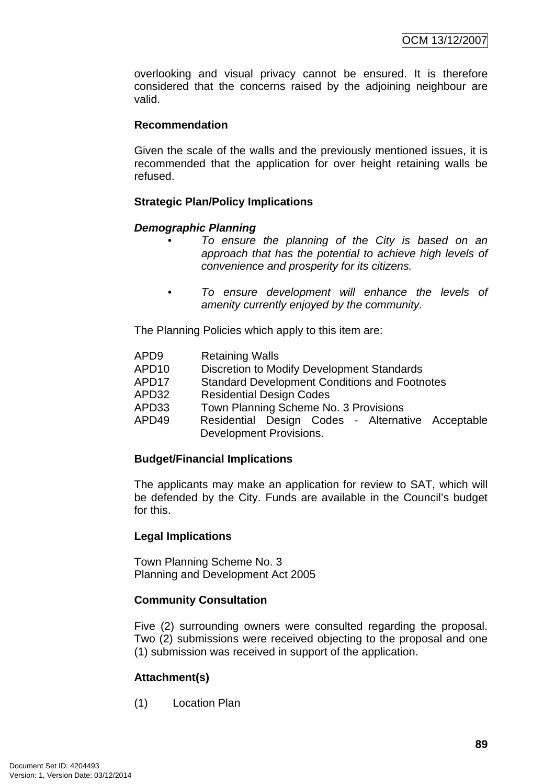overlooking and visual privacy cannot be ensured. It is therefore considered that the concerns raised by the adjoining neighbour are valid.

#### **Recommendation**

Given the scale of the walls and the previously mentioned issues, it is recommended that the application for over height retaining walls be refused.

# **Strategic Plan/Policy Implications**

#### *Demographic Planning*

- *To ensure the planning of the City is based on an approach that has the potential to achieve high levels of convenience and prosperity for its citizens.*
- *To ensure development will enhance the levels of amenity currently enjoyed by the community.*

The Planning Policies which apply to this item are:

| APD9  | <b>Retaining Walls</b>                                                       |  |  |
|-------|------------------------------------------------------------------------------|--|--|
| APD10 | <b>Discretion to Modify Development Standards</b>                            |  |  |
| APD17 | <b>Standard Development Conditions and Footnotes</b>                         |  |  |
| APD32 | <b>Residential Design Codes</b>                                              |  |  |
| APD33 | Town Planning Scheme No. 3 Provisions                                        |  |  |
| APD49 | Residential Design Codes - Alternative Acceptable<br>Development Provisions. |  |  |
|       |                                                                              |  |  |

#### **Budget/Financial Implications**

The applicants may make an application for review to SAT, which will be defended by the City. Funds are available in the Council's budget for this.

# **Legal Implications**

Town Planning Scheme No. 3 Planning and Development Act 2005

# **Community Consultation**

Five (2) surrounding owners were consulted regarding the proposal. Two (2) submissions were received objecting to the proposal and one (1) submission was received in support of the application.

# **Attachment(s)**

(1) Location Plan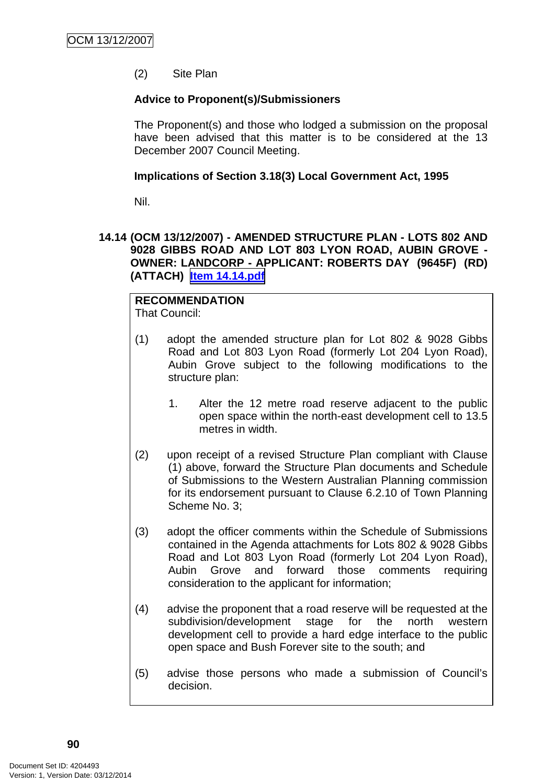(2) Site Plan

#### **Advice to Proponent(s)/Submissioners**

The Proponent(s) and those who lodged a submission on the proposal have been advised that this matter is to be considered at the 13 December 2007 Council Meeting.

#### **Implications of Section 3.18(3) Local Government Act, 1995**

Nil.

#### **14.14 (OCM 13/12/2007) - AMENDED STRUCTURE PLAN - LOTS 802 AND 9028 GIBBS ROAD AND LOT 803 LYON ROAD, AUBIN GROVE - OWNER: LANDCORP - APPLICANT: ROBERTS DAY (9645F) (RD) (ATTACH) Item 14.14.pdf**

# **RECOMMENDATION**

That Council:

- (1) adopt the amended structure plan for Lot 802 & 9028 Gibbs Road and Lot 803 Lyon Road (formerly Lot 204 Lyon Road), Aubin Grove subject to the following modifications to the structure plan:
	- 1. Alter the 12 metre road reserve adjacent to the public open space within the north-east development cell to 13.5 metres in width.
- (2) upon receipt of a revised Structure Plan compliant with Clause (1) above, forward the Structure Plan documents and Schedule of Submissions to the Western Australian Planning commission for its endorsement pursuant to Clause 6.2.10 of Town Planning Scheme No. 3;
- (3) adopt the officer comments within the Schedule of Submissions contained in the Agenda attachments for Lots 802 & 9028 Gibbs Road and Lot 803 Lyon Road (formerly Lot 204 Lyon Road), Aubin Grove and forward those comments requiring consideration to the applicant for information;
- (4) advise the proponent that a road reserve will be requested at the subdivision/development stage for the north western development cell to provide a hard edge interface to the public open space and Bush Forever site to the south; and
- (5) advise those persons who made a submission of Council's decision.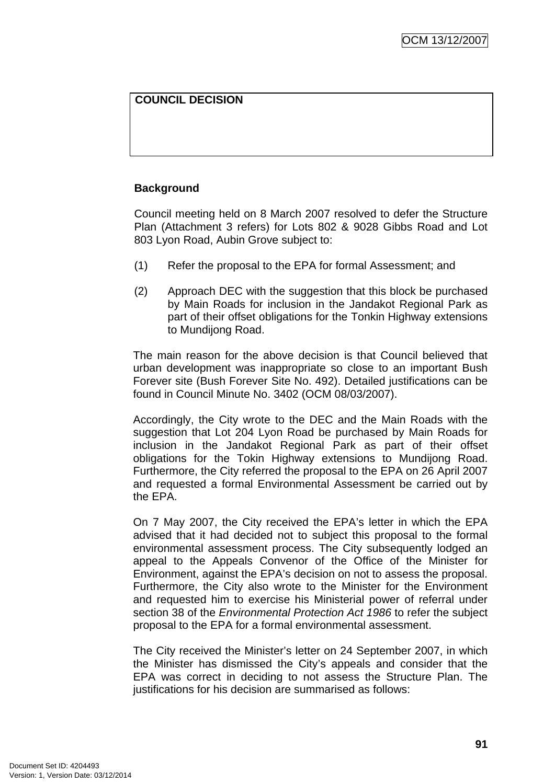#### **COUNCIL DECISION**

#### **Background**

Council meeting held on 8 March 2007 resolved to defer the Structure Plan (Attachment 3 refers) for Lots 802 & 9028 Gibbs Road and Lot 803 Lyon Road, Aubin Grove subject to:

- (1) Refer the proposal to the EPA for formal Assessment; and
- (2) Approach DEC with the suggestion that this block be purchased by Main Roads for inclusion in the Jandakot Regional Park as part of their offset obligations for the Tonkin Highway extensions to Mundijong Road.

The main reason for the above decision is that Council believed that urban development was inappropriate so close to an important Bush Forever site (Bush Forever Site No. 492). Detailed justifications can be found in Council Minute No. 3402 (OCM 08/03/2007).

Accordingly, the City wrote to the DEC and the Main Roads with the suggestion that Lot 204 Lyon Road be purchased by Main Roads for inclusion in the Jandakot Regional Park as part of their offset obligations for the Tokin Highway extensions to Mundijong Road. Furthermore, the City referred the proposal to the EPA on 26 April 2007 and requested a formal Environmental Assessment be carried out by the EPA.

On 7 May 2007, the City received the EPA's letter in which the EPA advised that it had decided not to subject this proposal to the formal environmental assessment process. The City subsequently lodged an appeal to the Appeals Convenor of the Office of the Minister for Environment, against the EPA's decision on not to assess the proposal. Furthermore, the City also wrote to the Minister for the Environment and requested him to exercise his Ministerial power of referral under section 38 of the *Environmental Protection Act 1986* to refer the subject proposal to the EPA for a formal environmental assessment.

The City received the Minister's letter on 24 September 2007, in which the Minister has dismissed the City's appeals and consider that the EPA was correct in deciding to not assess the Structure Plan. The justifications for his decision are summarised as follows: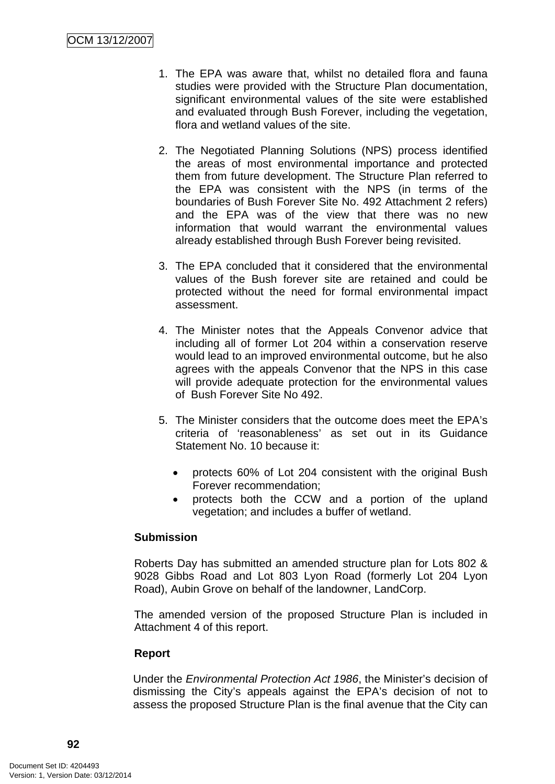- 1. The EPA was aware that, whilst no detailed flora and fauna studies were provided with the Structure Plan documentation, significant environmental values of the site were established and evaluated through Bush Forever, including the vegetation, flora and wetland values of the site.
- 2. The Negotiated Planning Solutions (NPS) process identified the areas of most environmental importance and protected them from future development. The Structure Plan referred to the EPA was consistent with the NPS (in terms of the boundaries of Bush Forever Site No. 492 Attachment 2 refers) and the EPA was of the view that there was no new information that would warrant the environmental values already established through Bush Forever being revisited.
- 3. The EPA concluded that it considered that the environmental values of the Bush forever site are retained and could be protected without the need for formal environmental impact assessment.
- 4. The Minister notes that the Appeals Convenor advice that including all of former Lot 204 within a conservation reserve would lead to an improved environmental outcome, but he also agrees with the appeals Convenor that the NPS in this case will provide adequate protection for the environmental values of Bush Forever Site No 492.
- 5. The Minister considers that the outcome does meet the EPA's criteria of 'reasonableness' as set out in its Guidance Statement No. 10 because it:
	- protects 60% of Lot 204 consistent with the original Bush Forever recommendation;
	- protects both the CCW and a portion of the upland vegetation; and includes a buffer of wetland.

# **Submission**

Roberts Day has submitted an amended structure plan for Lots 802 & 9028 Gibbs Road and Lot 803 Lyon Road (formerly Lot 204 Lyon Road), Aubin Grove on behalf of the landowner, LandCorp.

The amended version of the proposed Structure Plan is included in Attachment 4 of this report.

#### **Report**

Under the *Environmental Protection Act 1986*, the Minister's decision of dismissing the City's appeals against the EPA's decision of not to assess the proposed Structure Plan is the final avenue that the City can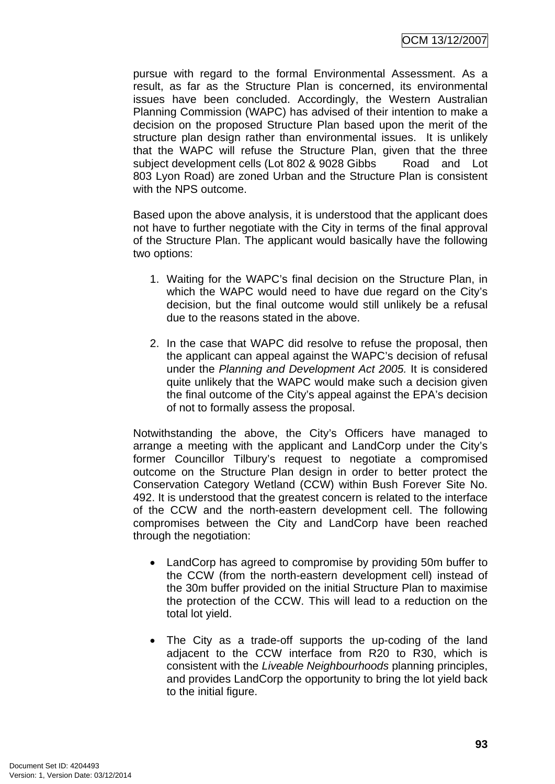pursue with regard to the formal Environmental Assessment. As a result, as far as the Structure Plan is concerned, its environmental issues have been concluded. Accordingly, the Western Australian Planning Commission (WAPC) has advised of their intention to make a decision on the proposed Structure Plan based upon the merit of the structure plan design rather than environmental issues. It is unlikely that the WAPC will refuse the Structure Plan, given that the three subject development cells (Lot 802 & 9028 Gibbs Road and Lot 803 Lyon Road) are zoned Urban and the Structure Plan is consistent with the NPS outcome.

Based upon the above analysis, it is understood that the applicant does not have to further negotiate with the City in terms of the final approval of the Structure Plan. The applicant would basically have the following two options:

- 1. Waiting for the WAPC's final decision on the Structure Plan, in which the WAPC would need to have due regard on the City's decision, but the final outcome would still unlikely be a refusal due to the reasons stated in the above.
- 2. In the case that WAPC did resolve to refuse the proposal, then the applicant can appeal against the WAPC's decision of refusal under the *Planning and Development Act 2005.* It is considered quite unlikely that the WAPC would make such a decision given the final outcome of the City's appeal against the EPA's decision of not to formally assess the proposal.

Notwithstanding the above, the City's Officers have managed to arrange a meeting with the applicant and LandCorp under the City's former Councillor Tilbury's request to negotiate a compromised outcome on the Structure Plan design in order to better protect the Conservation Category Wetland (CCW) within Bush Forever Site No. 492. It is understood that the greatest concern is related to the interface of the CCW and the north-eastern development cell. The following compromises between the City and LandCorp have been reached through the negotiation:

- LandCorp has agreed to compromise by providing 50m buffer to the CCW (from the north-eastern development cell) instead of the 30m buffer provided on the initial Structure Plan to maximise the protection of the CCW. This will lead to a reduction on the total lot yield.
- The City as a trade-off supports the up-coding of the land adjacent to the CCW interface from R20 to R30, which is consistent with the *Liveable Neighbourhoods* planning principles, and provides LandCorp the opportunity to bring the lot yield back to the initial figure.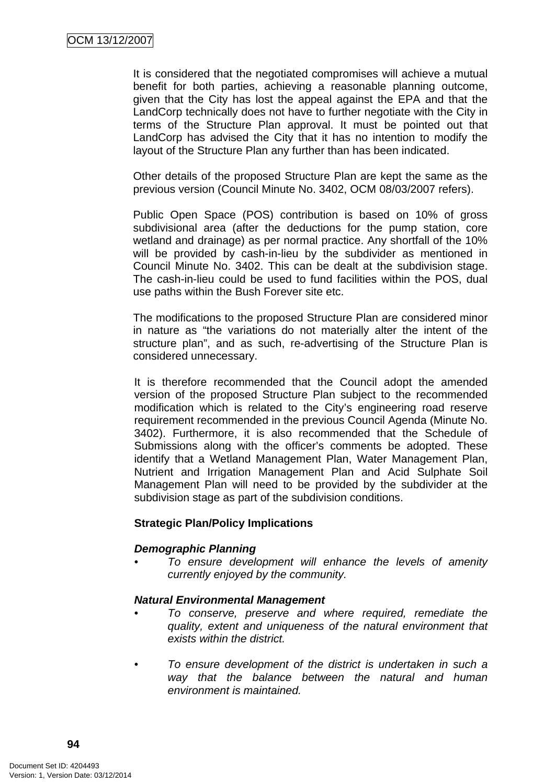It is considered that the negotiated compromises will achieve a mutual benefit for both parties, achieving a reasonable planning outcome, given that the City has lost the appeal against the EPA and that the LandCorp technically does not have to further negotiate with the City in terms of the Structure Plan approval. It must be pointed out that LandCorp has advised the City that it has no intention to modify the layout of the Structure Plan any further than has been indicated.

Other details of the proposed Structure Plan are kept the same as the previous version (Council Minute No. 3402, OCM 08/03/2007 refers).

Public Open Space (POS) contribution is based on 10% of gross subdivisional area (after the deductions for the pump station, core wetland and drainage) as per normal practice. Any shortfall of the 10% will be provided by cash-in-lieu by the subdivider as mentioned in Council Minute No. 3402. This can be dealt at the subdivision stage. The cash-in-lieu could be used to fund facilities within the POS, dual use paths within the Bush Forever site etc.

The modifications to the proposed Structure Plan are considered minor in nature as "the variations do not materially alter the intent of the structure plan", and as such, re-advertising of the Structure Plan is considered unnecessary.

It is therefore recommended that the Council adopt the amended version of the proposed Structure Plan subject to the recommended modification which is related to the City's engineering road reserve requirement recommended in the previous Council Agenda (Minute No. 3402). Furthermore, it is also recommended that the Schedule of Submissions along with the officer's comments be adopted. These identify that a Wetland Management Plan, Water Management Plan, Nutrient and Irrigation Management Plan and Acid Sulphate Soil Management Plan will need to be provided by the subdivider at the subdivision stage as part of the subdivision conditions.

#### **Strategic Plan/Policy Implications**

#### *Demographic Planning*

*• To ensure development will enhance the levels of amenity currently enjoyed by the community.* 

#### *Natural Environmental Management*

- *To conserve, preserve and where required, remediate the quality, extent and uniqueness of the natural environment that exists within the district.*
- *To ensure development of the district is undertaken in such a way that the balance between the natural and human environment is maintained.*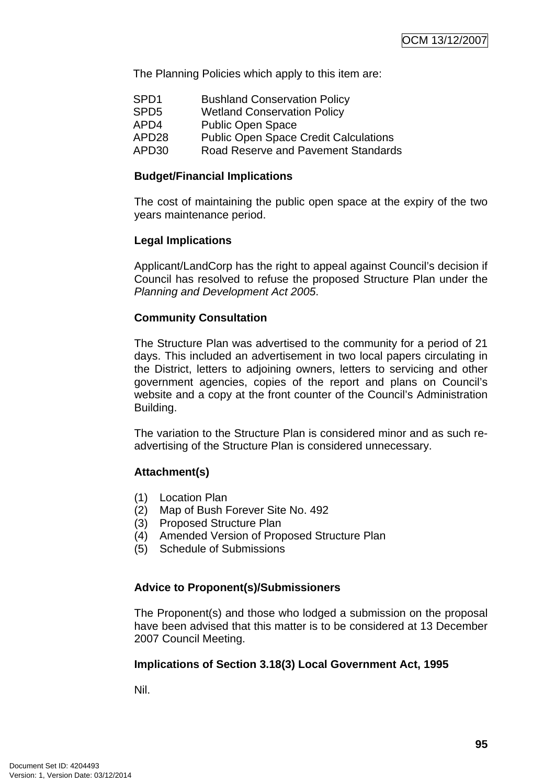The Planning Policies which apply to this item are:

| SPD1  | <b>Bushland Conservation Policy</b>          |
|-------|----------------------------------------------|
| SPD5  | <b>Wetland Conservation Policy</b>           |
| APD4  | <b>Public Open Space</b>                     |
| APD28 | <b>Public Open Space Credit Calculations</b> |
| APD30 | Road Reserve and Pavement Standards          |

#### **Budget/Financial Implications**

The cost of maintaining the public open space at the expiry of the two years maintenance period.

#### **Legal Implications**

Applicant/LandCorp has the right to appeal against Council's decision if Council has resolved to refuse the proposed Structure Plan under the *Planning and Development Act 2005*.

#### **Community Consultation**

The Structure Plan was advertised to the community for a period of 21 days. This included an advertisement in two local papers circulating in the District, letters to adjoining owners, letters to servicing and other government agencies, copies of the report and plans on Council's website and a copy at the front counter of the Council's Administration Building.

The variation to the Structure Plan is considered minor and as such readvertising of the Structure Plan is considered unnecessary.

# **Attachment(s)**

- (1) Location Plan
- (2) Map of Bush Forever Site No. 492
- (3) Proposed Structure Plan
- (4) Amended Version of Proposed Structure Plan
- (5) Schedule of Submissions

#### **Advice to Proponent(s)/Submissioners**

The Proponent(s) and those who lodged a submission on the proposal have been advised that this matter is to be considered at 13 December 2007 Council Meeting.

#### **Implications of Section 3.18(3) Local Government Act, 1995**

Nil.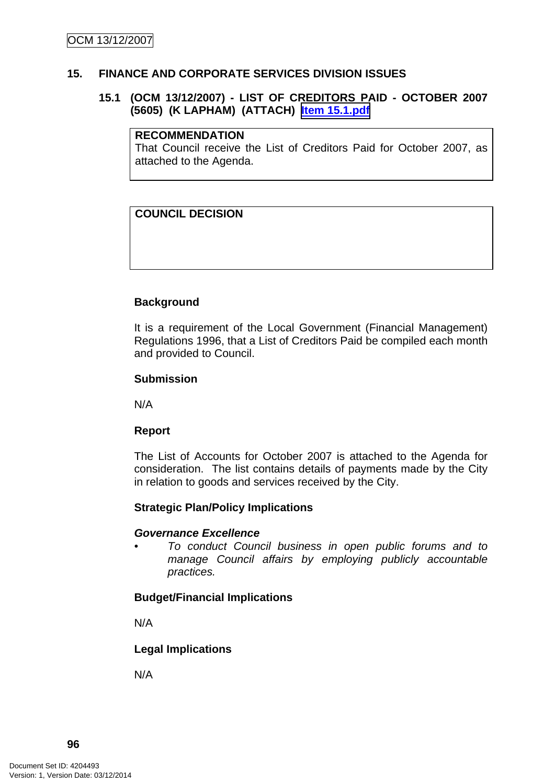#### **15. FINANCE AND CORPORATE SERVICES DIVISION ISSUES**

#### **15.1 (OCM 13/12/2007) - LIST OF CREDITORS PAID - OCTOBER 2007 (5605) (K LAPHAM) (ATTACH) Item 15.1.pdf**

#### **RECOMMENDATION**

That Council receive the List of Creditors Paid for October 2007, as attached to the Agenda.

### **COUNCIL DECISION**

#### **Background**

It is a requirement of the Local Government (Financial Management) Regulations 1996, that a List of Creditors Paid be compiled each month and provided to Council.

#### **Submission**

N/A

#### **Report**

The List of Accounts for October 2007 is attached to the Agenda for consideration. The list contains details of payments made by the City in relation to goods and services received by the City.

#### **Strategic Plan/Policy Implications**

#### *Governance Excellence*

*• To conduct Council business in open public forums and to manage Council affairs by employing publicly accountable practices.* 

#### **Budget/Financial Implications**

N/A

**Legal Implications** 

N/A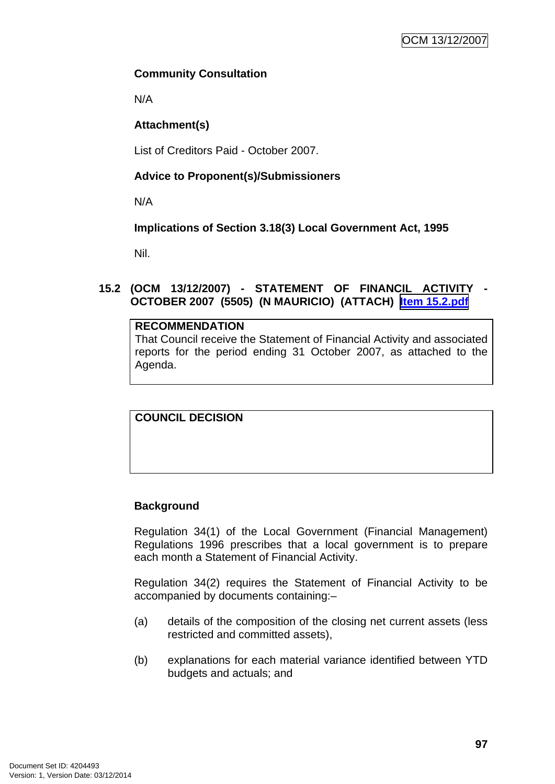# **Community Consultation**

N/A

# **Attachment(s)**

List of Creditors Paid - October 2007.

# **Advice to Proponent(s)/Submissioners**

N/A

# **Implications of Section 3.18(3) Local Government Act, 1995**

Nil.

# **15.2 (OCM 13/12/2007) - STATEMENT OF FINANCIL ACTIVITY - OCTOBER 2007 (5505) (N MAURICIO) (ATTACH) Item 15.2.pdf**

# **RECOMMENDATION**

That Council receive the Statement of Financial Activity and associated reports for the period ending 31 October 2007, as attached to the Agenda.

**COUNCIL DECISION**

# **Background**

Regulation 34(1) of the Local Government (Financial Management) Regulations 1996 prescribes that a local government is to prepare each month a Statement of Financial Activity.

Regulation 34(2) requires the Statement of Financial Activity to be accompanied by documents containing:–

- (a) details of the composition of the closing net current assets (less restricted and committed assets),
- (b) explanations for each material variance identified between YTD budgets and actuals; and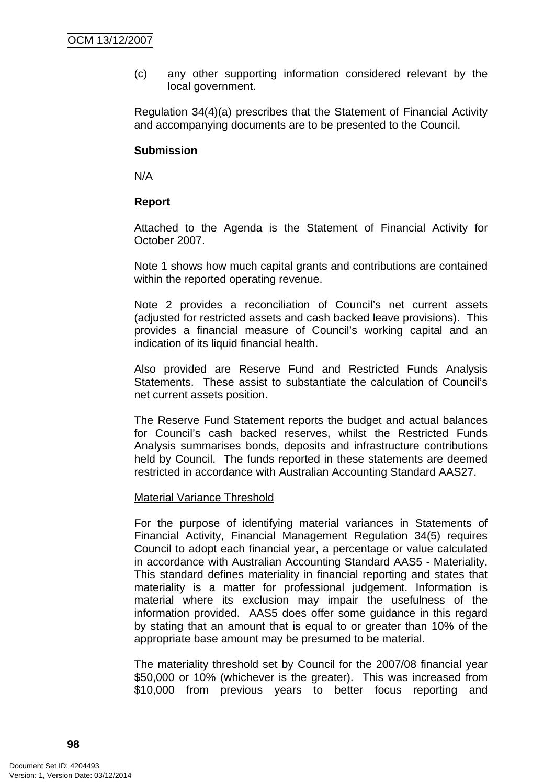(c) any other supporting information considered relevant by the local government.

Regulation 34(4)(a) prescribes that the Statement of Financial Activity and accompanying documents are to be presented to the Council.

#### **Submission**

N/A

#### **Report**

Attached to the Agenda is the Statement of Financial Activity for October 2007.

Note 1 shows how much capital grants and contributions are contained within the reported operating revenue.

Note 2 provides a reconciliation of Council's net current assets (adjusted for restricted assets and cash backed leave provisions). This provides a financial measure of Council's working capital and an indication of its liquid financial health.

Also provided are Reserve Fund and Restricted Funds Analysis Statements. These assist to substantiate the calculation of Council's net current assets position.

The Reserve Fund Statement reports the budget and actual balances for Council's cash backed reserves, whilst the Restricted Funds Analysis summarises bonds, deposits and infrastructure contributions held by Council. The funds reported in these statements are deemed restricted in accordance with Australian Accounting Standard AAS27.

#### Material Variance Threshold

For the purpose of identifying material variances in Statements of Financial Activity, Financial Management Regulation 34(5) requires Council to adopt each financial year, a percentage or value calculated in accordance with Australian Accounting Standard AAS5 - Materiality. This standard defines materiality in financial reporting and states that materiality is a matter for professional judgement. Information is material where its exclusion may impair the usefulness of the information provided. AAS5 does offer some guidance in this regard by stating that an amount that is equal to or greater than 10% of the appropriate base amount may be presumed to be material.

The materiality threshold set by Council for the 2007/08 financial year \$50,000 or 10% (whichever is the greater). This was increased from \$10,000 from previous years to better focus reporting and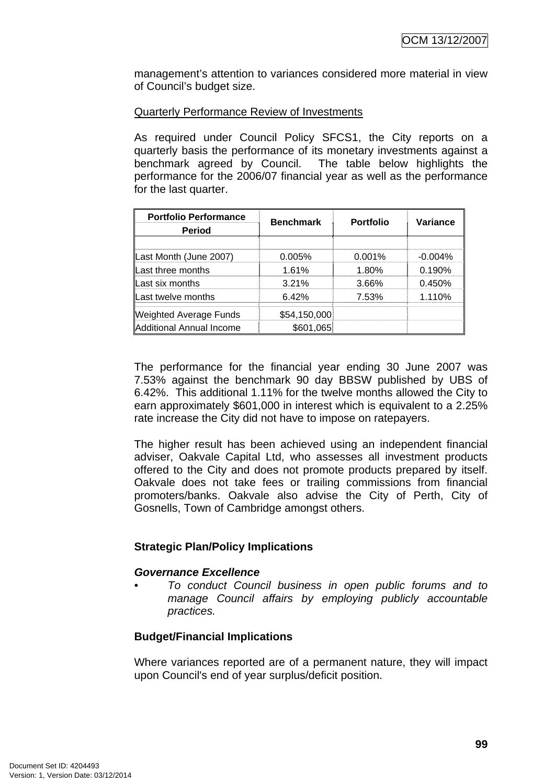management's attention to variances considered more material in view of Council's budget size.

#### Quarterly Performance Review of Investments

As required under Council Policy SFCS1, the City reports on a quarterly basis the performance of its monetary investments against a benchmark agreed by Council. The table below highlights the performance for the 2006/07 financial year as well as the performance for the last quarter.

| <b>Portfolio Performance</b><br><b>Period</b> | <b>Benchmark</b> | <b>Portfolio</b> | Variance   |
|-----------------------------------------------|------------------|------------------|------------|
|                                               |                  |                  |            |
| Last Month (June 2007)                        | 0.005%           | 0.001%           | $-0.004\%$ |
| Last three months                             | 1.61%            | 1.80%            | 0.190%     |
| Last six months                               | 3.21%            | 3.66%            | 0.450%     |
| Last twelve months                            | 6.42%            | 7.53%            | 1.110%     |
| <b>Weighted Average Funds</b>                 | \$54,150,000     |                  |            |
| <b>Additional Annual Income</b>               | \$601,065        |                  |            |

The performance for the financial year ending 30 June 2007 was 7.53% against the benchmark 90 day BBSW published by UBS of 6.42%. This additional 1.11% for the twelve months allowed the City to earn approximately \$601,000 in interest which is equivalent to a 2.25% rate increase the City did not have to impose on ratepayers.

The higher result has been achieved using an independent financial adviser, Oakvale Capital Ltd, who assesses all investment products offered to the City and does not promote products prepared by itself. Oakvale does not take fees or trailing commissions from financial promoters/banks. Oakvale also advise the City of Perth, City of Gosnells, Town of Cambridge amongst others.

# **Strategic Plan/Policy Implications**

#### *Governance Excellence*

*• To conduct Council business in open public forums and to manage Council affairs by employing publicly accountable practices.* 

# **Budget/Financial Implications**

Where variances reported are of a permanent nature, they will impact upon Council's end of year surplus/deficit position.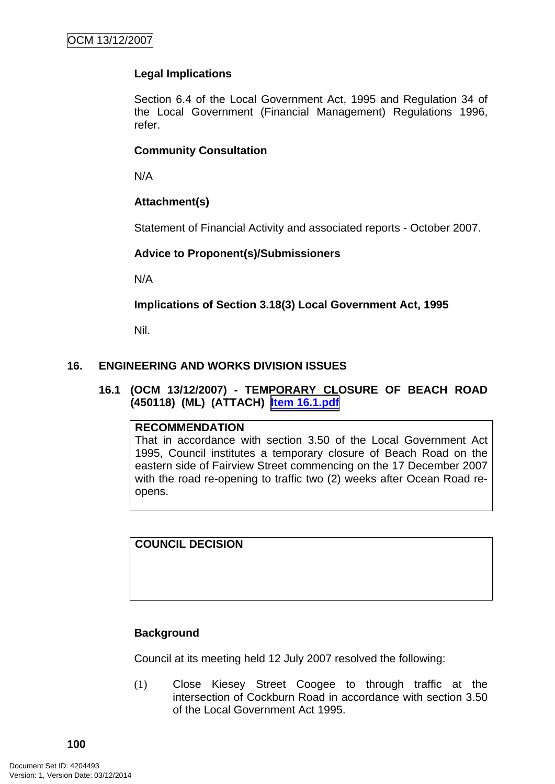# **Legal Implications**

Section 6.4 of the Local Government Act, 1995 and Regulation 34 of the Local Government (Financial Management) Regulations 1996, refer.

#### **Community Consultation**

N/A

# **Attachment(s)**

Statement of Financial Activity and associated reports - October 2007.

#### **Advice to Proponent(s)/Submissioners**

N/A

#### **Implications of Section 3.18(3) Local Government Act, 1995**

Nil.

#### **16. ENGINEERING AND WORKS DIVISION ISSUES**

#### **16.1 (OCM 13/12/2007) - TEMPORARY CLOSURE OF BEACH ROAD (450118) (ML) (ATTACH) Item 16.1.pdf**

#### **RECOMMENDATION**

That in accordance with section 3.50 of the Local Government Act 1995, Council institutes a temporary closure of Beach Road on the eastern side of Fairview Street commencing on the 17 December 2007 with the road re-opening to traffic two (2) weeks after Ocean Road reopens.

**COUNCIL DECISION**

# **Background**

Council at its meeting held 12 July 2007 resolved the following:

(1) Close Kiesey Street Coogee to through traffic at the intersection of Cockburn Road in accordance with section 3.50 of the Local Government Act 1995.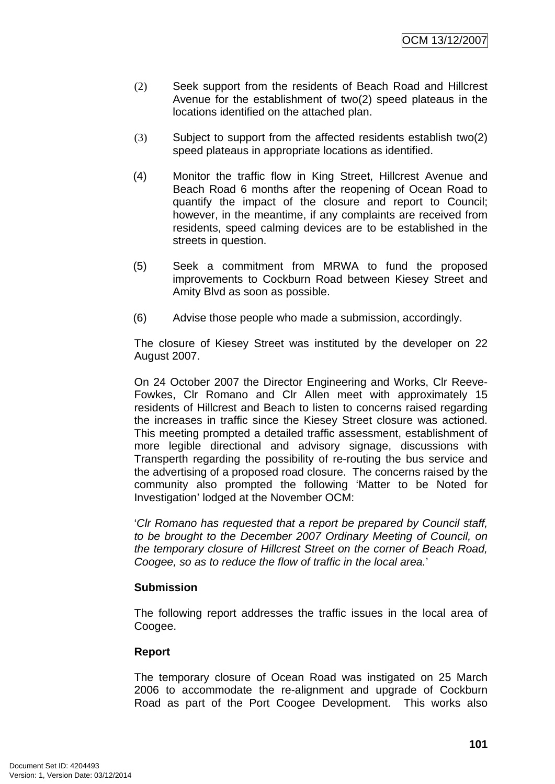- (2) Seek support from the residents of Beach Road and Hillcrest Avenue for the establishment of two(2) speed plateaus in the locations identified on the attached plan.
- (3) Subject to support from the affected residents establish two(2) speed plateaus in appropriate locations as identified.
- (4) Monitor the traffic flow in King Street, Hillcrest Avenue and Beach Road 6 months after the reopening of Ocean Road to quantify the impact of the closure and report to Council; however, in the meantime, if any complaints are received from residents, speed calming devices are to be established in the streets in question.
- (5) Seek a commitment from MRWA to fund the proposed improvements to Cockburn Road between Kiesey Street and Amity Blvd as soon as possible.
- (6) Advise those people who made a submission, accordingly.

The closure of Kiesey Street was instituted by the developer on 22 August 2007.

On 24 October 2007 the Director Engineering and Works, Clr Reeve-Fowkes, Clr Romano and Clr Allen meet with approximately 15 residents of Hillcrest and Beach to listen to concerns raised regarding the increases in traffic since the Kiesey Street closure was actioned. This meeting prompted a detailed traffic assessment, establishment of more legible directional and advisory signage, discussions with Transperth regarding the possibility of re-routing the bus service and the advertising of a proposed road closure. The concerns raised by the community also prompted the following 'Matter to be Noted for Investigation' lodged at the November OCM:

'*Clr Romano has requested that a report be prepared by Council staff, to be brought to the December 2007 Ordinary Meeting of Council, on the temporary closure of Hillcrest Street on the corner of Beach Road, Coogee, so as to reduce the flow of traffic in the local area.*'

#### **Submission**

The following report addresses the traffic issues in the local area of Coogee.

#### **Report**

The temporary closure of Ocean Road was instigated on 25 March 2006 to accommodate the re-alignment and upgrade of Cockburn Road as part of the Port Coogee Development. This works also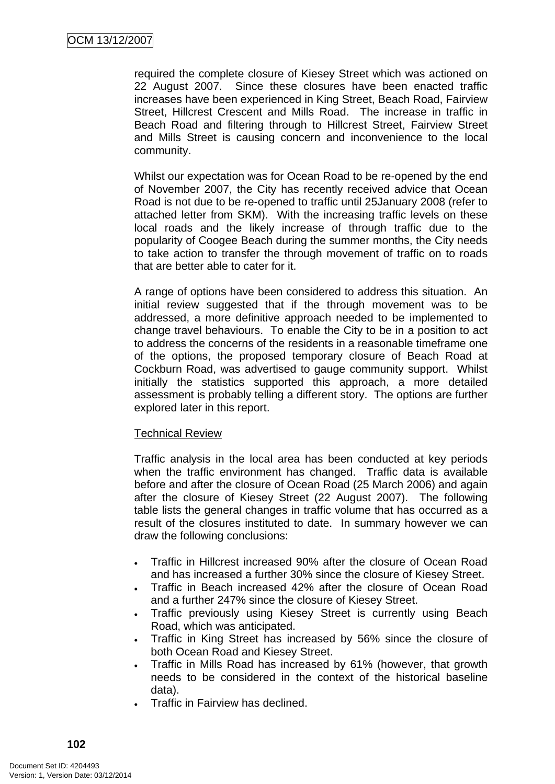required the complete closure of Kiesey Street which was actioned on 22 August 2007. Since these closures have been enacted traffic increases have been experienced in King Street, Beach Road, Fairview Street, Hillcrest Crescent and Mills Road. The increase in traffic in Beach Road and filtering through to Hillcrest Street, Fairview Street and Mills Street is causing concern and inconvenience to the local community.

Whilst our expectation was for Ocean Road to be re-opened by the end of November 2007, the City has recently received advice that Ocean Road is not due to be re-opened to traffic until 25January 2008 (refer to attached letter from SKM). With the increasing traffic levels on these local roads and the likely increase of through traffic due to the popularity of Coogee Beach during the summer months, the City needs to take action to transfer the through movement of traffic on to roads that are better able to cater for it.

A range of options have been considered to address this situation. An initial review suggested that if the through movement was to be addressed, a more definitive approach needed to be implemented to change travel behaviours. To enable the City to be in a position to act to address the concerns of the residents in a reasonable timeframe one of the options, the proposed temporary closure of Beach Road at Cockburn Road, was advertised to gauge community support. Whilst initially the statistics supported this approach, a more detailed assessment is probably telling a different story. The options are further explored later in this report.

#### Technical Review

Traffic analysis in the local area has been conducted at key periods when the traffic environment has changed. Traffic data is available before and after the closure of Ocean Road (25 March 2006) and again after the closure of Kiesey Street (22 August 2007). The following table lists the general changes in traffic volume that has occurred as a result of the closures instituted to date. In summary however we can draw the following conclusions:

- Traffic in Hillcrest increased 90% after the closure of Ocean Road and has increased a further 30% since the closure of Kiesey Street.
- Traffic in Beach increased 42% after the closure of Ocean Road and a further 247% since the closure of Kiesey Street.
- Traffic previously using Kiesey Street is currently using Beach Road, which was anticipated.
- Traffic in King Street has increased by 56% since the closure of both Ocean Road and Kiesey Street.
- Traffic in Mills Road has increased by 61% (however, that growth needs to be considered in the context of the historical baseline data).
- Traffic in Fairview has declined.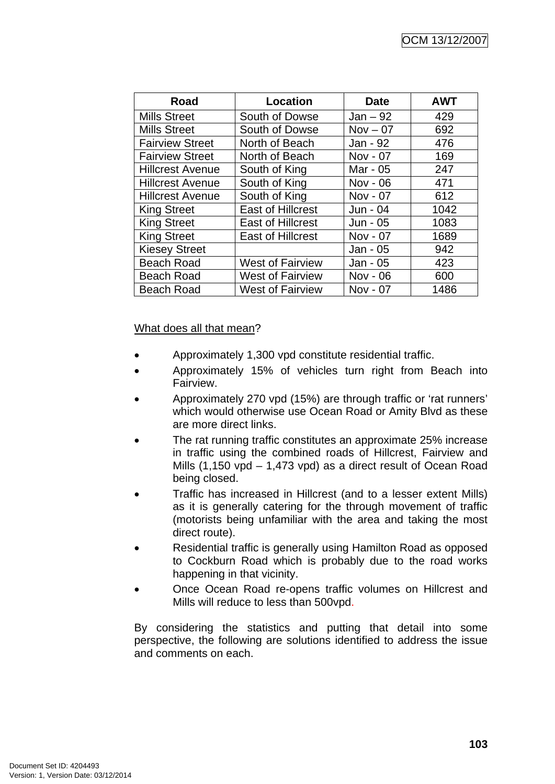| Road                    | Location                 | <b>Date</b> | <b>AWT</b> |
|-------------------------|--------------------------|-------------|------------|
| <b>Mills Street</b>     | South of Dowse           | $Jan - 92$  | 429        |
| <b>Mills Street</b>     | South of Dowse           | $Nov - 07$  | 692        |
| <b>Fairview Street</b>  | North of Beach           | Jan - 92    | 476        |
| <b>Fairview Street</b>  | North of Beach           | Nov - 07    | 169        |
| <b>Hillcrest Avenue</b> | South of King            | Mar - 05    | 247        |
| <b>Hillcrest Avenue</b> | South of King            | Nov - 06    | 471        |
| <b>Hillcrest Avenue</b> | South of King            | Nov - 07    | 612        |
| <b>King Street</b>      | <b>East of Hillcrest</b> | Jun - 04    | 1042       |
| <b>King Street</b>      | <b>East of Hillcrest</b> | Jun - 05    | 1083       |
| <b>King Street</b>      | <b>East of Hillcrest</b> | Nov - 07    | 1689       |
| <b>Kiesey Street</b>    |                          | Jan - 05    | 942        |
| <b>Beach Road</b>       | <b>West of Fairview</b>  | Jan - 05    | 423        |
| <b>Beach Road</b>       | <b>West of Fairview</b>  | Nov - 06    | 600        |
| <b>Beach Road</b>       | <b>West of Fairview</b>  | Nov - 07    | 1486       |

#### What does all that mean?

- Approximately 1,300 vpd constitute residential traffic.
- Approximately 15% of vehicles turn right from Beach into Fairview.
- Approximately 270 vpd (15%) are through traffic or 'rat runners' which would otherwise use Ocean Road or Amity Blvd as these are more direct links.
- The rat running traffic constitutes an approximate 25% increase in traffic using the combined roads of Hillcrest, Fairview and Mills (1,150 vpd – 1,473 vpd) as a direct result of Ocean Road being closed.
- Traffic has increased in Hillcrest (and to a lesser extent Mills) as it is generally catering for the through movement of traffic (motorists being unfamiliar with the area and taking the most direct route).
- Residential traffic is generally using Hamilton Road as opposed to Cockburn Road which is probably due to the road works happening in that vicinity.
- Once Ocean Road re-opens traffic volumes on Hillcrest and Mills will reduce to less than 500vpd.

By considering the statistics and putting that detail into some perspective, the following are solutions identified to address the issue and comments on each.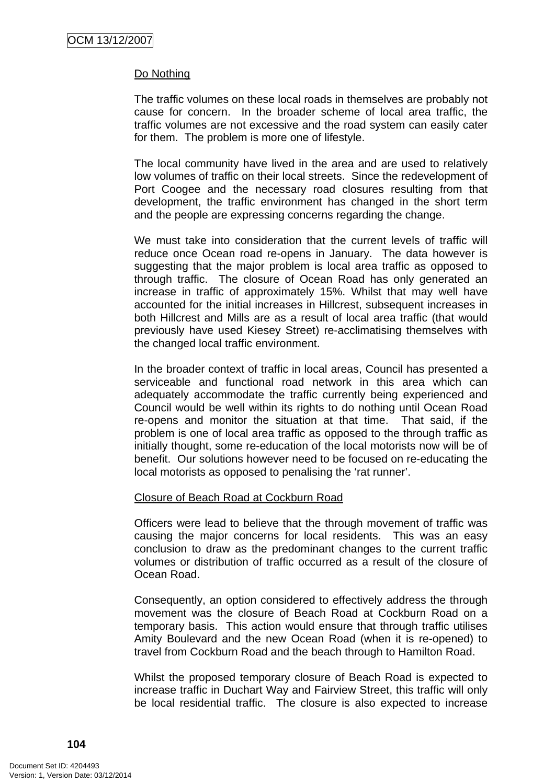### Do Nothing

The traffic volumes on these local roads in themselves are probably not cause for concern. In the broader scheme of local area traffic, the traffic volumes are not excessive and the road system can easily cater for them. The problem is more one of lifestyle.

The local community have lived in the area and are used to relatively low volumes of traffic on their local streets. Since the redevelopment of Port Coogee and the necessary road closures resulting from that development, the traffic environment has changed in the short term and the people are expressing concerns regarding the change.

We must take into consideration that the current levels of traffic will reduce once Ocean road re-opens in January. The data however is suggesting that the major problem is local area traffic as opposed to through traffic. The closure of Ocean Road has only generated an increase in traffic of approximately 15%. Whilst that may well have accounted for the initial increases in Hillcrest, subsequent increases in both Hillcrest and Mills are as a result of local area traffic (that would previously have used Kiesey Street) re-acclimatising themselves with the changed local traffic environment.

In the broader context of traffic in local areas, Council has presented a serviceable and functional road network in this area which can adequately accommodate the traffic currently being experienced and Council would be well within its rights to do nothing until Ocean Road re-opens and monitor the situation at that time. That said, if the problem is one of local area traffic as opposed to the through traffic as initially thought, some re-education of the local motorists now will be of benefit. Our solutions however need to be focused on re-educating the local motorists as opposed to penalising the 'rat runner'.

### Closure of Beach Road at Cockburn Road

Officers were lead to believe that the through movement of traffic was causing the major concerns for local residents. This was an easy conclusion to draw as the predominant changes to the current traffic volumes or distribution of traffic occurred as a result of the closure of Ocean Road.

Consequently, an option considered to effectively address the through movement was the closure of Beach Road at Cockburn Road on a temporary basis. This action would ensure that through traffic utilises Amity Boulevard and the new Ocean Road (when it is re-opened) to travel from Cockburn Road and the beach through to Hamilton Road.

Whilst the proposed temporary closure of Beach Road is expected to increase traffic in Duchart Way and Fairview Street, this traffic will only be local residential traffic. The closure is also expected to increase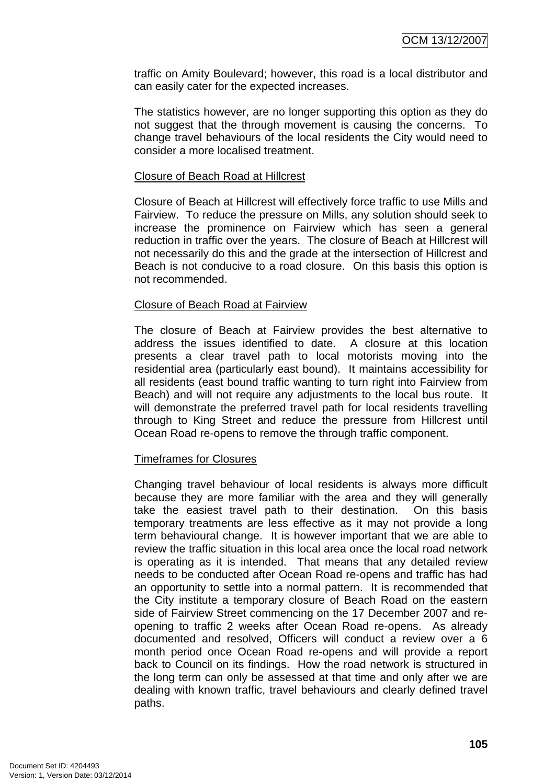traffic on Amity Boulevard; however, this road is a local distributor and can easily cater for the expected increases.

The statistics however, are no longer supporting this option as they do not suggest that the through movement is causing the concerns. To change travel behaviours of the local residents the City would need to consider a more localised treatment.

### Closure of Beach Road at Hillcrest

Closure of Beach at Hillcrest will effectively force traffic to use Mills and Fairview. To reduce the pressure on Mills, any solution should seek to increase the prominence on Fairview which has seen a general reduction in traffic over the years. The closure of Beach at Hillcrest will not necessarily do this and the grade at the intersection of Hillcrest and Beach is not conducive to a road closure. On this basis this option is not recommended.

### Closure of Beach Road at Fairview

The closure of Beach at Fairview provides the best alternative to address the issues identified to date. A closure at this location presents a clear travel path to local motorists moving into the residential area (particularly east bound). It maintains accessibility for all residents (east bound traffic wanting to turn right into Fairview from Beach) and will not require any adjustments to the local bus route. It will demonstrate the preferred travel path for local residents travelling through to King Street and reduce the pressure from Hillcrest until Ocean Road re-opens to remove the through traffic component.

### Timeframes for Closures

Changing travel behaviour of local residents is always more difficult because they are more familiar with the area and they will generally take the easiest travel path to their destination. On this basis temporary treatments are less effective as it may not provide a long term behavioural change. It is however important that we are able to review the traffic situation in this local area once the local road network is operating as it is intended. That means that any detailed review needs to be conducted after Ocean Road re-opens and traffic has had an opportunity to settle into a normal pattern. It is recommended that the City institute a temporary closure of Beach Road on the eastern side of Fairview Street commencing on the 17 December 2007 and reopening to traffic 2 weeks after Ocean Road re-opens. As already documented and resolved, Officers will conduct a review over a 6 month period once Ocean Road re-opens and will provide a report back to Council on its findings. How the road network is structured in the long term can only be assessed at that time and only after we are dealing with known traffic, travel behaviours and clearly defined travel paths.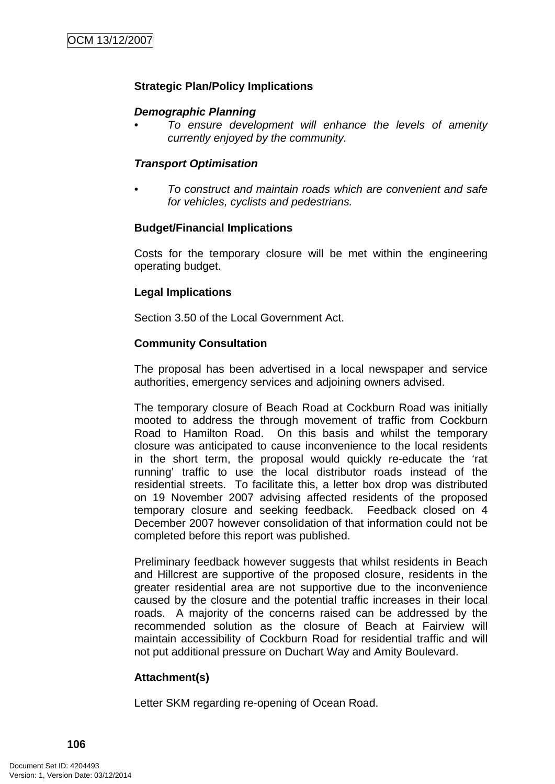# **Strategic Plan/Policy Implications**

### *Demographic Planning*

*• To ensure development will enhance the levels of amenity currently enjoyed by the community.* 

### *Transport Optimisation*

*• To construct and maintain roads which are convenient and safe for vehicles, cyclists and pedestrians.* 

### **Budget/Financial Implications**

Costs for the temporary closure will be met within the engineering operating budget.

### **Legal Implications**

Section 3.50 of the Local Government Act.

### **Community Consultation**

The proposal has been advertised in a local newspaper and service authorities, emergency services and adjoining owners advised.

The temporary closure of Beach Road at Cockburn Road was initially mooted to address the through movement of traffic from Cockburn Road to Hamilton Road. On this basis and whilst the temporary closure was anticipated to cause inconvenience to the local residents in the short term, the proposal would quickly re-educate the 'rat running' traffic to use the local distributor roads instead of the residential streets. To facilitate this, a letter box drop was distributed on 19 November 2007 advising affected residents of the proposed temporary closure and seeking feedback. Feedback closed on 4 December 2007 however consolidation of that information could not be completed before this report was published.

Preliminary feedback however suggests that whilst residents in Beach and Hillcrest are supportive of the proposed closure, residents in the greater residential area are not supportive due to the inconvenience caused by the closure and the potential traffic increases in their local roads. A majority of the concerns raised can be addressed by the recommended solution as the closure of Beach at Fairview will maintain accessibility of Cockburn Road for residential traffic and will not put additional pressure on Duchart Way and Amity Boulevard.

### **Attachment(s)**

Letter SKM regarding re-opening of Ocean Road.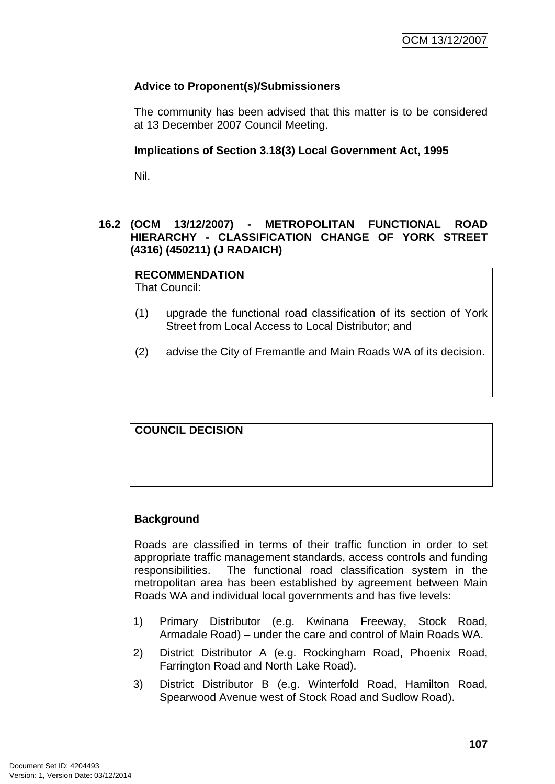# **Advice to Proponent(s)/Submissioners**

The community has been advised that this matter is to be considered at 13 December 2007 Council Meeting.

### **Implications of Section 3.18(3) Local Government Act, 1995**

Nil.

# **16.2 (OCM 13/12/2007) - METROPOLITAN FUNCTIONAL ROAD HIERARCHY - CLASSIFICATION CHANGE OF YORK STREET (4316) (450211) (J RADAICH)**

# **RECOMMENDATION**

That Council:

- (1) upgrade the functional road classification of its section of York Street from Local Access to Local Distributor; and
- (2) advise the City of Fremantle and Main Roads WA of its decision.

### **COUNCIL DECISION**

### **Background**

Roads are classified in terms of their traffic function in order to set appropriate traffic management standards, access controls and funding responsibilities. The functional road classification system in the metropolitan area has been established by agreement between Main Roads WA and individual local governments and has five levels:

- 1) Primary Distributor (e.g. Kwinana Freeway, Stock Road, Armadale Road) – under the care and control of Main Roads WA.
- 2) District Distributor A (e.g. Rockingham Road, Phoenix Road, Farrington Road and North Lake Road).
- 3) District Distributor B (e.g. Winterfold Road, Hamilton Road, Spearwood Avenue west of Stock Road and Sudlow Road).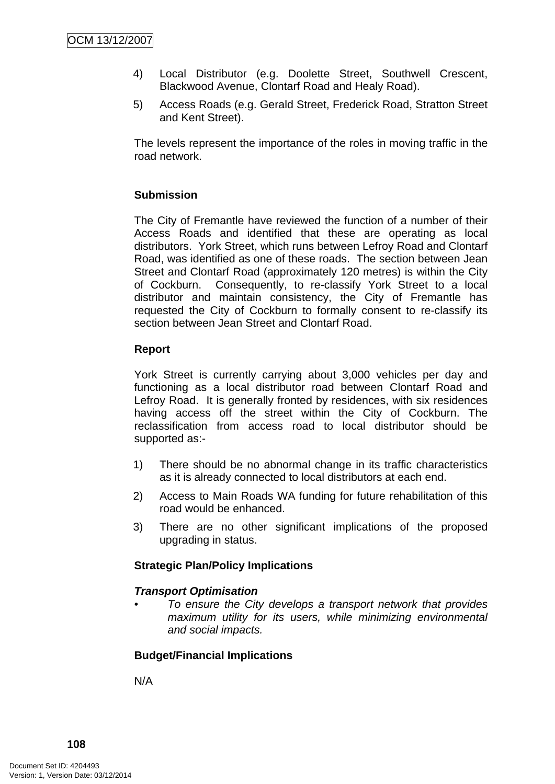- 4) Local Distributor (e.g. Doolette Street, Southwell Crescent, Blackwood Avenue, Clontarf Road and Healy Road).
- 5) Access Roads (e.g. Gerald Street, Frederick Road, Stratton Street and Kent Street).

The levels represent the importance of the roles in moving traffic in the road network.

# **Submission**

The City of Fremantle have reviewed the function of a number of their Access Roads and identified that these are operating as local distributors. York Street, which runs between Lefroy Road and Clontarf Road, was identified as one of these roads. The section between Jean Street and Clontarf Road (approximately 120 metres) is within the City of Cockburn. Consequently, to re-classify York Street to a local distributor and maintain consistency, the City of Fremantle has requested the City of Cockburn to formally consent to re-classify its section between Jean Street and Clontarf Road.

### **Report**

York Street is currently carrying about 3,000 vehicles per day and functioning as a local distributor road between Clontarf Road and Lefroy Road. It is generally fronted by residences, with six residences having access off the street within the City of Cockburn. The reclassification from access road to local distributor should be supported as:-

- 1) There should be no abnormal change in its traffic characteristics as it is already connected to local distributors at each end.
- 2) Access to Main Roads WA funding for future rehabilitation of this road would be enhanced.
- 3) There are no other significant implications of the proposed upgrading in status.

### **Strategic Plan/Policy Implications**

### *Transport Optimisation*

*• To ensure the City develops a transport network that provides maximum utility for its users, while minimizing environmental and social impacts.* 

### **Budget/Financial Implications**

N/A

**108**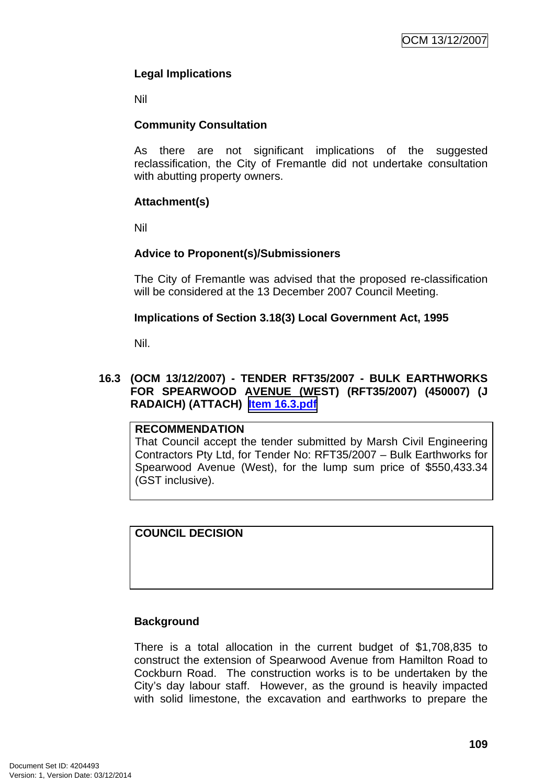# **Legal Implications**

Nil

# **Community Consultation**

As there are not significant implications of the suggested reclassification, the City of Fremantle did not undertake consultation with abutting property owners.

# **Attachment(s)**

Nil

# **Advice to Proponent(s)/Submissioners**

The City of Fremantle was advised that the proposed re-classification will be considered at the 13 December 2007 Council Meeting.

# **Implications of Section 3.18(3) Local Government Act, 1995**

Nil.

# **16.3 (OCM 13/12/2007) - TENDER RFT35/2007 - BULK EARTHWORKS FOR SPEARWOOD AVENUE (WEST) (RFT35/2007) (450007) (J RADAICH) (ATTACH) Item 16.3.pdf**

### **RECOMMENDATION**

That Council accept the tender submitted by Marsh Civil Engineering Contractors Pty Ltd, for Tender No: RFT35/2007 – Bulk Earthworks for Spearwood Avenue (West), for the lump sum price of \$550,433.34 (GST inclusive).

# **COUNCIL DECISION**

# **Background**

There is a total allocation in the current budget of \$1,708,835 to construct the extension of Spearwood Avenue from Hamilton Road to Cockburn Road. The construction works is to be undertaken by the City's day labour staff. However, as the ground is heavily impacted with solid limestone, the excavation and earthworks to prepare the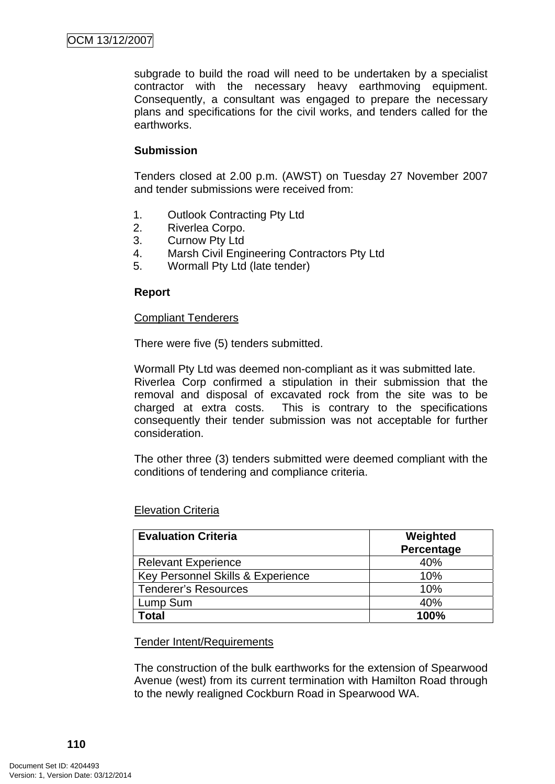subgrade to build the road will need to be undertaken by a specialist contractor with the necessary heavy earthmoving equipment. Consequently, a consultant was engaged to prepare the necessary plans and specifications for the civil works, and tenders called for the earthworks.

# **Submission**

Tenders closed at 2.00 p.m. (AWST) on Tuesday 27 November 2007 and tender submissions were received from:

- 1. Outlook Contracting Pty Ltd
- 2. Riverlea Corpo.
- 3. Curnow Pty Ltd
- 4. Marsh Civil Engineering Contractors Pty Ltd
- 5. Wormall Pty Ltd (late tender)

### **Report**

### Compliant Tenderers

There were five (5) tenders submitted.

Wormall Pty Ltd was deemed non-compliant as it was submitted late. Riverlea Corp confirmed a stipulation in their submission that the removal and disposal of excavated rock from the site was to be charged at extra costs. This is contrary to the specifications consequently their tender submission was not acceptable for further consideration.

The other three (3) tenders submitted were deemed compliant with the conditions of tendering and compliance criteria.

### Elevation Criteria

| <b>Evaluation Criteria</b>        | Weighted<br>Percentage |
|-----------------------------------|------------------------|
| <b>Relevant Experience</b>        | 40%                    |
| Key Personnel Skills & Experience | 10%                    |
| <b>Tenderer's Resources</b>       | 10%                    |
| Lump Sum                          | 40%                    |
| Total                             | 100%                   |

### Tender Intent/Requirements

The construction of the bulk earthworks for the extension of Spearwood Avenue (west) from its current termination with Hamilton Road through to the newly realigned Cockburn Road in Spearwood WA.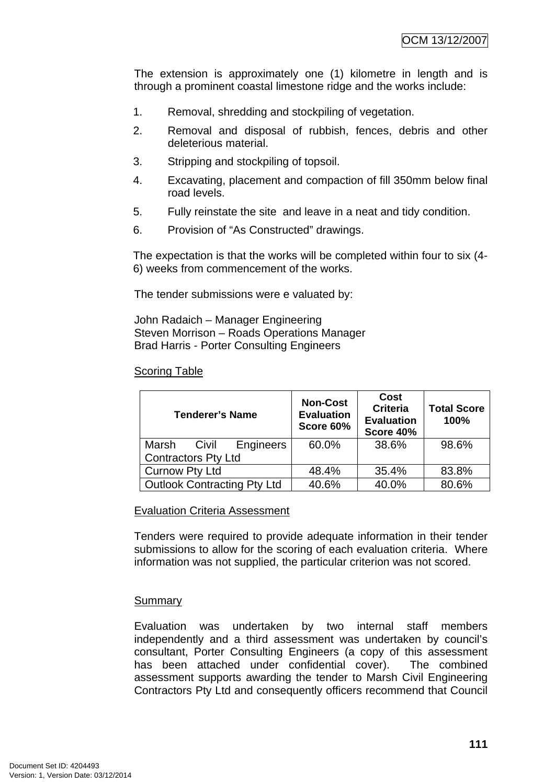The extension is approximately one (1) kilometre in length and is through a prominent coastal limestone ridge and the works include:

- 1. Removal, shredding and stockpiling of vegetation.
- 2. Removal and disposal of rubbish, fences, debris and other deleterious material.
- 3. Stripping and stockpiling of topsoil.
- 4. Excavating, placement and compaction of fill 350mm below final road levels.
- 5. Fully reinstate the site and leave in a neat and tidy condition.
- 6. Provision of "As Constructed" drawings.

The expectation is that the works will be completed within four to six (4- 6) weeks from commencement of the works.

The tender submissions were e valuated by:

John Radaich – Manager Engineering Steven Morrison – Roads Operations Manager Brad Harris - Porter Consulting Engineers

# Scoring Table

| <b>Tenderer's Name</b>             | <b>Non-Cost</b><br><b>Evaluation</b><br>Score 60% | Cost<br><b>Criteria</b><br><b>Evaluation</b><br>Score 40% | <b>Total Score</b><br>100% |
|------------------------------------|---------------------------------------------------|-----------------------------------------------------------|----------------------------|
| Engineers<br>Marsh<br>Civil        | 60.0%                                             | 38.6%                                                     | 98.6%                      |
| <b>Contractors Pty Ltd</b>         |                                                   |                                                           |                            |
| <b>Curnow Pty Ltd</b>              | 48.4%                                             | 35.4%                                                     | 83.8%                      |
| <b>Outlook Contracting Pty Ltd</b> | 40.6%                                             | 40.0%                                                     | 80.6%                      |

### Evaluation Criteria Assessment

Tenders were required to provide adequate information in their tender submissions to allow for the scoring of each evaluation criteria. Where information was not supplied, the particular criterion was not scored.

### Summary

Evaluation was undertaken by two internal staff members independently and a third assessment was undertaken by council's consultant, Porter Consulting Engineers (a copy of this assessment has been attached under confidential cover). The combined assessment supports awarding the tender to Marsh Civil Engineering Contractors Pty Ltd and consequently officers recommend that Council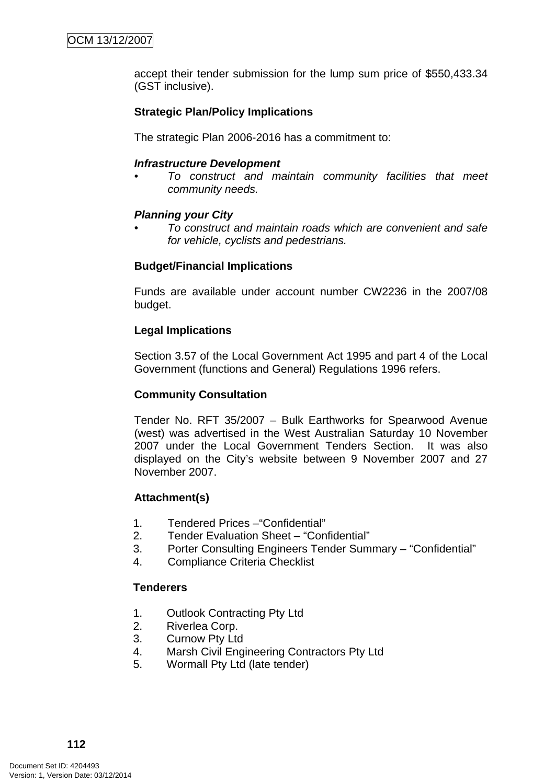accept their tender submission for the lump sum price of \$550,433.34 (GST inclusive).

# **Strategic Plan/Policy Implications**

The strategic Plan 2006-2016 has a commitment to:

### *Infrastructure Development*

*• To construct and maintain community facilities that meet community needs.* 

### *Planning your City*

*• To construct and maintain roads which are convenient and safe for vehicle, cyclists and pedestrians.* 

### **Budget/Financial Implications**

Funds are available under account number CW2236 in the 2007/08 budget.

### **Legal Implications**

Section 3.57 of the Local Government Act 1995 and part 4 of the Local Government (functions and General) Regulations 1996 refers.

### **Community Consultation**

Tender No. RFT 35/2007 – Bulk Earthworks for Spearwood Avenue (west) was advertised in the West Australian Saturday 10 November 2007 under the Local Government Tenders Section. It was also displayed on the City's website between 9 November 2007 and 27 November 2007.

### **Attachment(s)**

- 1. Tendered Prices –"Confidential"
- 2. Tender Evaluation Sheet "Confidential"
- 3. Porter Consulting Engineers Tender Summary "Confidential"
- 4. Compliance Criteria Checklist

### **Tenderers**

- 1. Outlook Contracting Pty Ltd
- 2. Riverlea Corp.
- 3. Curnow Pty Ltd
- 4. Marsh Civil Engineering Contractors Pty Ltd
- 5. Wormall Pty Ltd (late tender)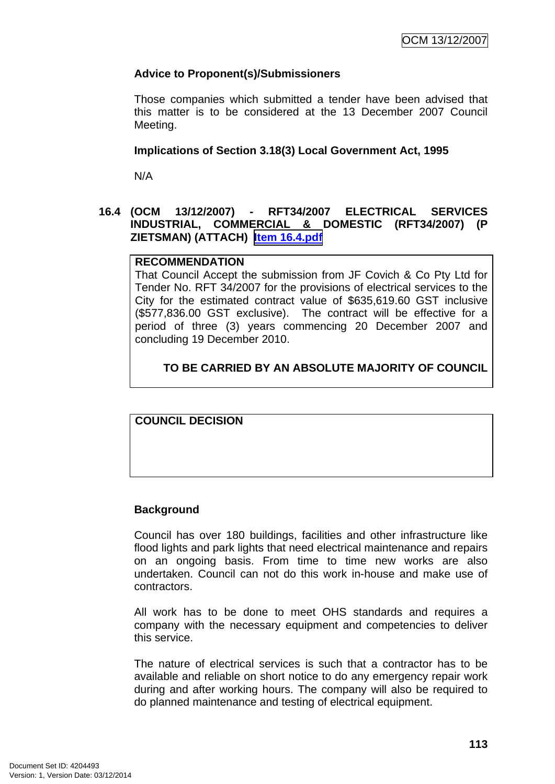# **Advice to Proponent(s)/Submissioners**

Those companies which submitted a tender have been advised that this matter is to be considered at the 13 December 2007 Council Meeting.

### **Implications of Section 3.18(3) Local Government Act, 1995**

N/A

### **16.4 (OCM 13/12/2007) - RFT34/2007 ELECTRICAL SERVICES INDUSTRIAL, COMMERCIAL & DOMESTIC (RFT34/2007) (P ZIETSMAN) (ATTACH) Item 16.4.pdf**

### **RECOMMENDATION**

That Council Accept the submission from JF Covich & Co Pty Ltd for Tender No. RFT 34/2007 for the provisions of electrical services to the City for the estimated contract value of \$635,619.60 GST inclusive (\$577,836.00 GST exclusive). The contract will be effective for a period of three (3) years commencing 20 December 2007 and concluding 19 December 2010.

# **TO BE CARRIED BY AN ABSOLUTE MAJORITY OF COUNCIL**

**COUNCIL DECISION**

### **Background**

Council has over 180 buildings, facilities and other infrastructure like flood lights and park lights that need electrical maintenance and repairs on an ongoing basis. From time to time new works are also undertaken. Council can not do this work in-house and make use of contractors.

All work has to be done to meet OHS standards and requires a company with the necessary equipment and competencies to deliver this service.

The nature of electrical services is such that a contractor has to be available and reliable on short notice to do any emergency repair work during and after working hours. The company will also be required to do planned maintenance and testing of electrical equipment.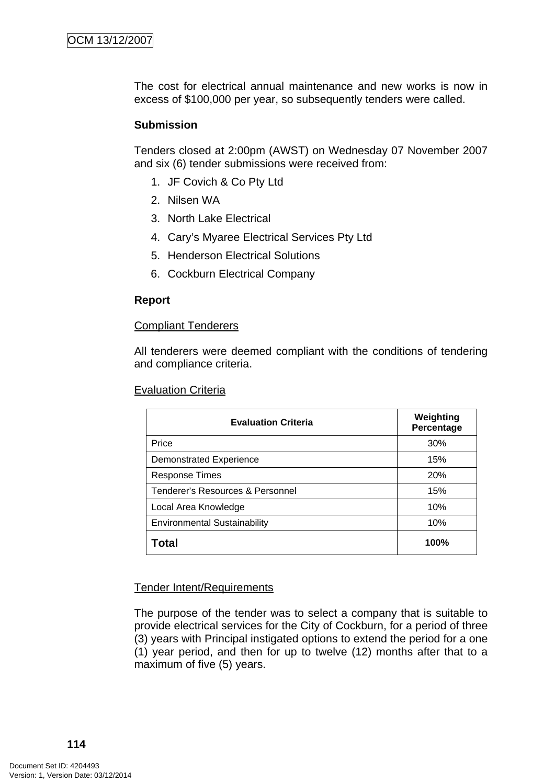The cost for electrical annual maintenance and new works is now in excess of \$100,000 per year, so subsequently tenders were called.

### **Submission**

Tenders closed at 2:00pm (AWST) on Wednesday 07 November 2007 and six (6) tender submissions were received from:

- 1. JF Covich & Co Pty Ltd
- 2. Nilsen WA
- 3. North Lake Electrical
- 4. Cary's Myaree Electrical Services Pty Ltd
- 5. Henderson Electrical Solutions
- 6. Cockburn Electrical Company

### **Report**

### Compliant Tenderers

All tenderers were deemed compliant with the conditions of tendering and compliance criteria.

#### Evaluation Criteria

| <b>Evaluation Criteria</b>          | Weighting<br>Percentage |
|-------------------------------------|-------------------------|
| Price                               | 30%                     |
| <b>Demonstrated Experience</b>      | 15%                     |
| <b>Response Times</b>               | 20%                     |
| Tenderer's Resources & Personnel    | 15%                     |
| Local Area Knowledge                | 10%                     |
| <b>Environmental Sustainability</b> | 10%                     |
| Total                               | 100%                    |

### Tender Intent/Requirements

The purpose of the tender was to select a company that is suitable to provide electrical services for the City of Cockburn, for a period of three (3) years with Principal instigated options to extend the period for a one (1) year period, and then for up to twelve (12) months after that to a maximum of five (5) years.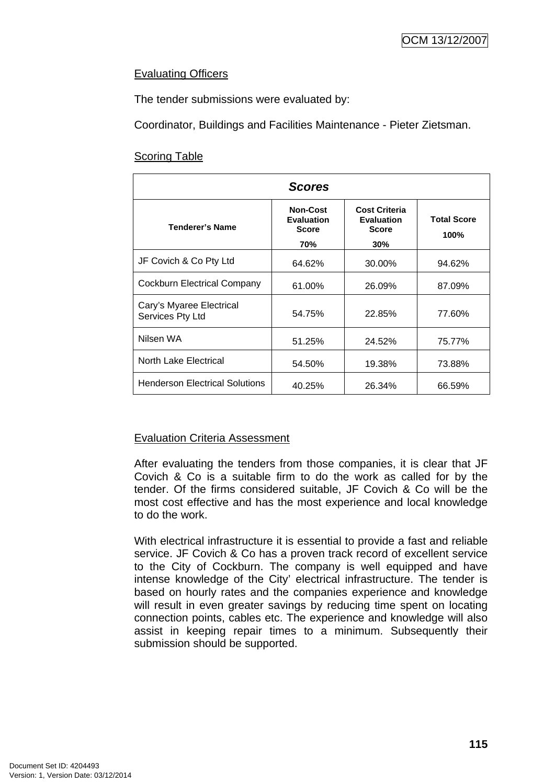# Evaluating Officers

The tender submissions were evaluated by:

Coordinator, Buildings and Facilities Maintenance - Pieter Zietsman.

# Scoring Table

| <b>Scores</b>                                |                                                      |                                                           |                            |
|----------------------------------------------|------------------------------------------------------|-----------------------------------------------------------|----------------------------|
| <b>Tenderer's Name</b>                       | <b>Non-Cost</b><br><b>Evaluation</b><br><b>Score</b> | <b>Cost Criteria</b><br><b>Evaluation</b><br><b>Score</b> | <b>Total Score</b><br>100% |
|                                              | 70%                                                  | 30%                                                       |                            |
| JF Covich & Co Pty Ltd                       | 64.62%                                               | 30.00%                                                    | 94.62%                     |
| Cockburn Electrical Company                  | 61.00%                                               | 26.09%                                                    | 87.09%                     |
| Cary's Myaree Electrical<br>Services Pty Ltd | 54.75%                                               | 22.85%                                                    | 77.60%                     |
| Nilsen WA                                    | 51.25%                                               | 24.52%                                                    | 75.77%                     |
| <b>North Lake Electrical</b>                 | 54.50%                                               | 19.38%                                                    | 73.88%                     |
| <b>Henderson Electrical Solutions</b>        | 40.25%                                               | 26.34%                                                    | 66.59%                     |

# Evaluation Criteria Assessment

After evaluating the tenders from those companies, it is clear that JF Covich & Co is a suitable firm to do the work as called for by the tender. Of the firms considered suitable, JF Covich & Co will be the most cost effective and has the most experience and local knowledge to do the work.

With electrical infrastructure it is essential to provide a fast and reliable service. JF Covich & Co has a proven track record of excellent service to the City of Cockburn. The company is well equipped and have intense knowledge of the City' electrical infrastructure. The tender is based on hourly rates and the companies experience and knowledge will result in even greater savings by reducing time spent on locating connection points, cables etc. The experience and knowledge will also assist in keeping repair times to a minimum. Subsequently their submission should be supported.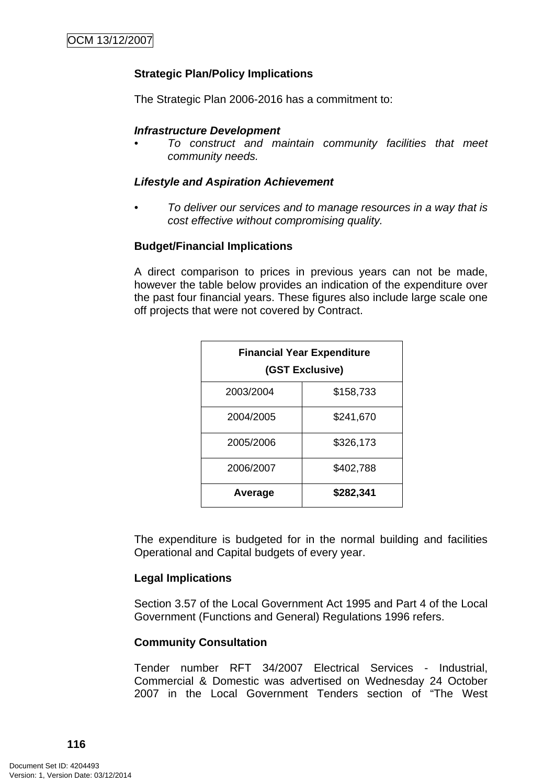# **Strategic Plan/Policy Implications**

The Strategic Plan 2006-2016 has a commitment to:

### *Infrastructure Development*

*• To construct and maintain community facilities that meet community needs.* 

### *Lifestyle and Aspiration Achievement*

*• To deliver our services and to manage resources in a way that is cost effective without compromising quality.* 

### **Budget/Financial Implications**

A direct comparison to prices in previous years can not be made, however the table below provides an indication of the expenditure over the past four financial years. These figures also include large scale one off projects that were not covered by Contract.

| <b>Financial Year Expenditure</b><br>(GST Exclusive) |           |  |
|------------------------------------------------------|-----------|--|
| 2003/2004                                            | \$158,733 |  |
| 2004/2005                                            | \$241,670 |  |
| 2005/2006                                            | \$326,173 |  |
| 2006/2007                                            | \$402,788 |  |
| Average                                              | \$282,341 |  |

The expenditure is budgeted for in the normal building and facilities Operational and Capital budgets of every year.

### **Legal Implications**

Section 3.57 of the Local Government Act 1995 and Part 4 of the Local Government (Functions and General) Regulations 1996 refers.

### **Community Consultation**

Tender number RFT 34/2007 Electrical Services - Industrial, Commercial & Domestic was advertised on Wednesday 24 October 2007 in the Local Government Tenders section of "The West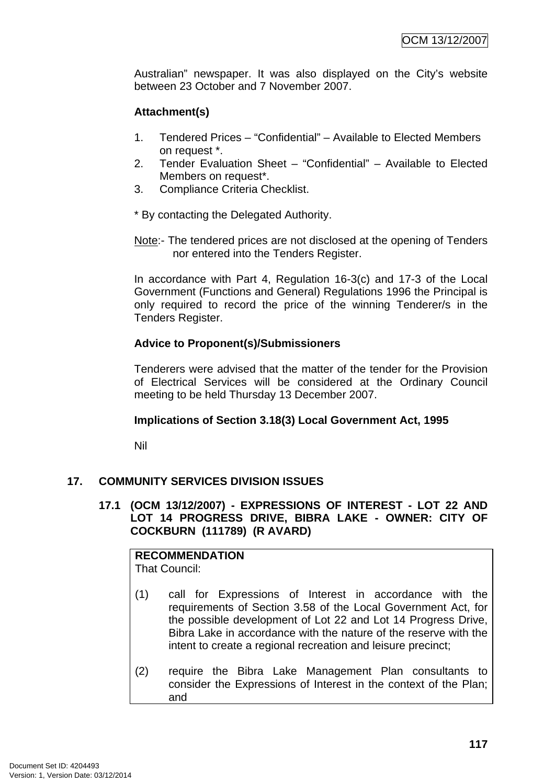Australian" newspaper. It was also displayed on the City's website between 23 October and 7 November 2007.

# **Attachment(s)**

- 1. Tendered Prices "Confidential" Available to Elected Members on request \*.
- 2. Tender Evaluation Sheet "Confidential" Available to Elected Members on request\*.
- 3. Compliance Criteria Checklist.

\* By contacting the Delegated Authority.

Note:- The tendered prices are not disclosed at the opening of Tenders nor entered into the Tenders Register.

In accordance with Part 4, Regulation 16-3(c) and 17-3 of the Local Government (Functions and General) Regulations 1996 the Principal is only required to record the price of the winning Tenderer/s in the Tenders Register.

# **Advice to Proponent(s)/Submissioners**

Tenderers were advised that the matter of the tender for the Provision of Electrical Services will be considered at the Ordinary Council meeting to be held Thursday 13 December 2007.

# **Implications of Section 3.18(3) Local Government Act, 1995**

Nil

# **17. COMMUNITY SERVICES DIVISION ISSUES**

# **17.1 (OCM 13/12/2007) - EXPRESSIONS OF INTEREST - LOT 22 AND LOT 14 PROGRESS DRIVE, BIBRA LAKE - OWNER: CITY OF COCKBURN (111789) (R AVARD)**

**RECOMMENDATION** That Council:

- (1) call for Expressions of Interest in accordance with the requirements of Section 3.58 of the Local Government Act, for the possible development of Lot 22 and Lot 14 Progress Drive, Bibra Lake in accordance with the nature of the reserve with the intent to create a regional recreation and leisure precinct;
- (2) require the Bibra Lake Management Plan consultants to consider the Expressions of Interest in the context of the Plan; and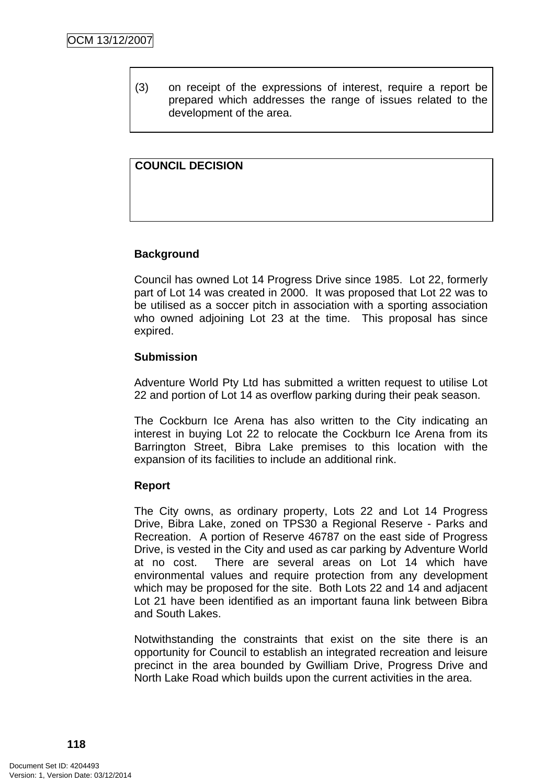(3) on receipt of the expressions of interest, require a report be prepared which addresses the range of issues related to the development of the area.

# **COUNCIL DECISION**

### **Background**

Council has owned Lot 14 Progress Drive since 1985. Lot 22, formerly part of Lot 14 was created in 2000. It was proposed that Lot 22 was to be utilised as a soccer pitch in association with a sporting association who owned adjoining Lot 23 at the time. This proposal has since expired.

### **Submission**

Adventure World Pty Ltd has submitted a written request to utilise Lot 22 and portion of Lot 14 as overflow parking during their peak season.

The Cockburn Ice Arena has also written to the City indicating an interest in buying Lot 22 to relocate the Cockburn Ice Arena from its Barrington Street, Bibra Lake premises to this location with the expansion of its facilities to include an additional rink.

### **Report**

The City owns, as ordinary property, Lots 22 and Lot 14 Progress Drive, Bibra Lake, zoned on TPS30 a Regional Reserve - Parks and Recreation. A portion of Reserve 46787 on the east side of Progress Drive, is vested in the City and used as car parking by Adventure World at no cost. There are several areas on Lot 14 which have environmental values and require protection from any development which may be proposed for the site. Both Lots 22 and 14 and adjacent Lot 21 have been identified as an important fauna link between Bibra and South Lakes.

Notwithstanding the constraints that exist on the site there is an opportunity for Council to establish an integrated recreation and leisure precinct in the area bounded by Gwilliam Drive, Progress Drive and North Lake Road which builds upon the current activities in the area.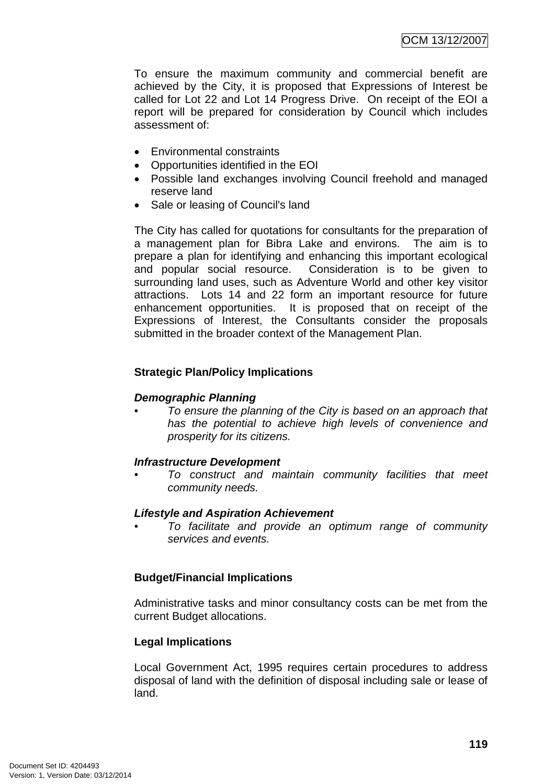To ensure the maximum community and commercial benefit are achieved by the City, it is proposed that Expressions of Interest be called for Lot 22 and Lot 14 Progress Drive. On receipt of the EOI a report will be prepared for consideration by Council which includes assessment of:

- Environmental constraints
- Opportunities identified in the EOI
- Possible land exchanges involving Council freehold and managed reserve land
- Sale or leasing of Council's land

The City has called for quotations for consultants for the preparation of a management plan for Bibra Lake and environs. The aim is to prepare a plan for identifying and enhancing this important ecological and popular social resource. Consideration is to be given to surrounding land uses, such as Adventure World and other key visitor attractions. Lots 14 and 22 form an important resource for future enhancement opportunities. It is proposed that on receipt of the Expressions of Interest, the Consultants consider the proposals submitted in the broader context of the Management Plan.

# **Strategic Plan/Policy Implications**

# *Demographic Planning*

*• To ensure the planning of the City is based on an approach that has the potential to achieve high levels of convenience and prosperity for its citizens.* 

### *Infrastructure Development*

*• To construct and maintain community facilities that meet community needs.* 

### *Lifestyle and Aspiration Achievement*

*• To facilitate and provide an optimum range of community services and events.* 

# **Budget/Financial Implications**

Administrative tasks and minor consultancy costs can be met from the current Budget allocations.

# **Legal Implications**

Local Government Act, 1995 requires certain procedures to address disposal of land with the definition of disposal including sale or lease of land.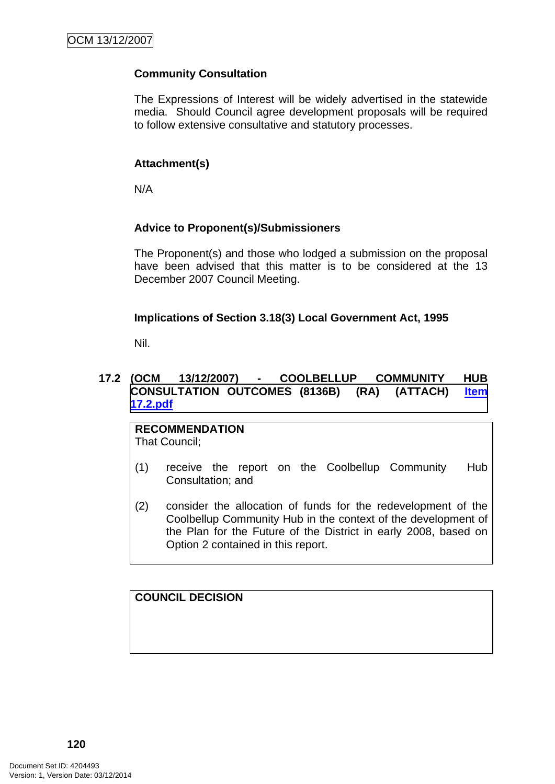# **Community Consultation**

The Expressions of Interest will be widely advertised in the statewide media. Should Council agree development proposals will be required to follow extensive consultative and statutory processes.

# **Attachment(s)**

N/A

# **Advice to Proponent(s)/Submissioners**

The Proponent(s) and those who lodged a submission on the proposal have been advised that this matter is to be considered at the 13 December 2007 Council Meeting.

### **Implications of Section 3.18(3) Local Government Act, 1995**

Nil.

# **17.2 (OCM 13/12/2007) - COOLBELLUP COMMUNITY HUB CONSULTATION OUTCOMES (8136B) (RA) (ATTACH) Item 17.2.pdf**

**RECOMMENDATION** That Council;

- (1) receive the report on the Coolbellup Community Hub Consultation; and
- (2) consider the allocation of funds for the redevelopment of the Coolbellup Community Hub in the context of the development of the Plan for the Future of the District in early 2008, based on Option 2 contained in this report.

**COUNCIL DECISION**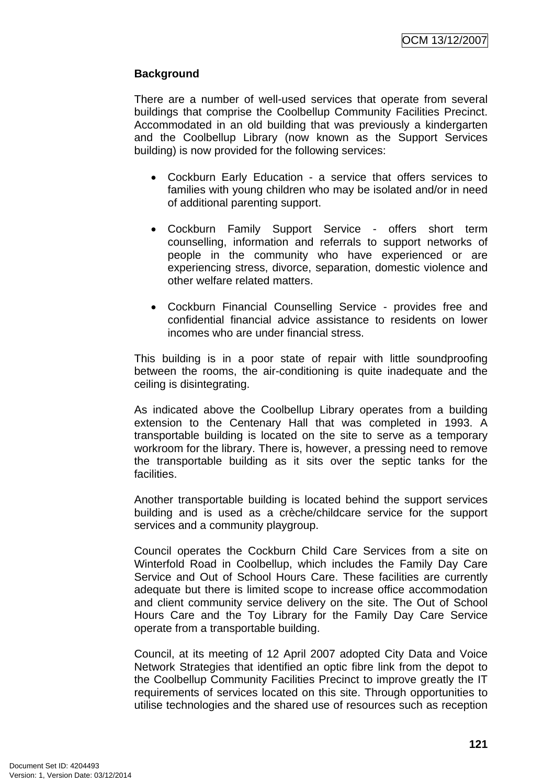# **Background**

There are a number of well-used services that operate from several buildings that comprise the Coolbellup Community Facilities Precinct. Accommodated in an old building that was previously a kindergarten and the Coolbellup Library (now known as the Support Services building) is now provided for the following services:

- Cockburn Early Education a service that offers services to families with young children who may be isolated and/or in need of additional parenting support.
- Cockburn Family Support Service offers short term counselling, information and referrals to support networks of people in the community who have experienced or are experiencing stress, divorce, separation, domestic violence and other welfare related matters.
- Cockburn Financial Counselling Service provides free and confidential financial advice assistance to residents on lower incomes who are under financial stress.

This building is in a poor state of repair with little soundproofing between the rooms, the air-conditioning is quite inadequate and the ceiling is disintegrating.

As indicated above the Coolbellup Library operates from a building extension to the Centenary Hall that was completed in 1993. A transportable building is located on the site to serve as a temporary workroom for the library. There is, however, a pressing need to remove the transportable building as it sits over the septic tanks for the facilities.

Another transportable building is located behind the support services building and is used as a crèche/childcare service for the support services and a community playgroup.

Council operates the Cockburn Child Care Services from a site on Winterfold Road in Coolbellup, which includes the Family Day Care Service and Out of School Hours Care. These facilities are currently adequate but there is limited scope to increase office accommodation and client community service delivery on the site. The Out of School Hours Care and the Toy Library for the Family Day Care Service operate from a transportable building.

Council, at its meeting of 12 April 2007 adopted City Data and Voice Network Strategies that identified an optic fibre link from the depot to the Coolbellup Community Facilities Precinct to improve greatly the IT requirements of services located on this site. Through opportunities to utilise technologies and the shared use of resources such as reception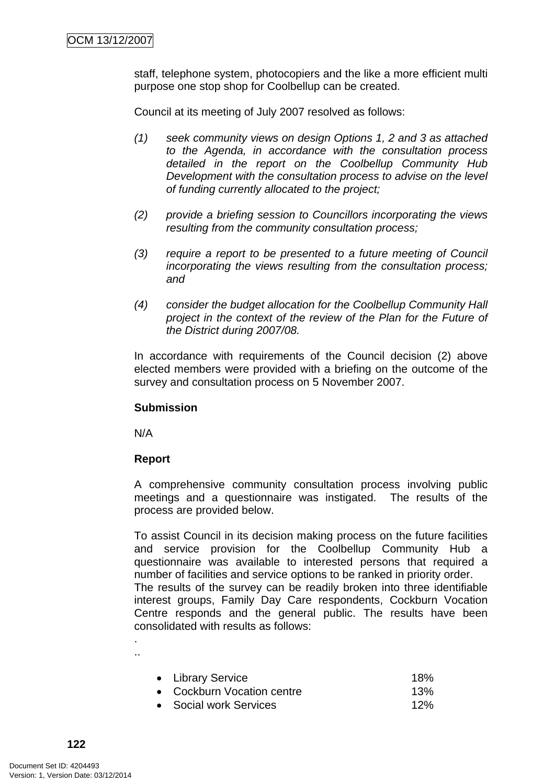staff, telephone system, photocopiers and the like a more efficient multi purpose one stop shop for Coolbellup can be created.

Council at its meeting of July 2007 resolved as follows:

- *(1) seek community views on design Options 1, 2 and 3 as attached to the Agenda, in accordance with the consultation process detailed in the report on the Coolbellup Community Hub Development with the consultation process to advise on the level of funding currently allocated to the project;*
- *(2) provide a briefing session to Councillors incorporating the views resulting from the community consultation process;*
- *(3) require a report to be presented to a future meeting of Council incorporating the views resulting from the consultation process; and*
- *(4) consider the budget allocation for the Coolbellup Community Hall project in the context of the review of the Plan for the Future of the District during 2007/08.*

In accordance with requirements of the Council decision (2) above elected members were provided with a briefing on the outcome of the survey and consultation process on 5 November 2007.

### **Submission**

N/A

. ..

### **Report**

A comprehensive community consultation process involving public meetings and a questionnaire was instigated. The results of the process are provided below.

To assist Council in its decision making process on the future facilities and service provision for the Coolbellup Community Hub a questionnaire was available to interested persons that required a number of facilities and service options to be ranked in priority order. The results of the survey can be readily broken into three identifiable interest groups, Family Day Care respondents, Cockburn Vocation Centre responds and the general public. The results have been consolidated with results as follows:

| • Library Service          | 18% |
|----------------------------|-----|
| • Cockburn Vocation centre | 13% |
| • Social work Services     | 12% |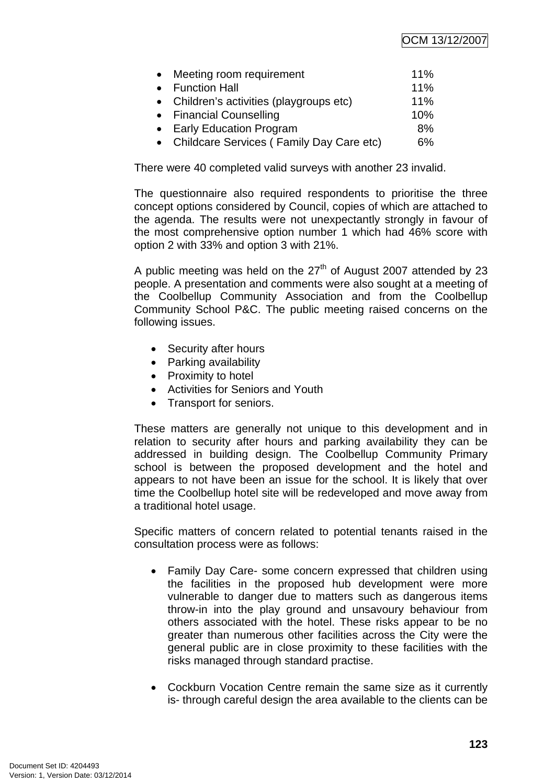| $\bullet$ | Meeting room requirement                   | $11\%$ |
|-----------|--------------------------------------------|--------|
|           | • Function Hall                            | 11%    |
|           | • Children's activities (playgroups etc)   | 11%    |
|           | • Financial Counselling                    | 10%    |
|           | • Early Education Program                  | 8%     |
|           | • Childcare Services (Family Day Care etc) | $6\%$  |

There were 40 completed valid surveys with another 23 invalid.

The questionnaire also required respondents to prioritise the three concept options considered by Council, copies of which are attached to the agenda. The results were not unexpectantly strongly in favour of the most comprehensive option number 1 which had 46% score with option 2 with 33% and option 3 with 21%.

A public meeting was held on the  $27<sup>th</sup>$  of August 2007 attended by 23 people. A presentation and comments were also sought at a meeting of the Coolbellup Community Association and from the Coolbellup Community School P&C. The public meeting raised concerns on the following issues.

- Security after hours
- Parking availability
- Proximity to hotel
- Activities for Seniors and Youth
- Transport for seniors.

These matters are generally not unique to this development and in relation to security after hours and parking availability they can be addressed in building design. The Coolbellup Community Primary school is between the proposed development and the hotel and appears to not have been an issue for the school. It is likely that over time the Coolbellup hotel site will be redeveloped and move away from a traditional hotel usage.

Specific matters of concern related to potential tenants raised in the consultation process were as follows:

- Family Day Care- some concern expressed that children using the facilities in the proposed hub development were more vulnerable to danger due to matters such as dangerous items throw-in into the play ground and unsavoury behaviour from others associated with the hotel. These risks appear to be no greater than numerous other facilities across the City were the general public are in close proximity to these facilities with the risks managed through standard practise.
- Cockburn Vocation Centre remain the same size as it currently is- through careful design the area available to the clients can be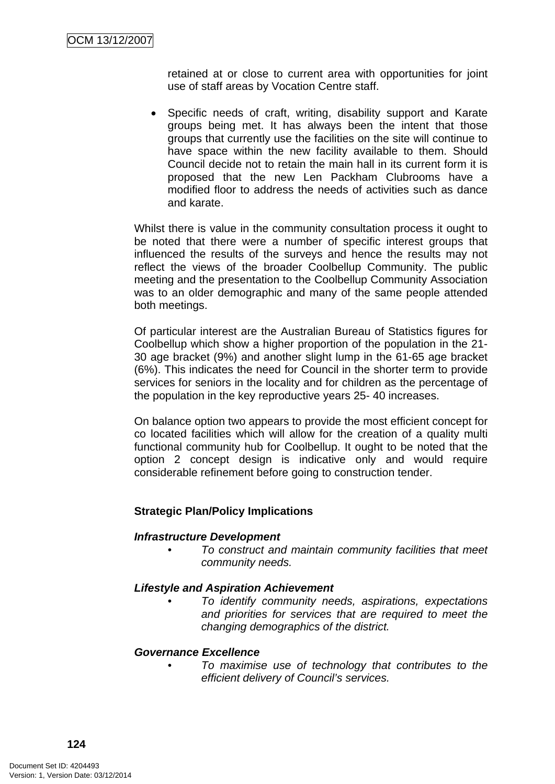retained at or close to current area with opportunities for joint use of staff areas by Vocation Centre staff.

• Specific needs of craft, writing, disability support and Karate groups being met. It has always been the intent that those groups that currently use the facilities on the site will continue to have space within the new facility available to them. Should Council decide not to retain the main hall in its current form it is proposed that the new Len Packham Clubrooms have a modified floor to address the needs of activities such as dance and karate.

Whilst there is value in the community consultation process it ought to be noted that there were a number of specific interest groups that influenced the results of the surveys and hence the results may not reflect the views of the broader Coolbellup Community. The public meeting and the presentation to the Coolbellup Community Association was to an older demographic and many of the same people attended both meetings.

Of particular interest are the Australian Bureau of Statistics figures for Coolbellup which show a higher proportion of the population in the 21- 30 age bracket (9%) and another slight lump in the 61-65 age bracket (6%). This indicates the need for Council in the shorter term to provide services for seniors in the locality and for children as the percentage of the population in the key reproductive years 25- 40 increases.

On balance option two appears to provide the most efficient concept for co located facilities which will allow for the creation of a quality multi functional community hub for Coolbellup. It ought to be noted that the option 2 concept design is indicative only and would require considerable refinement before going to construction tender.

# **Strategic Plan/Policy Implications**

### *Infrastructure Development*

*• To construct and maintain community facilities that meet community needs.* 

### *Lifestyle and Aspiration Achievement*

*• To identify community needs, aspirations, expectations and priorities for services that are required to meet the changing demographics of the district.* 

### *Governance Excellence*

*• To maximise use of technology that contributes to the efficient delivery of Council's services.*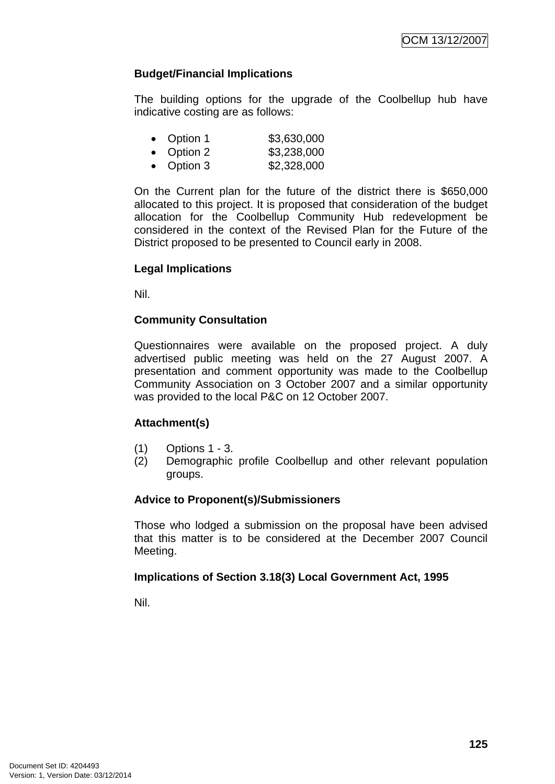# **Budget/Financial Implications**

The building options for the upgrade of the Coolbellup hub have indicative costing are as follows:

| • Option 1 | \$3,630,000                                           |
|------------|-------------------------------------------------------|
| • Option 2 | \$3,238,000                                           |
| ~ . ~      | $\wedge$ $\wedge$ $\wedge$ $\wedge$ $\wedge$ $\wedge$ |

• Option 3 \$2,328,000

On the Current plan for the future of the district there is \$650,000 allocated to this project. It is proposed that consideration of the budget allocation for the Coolbellup Community Hub redevelopment be considered in the context of the Revised Plan for the Future of the District proposed to be presented to Council early in 2008.

### **Legal Implications**

Nil.

# **Community Consultation**

Questionnaires were available on the proposed project. A duly advertised public meeting was held on the 27 August 2007. A presentation and comment opportunity was made to the Coolbellup Community Association on 3 October 2007 and a similar opportunity was provided to the local P&C on 12 October 2007.

### **Attachment(s)**

- (1) Options 1 3.
- (2) Demographic profile Coolbellup and other relevant population groups.

### **Advice to Proponent(s)/Submissioners**

Those who lodged a submission on the proposal have been advised that this matter is to be considered at the December 2007 Council Meeting.

### **Implications of Section 3.18(3) Local Government Act, 1995**

Nil.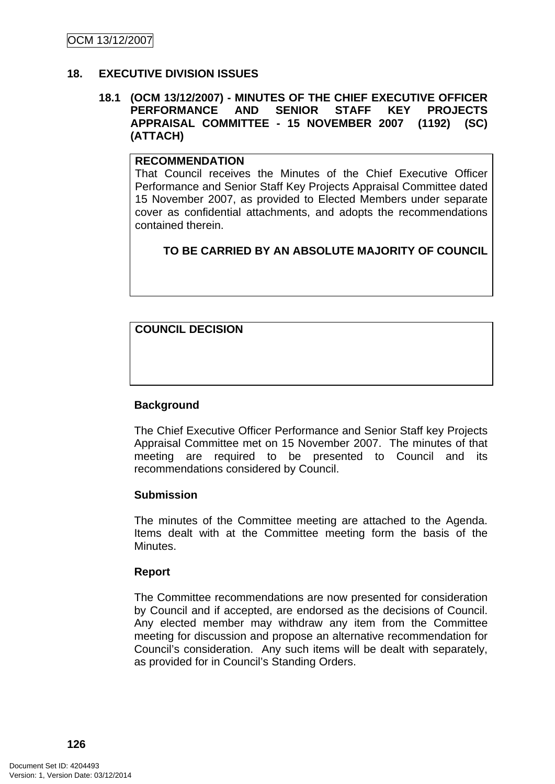# **18. EXECUTIVE DIVISION ISSUES**

### **18.1 (OCM 13/12/2007) - MINUTES OF THE CHIEF EXECUTIVE OFFICER PERFORMANCE AND SENIOR STAFF KEY PROJECTS APPRAISAL COMMITTEE - 15 NOVEMBER 2007 (1192) (SC) (ATTACH)**

# **RECOMMENDATION**

That Council receives the Minutes of the Chief Executive Officer Performance and Senior Staff Key Projects Appraisal Committee dated 15 November 2007, as provided to Elected Members under separate cover as confidential attachments, and adopts the recommendations contained therein.

# **TO BE CARRIED BY AN ABSOLUTE MAJORITY OF COUNCIL**

# **COUNCIL DECISION**

### **Background**

The Chief Executive Officer Performance and Senior Staff key Projects Appraisal Committee met on 15 November 2007. The minutes of that meeting are required to be presented to Council and its recommendations considered by Council.

### **Submission**

The minutes of the Committee meeting are attached to the Agenda. Items dealt with at the Committee meeting form the basis of the Minutes.

### **Report**

The Committee recommendations are now presented for consideration by Council and if accepted, are endorsed as the decisions of Council. Any elected member may withdraw any item from the Committee meeting for discussion and propose an alternative recommendation for Council's consideration. Any such items will be dealt with separately, as provided for in Council's Standing Orders.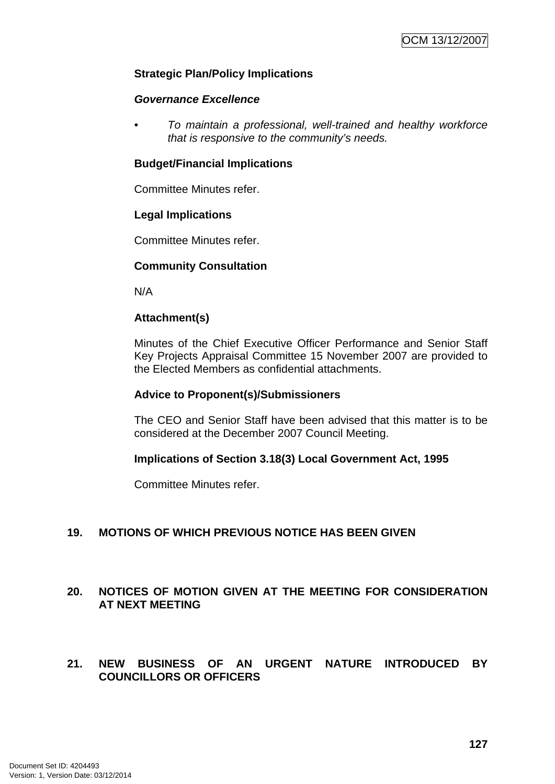### **Strategic Plan/Policy Implications**

### *Governance Excellence*

*• To maintain a professional, well-trained and healthy workforce that is responsive to the community's needs.* 

### **Budget/Financial Implications**

Committee Minutes refer.

### **Legal Implications**

Committee Minutes refer.

### **Community Consultation**

N/A

### **Attachment(s)**

Minutes of the Chief Executive Officer Performance and Senior Staff Key Projects Appraisal Committee 15 November 2007 are provided to the Elected Members as confidential attachments.

### **Advice to Proponent(s)/Submissioners**

The CEO and Senior Staff have been advised that this matter is to be considered at the December 2007 Council Meeting.

### **Implications of Section 3.18(3) Local Government Act, 1995**

Committee Minutes refer.

# **19. MOTIONS OF WHICH PREVIOUS NOTICE HAS BEEN GIVEN**

# **20. NOTICES OF MOTION GIVEN AT THE MEETING FOR CONSIDERATION AT NEXT MEETING**

### **21. NEW BUSINESS OF AN URGENT NATURE INTRODUCED BY COUNCILLORS OR OFFICERS**